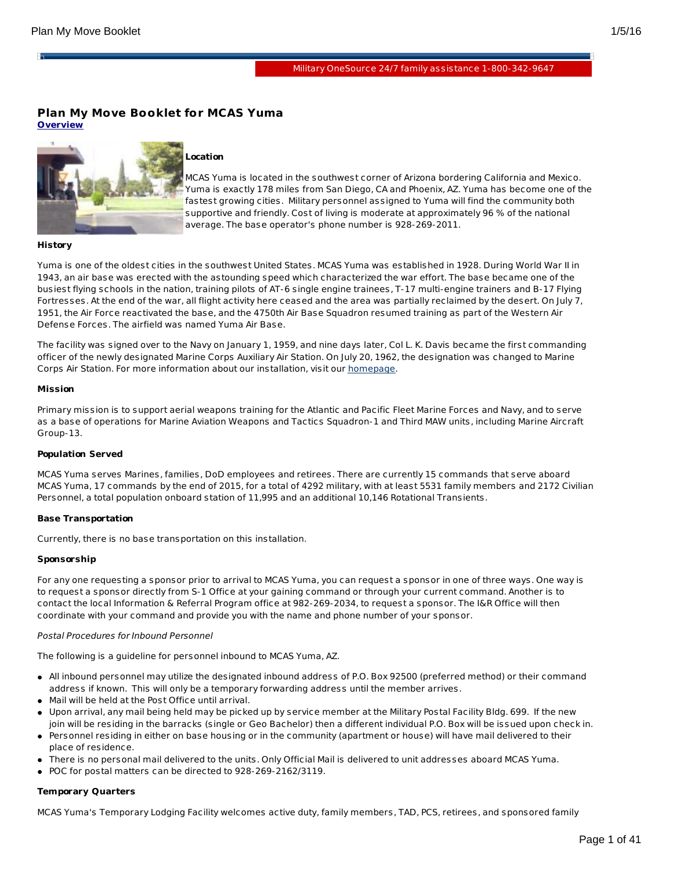H.

# **Plan My Move Booklet for MCAS Yuma Overview**



# **Location**

MCAS Yuma is located in the southwest corner of Arizona bordering California and Mexico. Yuma is exactly 178 miles from San Diego, CA and Phoenix, AZ. Yuma has become one of the fastest growing cities. Military personnel assigned to Yuma will find the community both supportive and friendly. Cost of living is moderate at approximately 96 % of the national average. The base operator's phone number is 928-269-2011.

#### **History**

Yuma is one of the oldest cities in the southwest United States. MCAS Yuma was established in 1928. During World War II in 1943, an air base was erected with the astounding speed which characterized the war effort. The base became one of the busiest flying schools in the nation, training pilots of AT-6 single engine trainees, T-17 multi-engine trainers and B-17 Flying Fortresses. At the end of the war, all flight activity here ceased and the area was partially reclaimed by the desert. On July 7, 1951, the Air Force reactivated the base, and the 4750th Air Base Squadron resumed training as part of the Western Air Defense Forces. The airfield was named Yuma Air Base.

The facility was signed over to the Navy on January 1, 1959, and nine days later, Col L. K. Davis became the first commanding officer of the newly designated Marine Corps Auxiliary Air Station. On July 20, 1962, the designation was changed to Marine Corps Air Station. For more information about our installation, visit our [homepage](http://www.yuma.usmc.mil/).

#### **Mission**

Primary mission is to support aerial weapons training for the Atlantic and Pacific Fleet Marine Forces and Navy, and to serve as a base of operations for Marine Aviation Weapons and Tactics Squadron-1 and Third MAW units, including Marine Aircraft Group-13.

#### **Population Served**

MCAS Yuma serves Marines, families, DoD employees and retirees. There are currently 15 commands that serve aboard MCAS Yuma, 17 commands by the end of 2015, for a total of 4292 military, with at least 5531 family members and 2172 Civilian Personnel, a total population onboard station of 11,995 and an additional 10,146 Rotational Transients.

# **Base Transportation**

Currently, there is no base transportation on this installation.

# **Sponsorship**

For any one requesting a sponsor prior to arrival to MCAS Yuma, you can request a sponsor in one of three ways. One way is to request a sponsor directly from S-1 Office at your gaining command or through your current command. Another is to contact the local Information & Referral Program office at 982-269-2034, to request a sponsor. The I&R Office will then coordinate with your command and provide you with the name and phone number of your sponsor.

# Postal Procedures for Inbound Personnel

The following is a guideline for personnel inbound to MCAS Yuma, AZ.

- All inbound personnel may utilize the designated inbound address of P.O. Box 92500 (preferred method) or their command address if known. This will only be a temporary forwarding address until the member arrives.
- Mail will be held at the Post Office until arrival.
- Upon arrival, any mail being held may be picked up by service member at the Military Postal Facility Bldg. 699. If the new join will be residing in the barracks (single or Geo Bachelor) then a different individual P.O. Box will be issued upon check in.
- Personnel residing in either on base housing or in the community (apartment or house) will have mail delivered to their place of residence.
- There is no personal mail delivered to the units. Only Official Mail is delivered to unit addresses aboard MCAS Yuma.
- POC for postal matters can be directed to 928-269-2162/3119.

# **Temporary Quarters**

MCAS Yuma's Temporary Lodging Facility welcomes active duty, family members, TAD, PCS, retirees, and sponsored family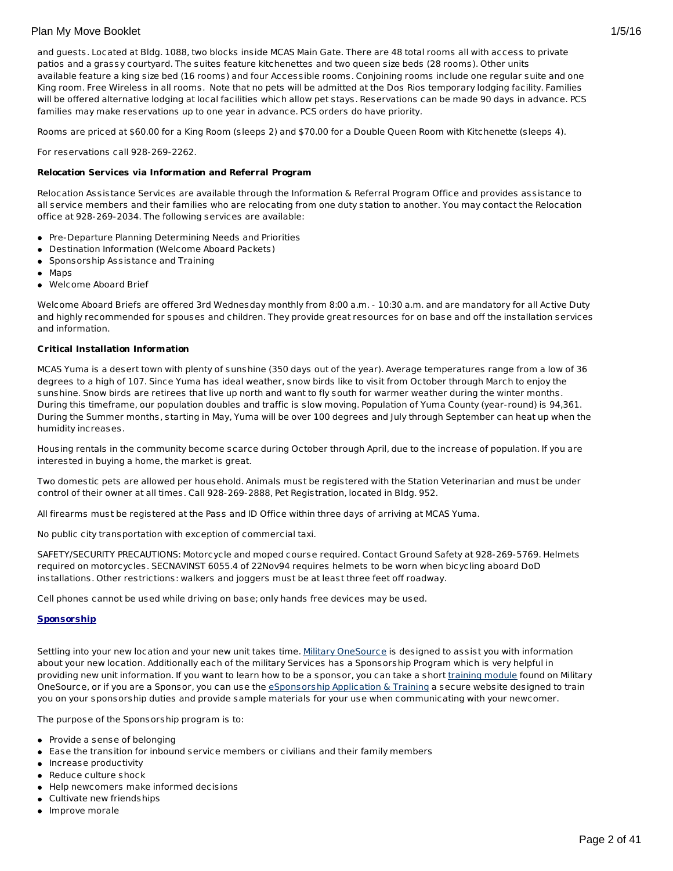and guests. Located at Bldg. 1088, two blocks inside MCAS Main Gate. There are 48 total rooms all with access to private patios and a grassy courtyard. The suites feature kitchenettes and two queen size beds (28 rooms). Other units available feature a king size bed (16 rooms) and four Accessible rooms. Conjoining rooms include one regular suite and one King room. Free Wireless in all rooms. Note that no pets will be admitted at the Dos Rios temporary lodging facility. Families will be offered alternative lodging at local facilities which allow pet stays. Reservations can be made 90 days in advance. PCS families may make reservations up to one year in advance. PCS orders do have priority.

Rooms are priced at \$60.00 for a King Room (sleeps 2) and \$70.00 for a Double Queen Room with Kitchenette (sleeps 4).

For reservations call 928-269-2262.

### **Relocation Services via Information and Referral Program**

Relocation Assistance Services are available through the Information & Referral Program Office and provides assistance to all service members and their families who are relocating from one duty station to another. You may contact the Relocation office at 928-269-2034. The following services are available:

- Pre-Departure Planning Determining Needs and Priorities
- Destination Information (Welcome Aboard Packets)
- **•** Sponsorship Assistance and Training
- Maps
- Welcome Aboard Brief

Welcome Aboard Briefs are offered 3rd Wednesday monthly from 8:00 a.m. - 10:30 a.m. and are mandatory for all Active Duty and highly recommended for spouses and children. They provide great resources for on base and off the installation services and information.

#### **Critical Installation Information**

MCAS Yuma is a desert town with plenty of sunshine (350 days out of the year). Average temperatures range from a low of 36 degrees to a high of 107. Since Yuma has ideal weather, snow birds like to visit from October through March to enjoy the sunshine. Snow birds are retirees that live up north and want to fly south for warmer weather during the winter months. During this timeframe, our population doubles and traffic is slow moving. Population of Yuma County (year-round) is 94,361. During the Summer months, starting in May, Yuma will be over 100 degrees and July through September can heat up when the humidity increases.

Housing rentals in the community become scarce during October through April, due to the increase of population. If you are interested in buying a home, the market is great.

Two domestic pets are allowed per household. Animals must be registered with the Station Veterinarian and must be under control of their owner at all times. Call 928-269-2888, Pet Registration, located in Bldg. 952.

All firearms must be registered at the Pass and ID Office within three days of arriving at MCAS Yuma.

No public city transportation with exception of commercial taxi.

SAFETY/SECURITY PRECAUTIONS: Motorcycle and moped course required. Contact Ground Safety at 928-269-5769. Helmets required on motorcycles. SECNAVINST 6055.4 of 22Nov94 requires helmets to be worn when bicycling aboard DoD installations. Other restrictions: walkers and joggers must be at least three feet off roadway.

Cell phones cannot be used while driving on base; only hands free devices may be used.

#### **Sponsorship**

Settling into your new location and your new unit takes time. Military [OneSource](http://www.militaryonesource.mil/) is designed to assist you with information about your new location. Additionally each of the military Services has a Sponsorship Program which is very helpful in providing new unit information. If you want to learn how to be a sponsor, you can take a short [training](http://apps.militaryonesource.mil/MOS/f?p=ESAT:WELCOMEP) module found on Military OneSource, or if you are a Sponsor, you can use the *[eSponsorship](http://apps.militaryonesource.mil/esat) Application & Training* a secure website designed to train you on your sponsorship duties and provide sample materials for your use when communicating with your newcomer.

The purpose of the Sponsorship program is to:

- Provide a sense of belonging
- Ease the transition for inbound service members or civilians and their family members
- **·** Increase productivity
- Reduce culture shock
- Help newcomers make informed decisions
- Cultivate new friendships
- Improve morale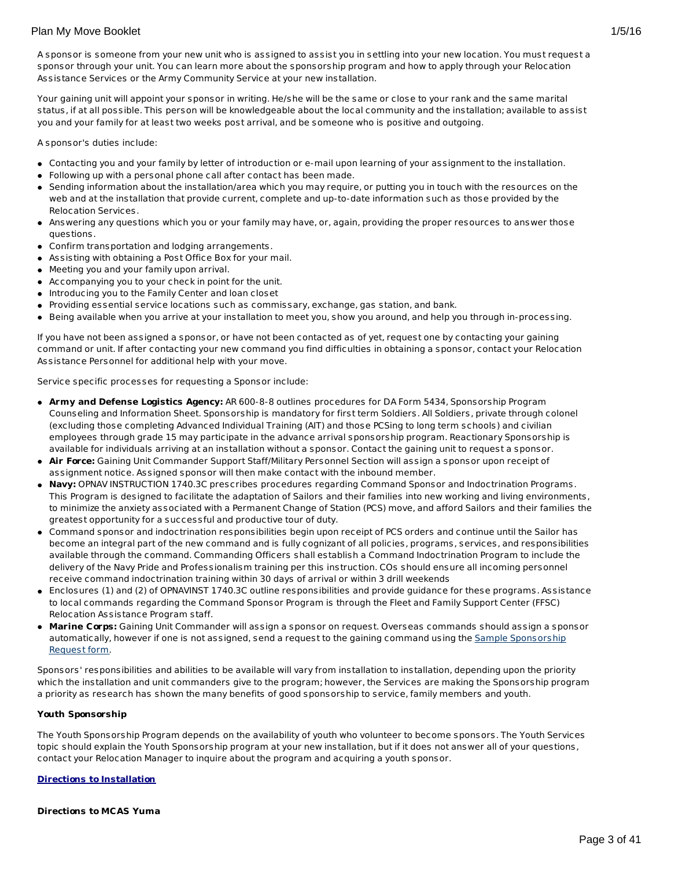A sponsor is someone from your new unit who is assigned to assist you in settling into your new location. You must request a sponsor through your unit. You can learn more about the sponsorship program and how to apply through your Relocation Assistance Services or the Army Community Service at your new installation.

Your gaining unit will appoint your sponsor in writing. He/she will be the same or close to your rank and the same marital status, if at all possible. This person will be knowledgeable about the local community and the installation; available to assist you and your family for at least two weeks post arrival, and be someone who is positive and outgoing.

A sponsor's duties include:

- Contacting you and your family by letter of introduction or e-mail upon learning of your assignment to the installation.
- Following up with a personal phone call after contact has been made.
- Sending information about the installation/area which you may require, or putting you in touch with the resources on the web and at the installation that provide current, complete and up-to-date information such as those provided by the Relocation Services.
- Answering any questions which you or your family may have, or, again, providing the proper resources to answer those questions.
- Confirm transportation and lodging arrangements.
- Assisting with obtaining a Post Office Box for your mail.
- Meeting you and your family upon arrival.
- Accompanying you to your check in point for the unit.
- Introducing you to the Family Center and loan closet
- Providing essential service locations such as commissary, exchange, gas station, and bank.
- Being available when you arrive at your installation to meet you, show you around, and help you through in-processing.

If you have not been assigned a sponsor, or have not been contacted as of yet, request one by contacting your gaining command or unit. If after contacting your new command you find difficulties in obtaining a sponsor, contact your Relocation Assistance Personnel for additional help with your move.

Service specific processes for requesting a Sponsor include:

- **Army and Defense Logistics Agency:** AR 600-8-8 outlines procedures for DA Form 5434, Sponsorship Program Counseling and Information Sheet. Sponsorship is mandatory for first term Soldiers. All Soldiers, private through colonel (excluding those completing Advanced Individual Training (AIT) and those PCSing to long term schools) and civilian employees through grade 15 may participate in the advance arrival sponsorship program. Reactionary Sponsorship is available for individuals arriving at an installation without a sponsor. Contact the gaining unit to request a sponsor.
- **Air Force:** Gaining Unit Commander Support Staff/Military Personnel Section will assign a sponsor upon receipt of assignment notice. Assigned sponsor will then make contact with the inbound member.
- **Navy:** OPNAV INSTRUCTION 1740.3C prescribes procedures regarding Command Sponsor and Indoctrination Programs. This Program is designed to facilitate the adaptation of Sailors and their families into new working and living environments, to minimize the anxiety associated with a Permanent Change of Station (PCS) move, and afford Sailors and their families the greatest opportunity for a successful and productive tour of duty.
- Command sponsor and indoctrination responsibilities begin upon receipt of PCS orders and continue until the Sailor has become an integral part of the new command and is fully cognizant of all policies, programs, services, and responsibilities available through the command. Commanding Officers shall establish a Command Indoctrination Program to include the delivery of the Navy Pride and Professionalism training per this instruction. COs should ensure all incoming personnel receive command indoctrination training within 30 days of arrival or within 3 drill weekends
- Enclosures (1) and (2) of OPNAVINST 1740.3C outline responsibilities and provide guidance for these programs. Assistance to local commands regarding the Command Sponsor Program is through the Fleet and Family Support Center (FFSC) Relocation Assistance Program staff.
- **Marine Corps:** Gaining Unit Commander will assign a sponsor on request. Overseas commands should assign a sponsor [automatically,](http://www.militaryonesource.mil/12038/MyDoD/Spons Request Form.doc) however if one is not assigned, send a request to the gaining command using the Sample Sponsorship Request form.

Sponsors' responsibilities and abilities to be available will vary from installation to installation, depending upon the priority which the installation and unit commanders give to the program; however, the Services are making the Sponsorship program a priority as research has shown the many benefits of good sponsorship to service, family members and youth.

# **Youth Sponsorship**

The Youth Sponsorship Program depends on the availability of youth who volunteer to become sponsors. The Youth Services topic should explain the Youth Sponsorship program at your new installation, but if it does not answer all of your questions, contact your Relocation Manager to inquire about the program and acquiring a youth sponsor.

#### **Directions to Installation**

## **Directions to MCAS Yuma**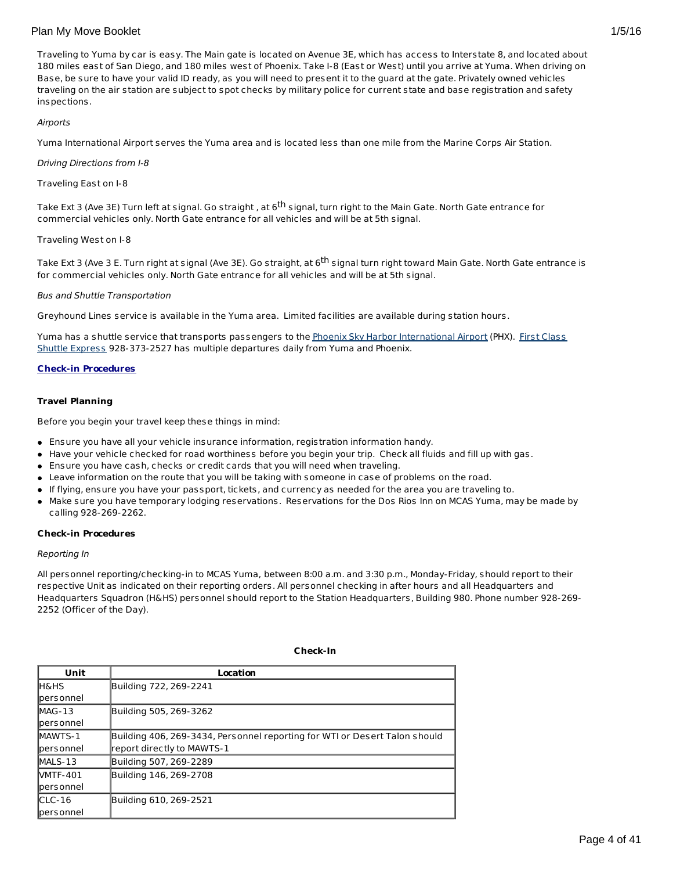Traveling to Yuma by car is easy. The Main gate is located on Avenue 3E, which has access to Interstate 8, and located about 180 miles east of San Diego, and 180 miles west of Phoenix. Take I-8 (East or West) until you arrive at Yuma. When driving on Base, be sure to have your valid ID ready, as you will need to present it to the guard at the gate. Privately owned vehicles traveling on the air station are subject to spot checks by military police for current state and base registration and safety inspections.

# Airports

Yuma International Airport serves the Yuma area and is located less than one mile from the Marine Corps Air Station.

### Driving Directions from I-8

Traveling East on I-8

Take Ext 3 (Ave 3E) Turn left at signal. Go straight , at 6<sup>th</sup> signal, turn right to the Main Gate. North Gate entrance for commercial vehicles only. North Gate entrance for all vehicles and will be at 5th signal.

### Traveling West on I-8

Take Ext 3 (Ave 3 E. Turn right at signal (Ave 3E). Go straight, at 6<sup>th</sup> signal turn right toward Main Gate. North Gate entrance is for commercial vehicles only. North Gate entrance for all vehicles and will be at 5th signal.

### Bus and Shuttle Transportation

Greyhound Lines service is available in the Yuma area. Limited facilities are available during station hours.

Yuma has a shuttle service that transports passengers to the Phoenix Sky Harbor [International](http://www.yuma1stclass.com/) Airport (PHX). First Class Shuttle Express 928-373-2527 has multiple departures daily from Yuma and Phoenix.

# **Check-in Procedures**

### **Travel Planning**

Before you begin your travel keep these things in mind:

- Ensure you have all your vehicle insurance information, registration information handy.
- Have your vehicle checked for road worthiness before you begin your trip. Check all fluids and fill up with gas.
- Ensure you have cash, checks or credit cards that you will need when traveling.
- Leave information on the route that you will be taking with someone in case of problems on the road.
- If flying, ensure you have your passport, tickets, and currency as needed for the area you are traveling to.
- Make sure you have temporary lodging reservations. Reservations for the Dos Rios Inn on MCAS Yuma, may be made by calling 928-269-2262.

#### **Check-in Procedures**

#### Reporting In

All personnel reporting/checking-in to MCAS Yuma, between 8:00 a.m. and 3:30 p.m., Monday-Friday, should report to their respective Unit as indicated on their reporting orders. All personnel checking in after hours and all Headquarters and Headquarters Squadron (H&HS) personnel should report to the Station Headquarters, Building 980. Phone number 928-269- 2252 (Officer of the Day).

| Unit              | Location                                                                   |
|-------------------|----------------------------------------------------------------------------|
| <b>IH&amp;HS</b>  | Building 722, 269-2241                                                     |
| personnel         |                                                                            |
| $MAG-13$          | Building 505, 269-3262                                                     |
| <b>lpersonnel</b> |                                                                            |
| <b>MAWTS-1</b>    | Building 406, 269-3434, Personnel reporting for WTI or Desert Talon should |
| personnel         | report directly to MAWTS-1                                                 |
| MALS-13           | Building 507, 269-2289                                                     |
| <b>NMTF-401</b>   | Building 146, 269-2708                                                     |
| <b>lpersonnel</b> |                                                                            |
| $CLC-16$          | Building 610, 269-2521                                                     |
| lpers onnel       |                                                                            |

**Check-In**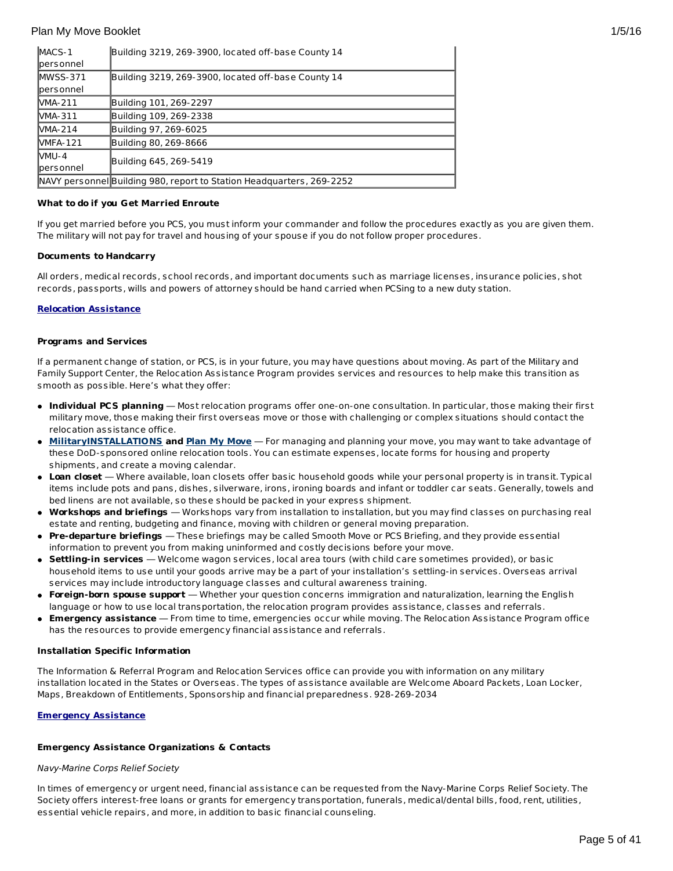| MACS-1           | Building 3219, 269-3900, located off-base County 14                   |
|------------------|-----------------------------------------------------------------------|
| personnel        |                                                                       |
| $MWSS-371$       | Building 3219, 269-3900, located off-base County 14                   |
| <b>personnel</b> |                                                                       |
| <b>NMA-211</b>   | Building 101, 269-2297                                                |
| MMA-311          | Building 109, 269-2338                                                |
| <b>NMA-214</b>   | Building 97, 269-6025                                                 |
| <b>NMFA-121</b>  | Building 80, 269-8666                                                 |
| MMU-4            | Building 645, 269-5419                                                |
| <b>personnel</b> |                                                                       |
|                  | NAVY personnel Building 980, report to Station Headquarters, 269-2252 |

## **What to do if you Get Married Enroute**

If you get married before you PCS, you must inform your commander and follow the procedures exactly as you are given them. The military will not pay for travel and housing of your spouse if you do not follow proper procedures.

### **Documents to Handcarry**

All orders, medical records, school records, and important documents such as marriage licenses, insurance policies, shot records, passports, wills and powers of attorney should be hand carried when PCSing to a new duty station.

### **Relocation Assistance**

#### **Programs and Services**

If a permanent change of station, or PCS, is in your future, you may have questions about moving. As part of the Military and Family Support Center, the Relocation Assistance Program provides services and resources to help make this transition as smooth as possible. Here's what they offer:

- **Individual PCS planning** Most relocation programs offer one-on-one consultation. In particular, those making their first military move, those making their first overseas move or those with challenging or complex situations should contact the relocation assistance office.
- **[MilitaryINSTALLATIONS](http://www.militaryinstallations.dod.mil) and Plan My [Move](http://apps.militaryonesource.mil/MOS/f?p=PMM:ENTRY:0)** For managing and planning your move, you may want to take advantage of these DoD-sponsored online relocation tools. You can estimate expenses, locate forms for housing and property shipments, and create a moving calendar.
- **Loan closet** Where available, loan closets offer basic household goods while your personal property is in transit. Typical items include pots and pans, dishes, silverware, irons, ironing boards and infant or toddler car seats. Generally, towels and bed linens are not available, so these should be packed in your express shipment.
- **Workshops and briefings** Workshops vary from installation to installation, but you may find classes on purchasing real estate and renting, budgeting and finance, moving with children or general moving preparation.
- **Pre-departure briefings** These briefings may be called Smooth Move or PCS Briefing, and they provide essential information to prevent you from making uninformed and costly decisions before your move.
- **Settling-in services** Welcome wagon services, local area tours (with child care sometimes provided), or basic household items to use until your goods arrive may be a part of your installation's settling-in services. Overseas arrival services may include introductory language classes and cultural awareness training.
- **Foreign-born spouse support** Whether your question concerns immigration and naturalization, learning the English language or how to use local transportation, the relocation program provides assistance, classes and referrals.
- **Emergency assistance** From time to time, emergencies occur while moving. The Relocation Assistance Program office has the resources to provide emergency financial assistance and referrals.

#### **Installation Specific Information**

The Information & Referral Program and Relocation Services office can provide you with information on any military installation located in the States or Overseas. The types of assistance available are Welcome Aboard Packets, Loan Locker, Maps, Breakdown of Entitlements, Sponsorship and financial preparedness. 928-269-2034

#### **Emergency Assistance**

#### **Emergency Assistance Organizations & Contacts**

#### Navy-Marine Corps Relief Society

In times of emergency or urgent need, financial assistance can be requested from the Navy-Marine Corps Relief Society. The Society offers interest-free loans or grants for emergency transportation, funerals, medical/dental bills, food, rent, utilities, essential vehicle repairs, and more, in addition to basic financial counseling.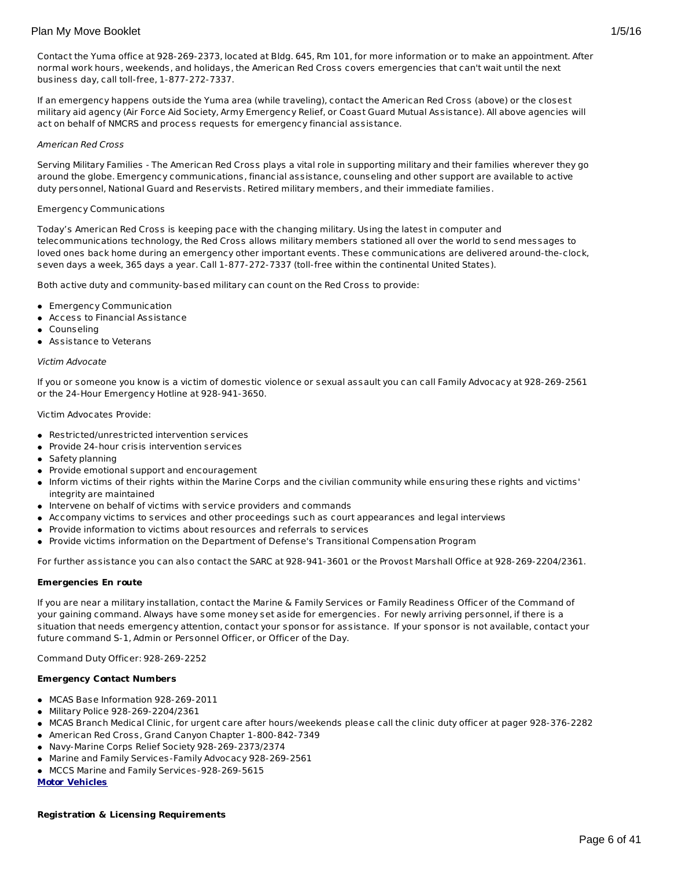Contact the Yuma office at 928-269-2373, located at Bldg. 645, Rm 101, for more information or to make an appointment. After normal work hours, weekends, and holidays, the American Red Cross covers emergencies that can't wait until the next business day, call toll-free, 1-877-272-7337.

If an emergency happens outside the Yuma area (while traveling), contact the American Red Cross (above) or the closest military aid agency (Air Force Aid Society, Army Emergency Relief, or Coast Guard Mutual Assistance). All above agencies will act on behalf of NMCRS and process requests for emergency financial assistance.

### American Red Cross

Serving Military Families - The American Red Cross plays a vital role in supporting military and their families wherever they go around the globe. Emergency communications, financial assistance, counseling and other support are available to active duty personnel, National Guard and Reservists. Retired military members, and their immediate families.

# Emergency Communications

Today's American Red Cross is keeping pace with the changing military. Using the latest in computer and telecommunications technology, the Red Cross allows military members stationed all over the world to send messages to loved ones back home during an emergency other important events. These communications are delivered around-the-clock, seven days a week, 365 days a year. Call 1-877-272-7337 (toll-free within the continental United States).

Both active duty and community-based military can count on the Red Cross to provide:

- Emergency Communication
- Access to Financial Assistance
- Counseling
- Assistance to Veterans

#### Victim Advocate

If you or someone you know is a victim of domestic violence or sexual assault you can call Family Advocacy at 928-269-2561 or the 24-Hour Emergency Hotline at 928-941-3650.

Victim Advocates Provide:

- Restricted/unrestricted intervention services
- Provide 24-hour crisis intervention services
- Safety planning
- **•** Provide emotional support and encouragement
- Inform victims of their rights within the Marine Corps and the civilian community while ensuring these rights and victims' integrity are maintained
- $\bullet$  Intervene on behalf of victims with service providers and commands
- Accompany victims to services and other proceedings such as court appearances and legal interviews
- Provide information to victims about resources and referrals to services
- Provide victims information on the Department of Defense's Transitional Compensation Program

For further assistance you can also contact the SARC at 928-941-3601 or the Provost Marshall Office at 928-269-2204/2361.

#### **Emergencies En route**

If you are near a military installation, contact the Marine & Family Services or Family Readiness Officer of the Command of your gaining command. Always have some money set aside for emergencies. For newly arriving personnel, if there is a situation that needs emergency attention, contact your sponsor for assistance. If your sponsor is not available, contact your future command S-1, Admin or Personnel Officer, or Officer of the Day.

Command Duty Officer: 928-269-2252

# **Emergency Contact Numbers**

- MCAS Base Information 928-269-2011
- Military Police 928-269-2204/2361
- MCAS Branch Medical Clinic, for urgent care after hours/weekends please call the clinic duty officer at pager 928-376-2282
- American Red Cross, Grand Canyon Chapter 1-800-842-7349
- Navy-Marine Corps Relief Society 928-269-2373/2374
- Marine and Family Services-Family Advocacy 928-269-2561
- MCCS Marine and Family Services-928-269-5615

**Motor Vehicles**

#### **Registration & Licensing Requirements**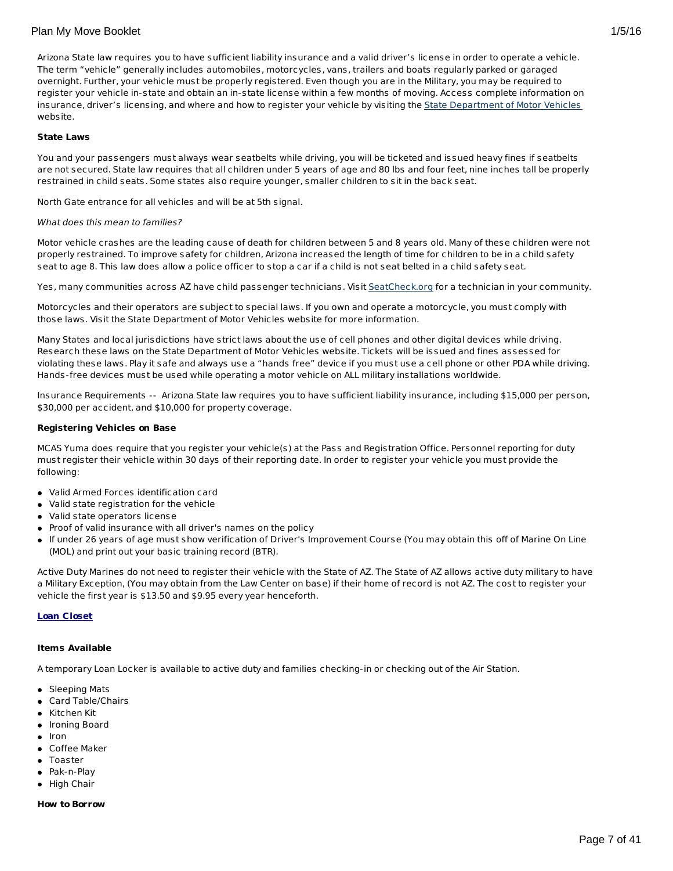Arizona State law requires you to have sufficient liability insurance and a valid driver's license in order to operate a vehicle. The term "vehicle" generally includes automobiles, motorcycles, vans, trailers and boats regularly parked or garaged overnight. Further, your vehicle must be properly registered. Even though you are in the Military, you may be required to register your vehicle in-state and obtain an in-state license within a few months of moving. Access complete information on insurance, driver's licensing, and where and how to register your vehicle by visiting the State [Department](http://www.azdot.gov/mvd/index.asp) of Motor Vehicles website.

### **State Laws**

You and your passengers must always wear seatbelts while driving, you will be ticketed and issued heavy fines if seatbelts are not secured. State law requires that all children under 5 years of age and 80 lbs and four feet, nine inches tall be properly restrained in child seats. Some states also require younger, smaller children to sit in the back seat.

North Gate entrance for all vehicles and will be at 5th signal.

### What does this mean to families?

Motor vehicle crashes are the leading cause of death for children between 5 and 8 years old. Many of these children were not properly restrained. To improve safety for children, Arizona increased the length of time for children to be in a child safety seat to age 8. This law does allow a police officer to stop a car if a child is not seat belted in a child safety seat.

Yes, many communities across AZ have child passenger technicians. Visit [SeatCheck.org](http://www.seatcheck.org/) for a technician in your community.

Motorcycles and their operators are subject to special laws. If you own and operate a motorcycle, you must comply with those laws. Visit the State Department of Motor Vehicles website for more information.

Many States and local jurisdictions have strict laws about the use of cell phones and other digital devices while driving. Research these laws on the State Department of Motor Vehicles website. Tickets will be issued and fines assessed for violating these laws. Play it safe and always use a "hands free" device if you must use a cell phone or other PDA while driving. Hands-free devices must be used while operating a motor vehicle on ALL military installations worldwide.

Insurance Requirements -- Arizona State law requires you to have sufficient liability insurance, including \$15,000 per person, \$30,000 per accident, and \$10,000 for property coverage.

## **Registering Vehicles on Base**

MCAS Yuma does require that you register your vehicle(s) at the Pass and Registration Office. Personnel reporting for duty must register their vehicle within 30 days of their reporting date. In order to register your vehicle you must provide the following:

- Valid Armed Forces identification card
- Valid state registration for the vehicle
- Valid state operators license
- Proof of valid insurance with all driver's names on the policy
- If under 26 years of age must show verification of Driver's Improvement Course (You may obtain this off of Marine On Line (MOL) and print out your basic training record (BTR).

Active Duty Marines do not need to register their vehicle with the State of AZ. The State of AZ allows active duty military to have a Military Exception, (You may obtain from the Law Center on base) if their home of record is not AZ. The cost to register your vehicle the first year is \$13.50 and \$9.95 every year henceforth.

# **Loan Closet**

#### **Items Available**

A temporary Loan Locker is available to active duty and families checking-in or checking out of the Air Station.

- Sleeping Mats
- Card Table/Chairs
- Kitchen Kit
- Ironing Board
- $\bullet$  Iron
- Coffee Maker
- Toaster
- Pak-n-Play
- **•** High Chair

# **How to Borrow**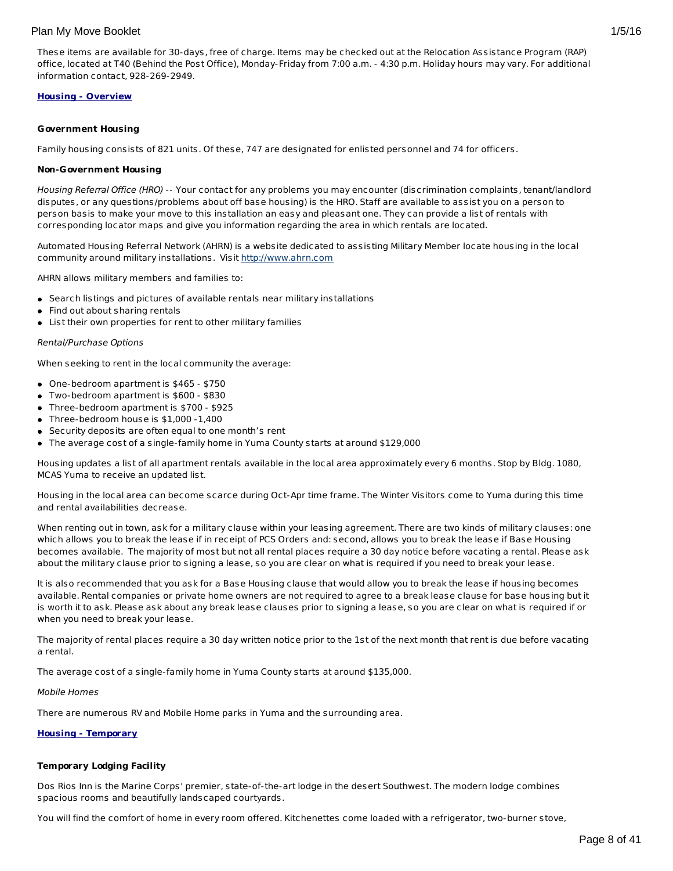These items are available for 30-days, free of charge. Items may be checked out at the Relocation Assistance Program (RAP) office, located at T40 (Behind the Post Office), Monday-Friday from 7:00 a.m. - 4:30 p.m. Holiday hours may vary. For additional information contact, 928-269-2949.

#### **Housing - Overview**

#### **Government Housing**

Family housing consists of 821 units. Of these, 747 are designated for enlisted personnel and 74 for officers.

#### **Non-Government Housing**

Housing Referral Office (HRO) -- Your contact for any problems you may encounter (discrimination complaints, tenant/landlord disputes, or any questions/problems about off base housing) is the HRO. Staff are available to assist you on a person to person basis to make your move to this installation an easy and pleasant one. They can provide a list of rentals with corresponding locator maps and give you information regarding the area in which rentals are located.

Automated Housing Referral Network (AHRN) is a website dedicated to assisting Military Member locate housing in the local community around military installations. Visit <http://www.ahrn.com>

AHRN allows military members and families to:

- Search listings and pictures of available rentals near military installations
- Find out about sharing rentals
- List their own properties for rent to other military families

#### Rental/Purchase Options

When seeking to rent in the local community the average:

- One-bedroom apartment is \$465 \$750
- Two-bedroom apartment is \$600 \$830
- Three-bedroom apartment is \$700 \$925
- Three-bedroom house is \$1,000 -1,400
- Security deposits are often equal to one month's rent
- The average cost of a single-family home in Yuma County starts at around \$129,000

Housing updates a list of all apartment rentals available in the local area approximately every 6 months. Stop by Bldg. 1080, MCAS Yuma to receive an updated list.

Housing in the local area can become scarce during Oct-Apr time frame. The Winter Visitors come to Yuma during this time and rental availabilities decrease.

When renting out in town, ask for a military clause within your leasing agreement. There are two kinds of military clauses: one which allows you to break the lease if in receipt of PCS Orders and: second, allows you to break the lease if Base Housing becomes available. The majority of most but not all rental places require a 30 day notice before vacating a rental. Please ask about the military clause prior to signing a lease, so you are clear on what is required if you need to break your lease.

It is also recommended that you ask for a Base Housing clause that would allow you to break the lease if housing becomes available. Rental companies or private home owners are not required to agree to a break lease clause for base housing but it is worth it to ask. Please ask about any break lease clauses prior to signing a lease, so you are clear on what is required if or when you need to break your lease.

The majority of rental places require a 30 day written notice prior to the 1st of the next month that rent is due before vacating a rental.

The average cost of a single-family home in Yuma County starts at around \$135,000.

#### Mobile Homes

There are numerous RV and Mobile Home parks in Yuma and the surrounding area.

# **Housing - Temporary**

# **Temporary Lodging Facility**

Dos Rios Inn is the Marine Corps' premier, state-of-the-art lodge in the desert Southwest. The modern lodge combines spacious rooms and beautifully landscaped courtyards.

You will find the comfort of home in every room offered. Kitchenettes come loaded with a refrigerator, two-burner stove,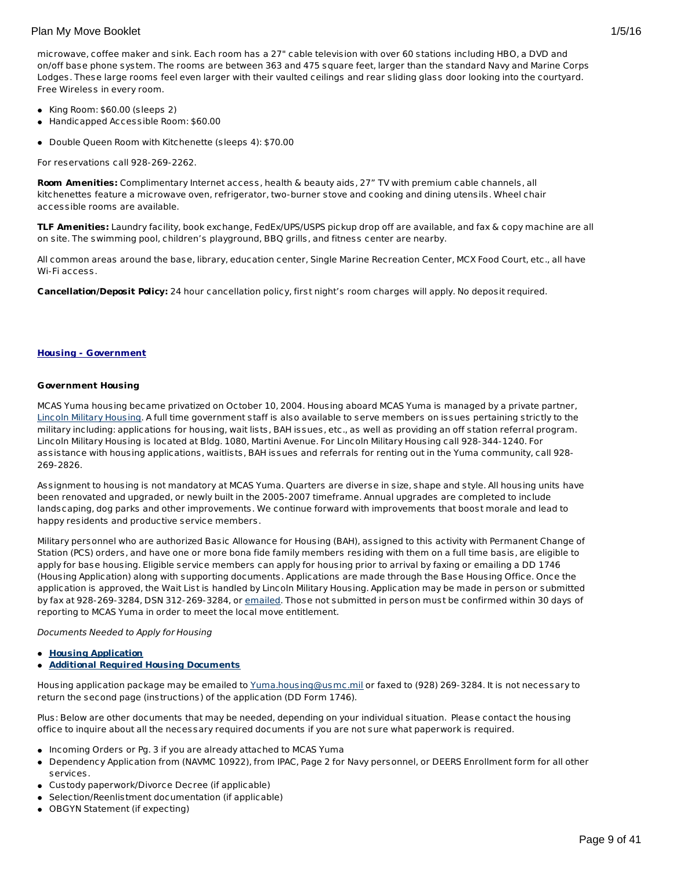microwave, coffee maker and sink. Each room has a 27" cable television with over 60 stations including HBO, a DVD and on/off base phone system. The rooms are between 363 and 475 square feet, larger than the standard Navy and Marine Corps Lodges. These large rooms feel even larger with their vaulted ceilings and rear sliding glass door looking into the courtyard. Free Wireless in every room.

- King Room: \$60.00 (sleeps 2)
- Handicapped Accessible Room: \$60.00
- Double Queen Room with Kitchenette (sleeps 4): \$70.00

For reservations call 928-269-2262.

**Room Amenities:** Complimentary Internet access, health & beauty aids, 27" TV with premium cable channels, all kitchenettes feature a microwave oven, refrigerator, two-burner stove and cooking and dining utensils. Wheel chair accessible rooms are available.

**TLF Amenities:** Laundry facility, book exchange, FedEx/UPS/USPS pickup drop off are available, and fax & copy machine are all on site. The swimming pool, children's playground, BBQ grills, and fitness center are nearby.

All common areas around the base, library, education center, Single Marine Recreation Center, MCX Food Court, etc., all have Wi-Fi access.

**Cancellation/Deposit Policy:** 24 hour cancellation policy, first night's room charges will apply. No deposit required.

#### **Housing - Government**

#### **Government Housing**

MCAS Yuma housing became privatized on October 10, 2004. Housing aboard MCAS Yuma is managed by a private partner, Lincoln Military [Housing](http://www.lpcmil.com/lmh/installations/yuma/). A full time government staff is also available to serve members on issues pertaining strictly to the military including: applications for housing, wait lists, BAH issues, etc., as well as providing an off station referral program. Lincoln Military Housing is located at Bldg. 1080, Martini Avenue. For Lincoln Military Housing call 928-344-1240. For assistance with housing applications, waitlists, BAH issues and referrals for renting out in the Yuma community, call 928- 269-2826.

Assignment to housing is not mandatory at MCAS Yuma. Quarters are diverse in size, shape and style. All housing units have been renovated and upgraded, or newly built in the 2005-2007 timeframe. Annual upgrades are completed to include landscaping, dog parks and other improvements. We continue forward with improvements that boost morale and lead to happy residents and productive service members.

Military personnel who are authorized Basic Allowance for Housing (BAH), assigned to this activity with Permanent Change of Station (PCS) orders, and have one or more bona fide family members residing with them on a full time basis, are eligible to apply for base housing. Eligible service members can apply for housing prior to arrival by faxing or emailing a DD 1746 (Housing Application) along with supporting documents. Applications are made through the Base Housing Office. Once the application is approved, the Wait List is handled by Lincoln Military Housing. Application may be made in person or submitted by fax at 928-269-3284, DSN 312-269-3284, or [emailed](mailto:Yuma.housing@usmc.mil.). Those not submitted in person must be confirmed within 30 days of reporting to MCAS Yuma in order to meet the local move entitlement.

#### Documents Needed to Apply for Housing

- **Housing [Application](http://www.yuma.usmc.mil/services/housing/documents/housingapp.pdf)**
- **Additional Required Housing [Documents](http://www.yuma.usmc.mil/services/housing/documents/housingdoc.pdf)**

Housing application package may be emailed to [Yuma.housing@usmc.mil](mailto:Yuma.housing@usmc.mil) or faxed to (928) 269-3284. It is not necessary to return the second page (instructions) of the application (DD Form 1746).

Plus: Below are other documents that may be needed, depending on your individual situation. Please contact the housing office to inquire about all the necessary required documents if you are not sure what paperwork is required.

- Incoming Orders or Pg. 3 if you are already attached to MCAS Yuma
- Dependency Application from (NAVMC 10922), from IPAC, Page 2 for Navy personnel, or DEERS Enrollment form for all other services.
- Custody paperwork/Divorce Decree (if applicable)
- Selection/Reenlistment documentation (if applicable)
- OBGYN Statement (if expecting)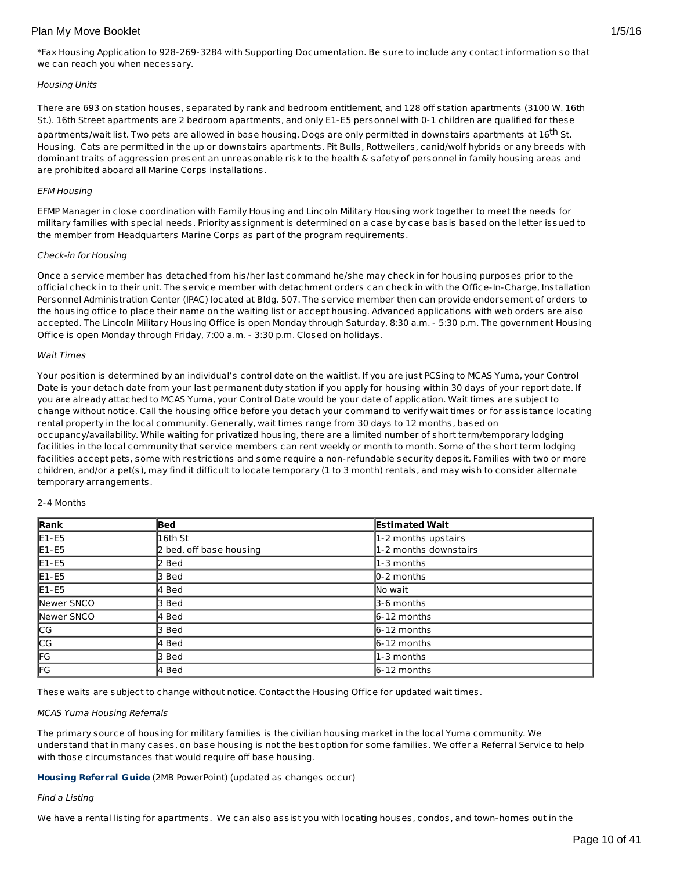\*Fax Housing Application to 928-269-3284 with Supporting Documentation. Be sure to include any contact information so that we can reach you when necessary.

### Housing Units

There are 693 on station houses, separated by rank and bedroom entitlement, and 128 off station apartments (3100 W. 16th St.). 16th Street apartments are 2 bedroom apartments, and only E1-E5 personnel with 0-1 children are qualified for these

apartments/wait list. Two pets are allowed in base housing. Dogs are only permitted in downstairs apartments at 16<sup>th</sup> St. Housing. Cats are permitted in the up or downstairs apartments. Pit Bulls, Rottweilers, canid/wolf hybrids or any breeds with dominant traits of aggression present an unreasonable risk to the health & safety of personnel in family housing areas and are prohibited aboard all Marine Corps installations.

#### EFM Housing

EFMP Manager in close coordination with Family Housing and Lincoln Military Housing work together to meet the needs for military families with special needs. Priority assignment is determined on a case by case basis based on the letter issued to the member from Headquarters Marine Corps as part of the program requirements.

### Check-in for Housing

Once a service member has detached from his/her last command he/she may check in for housing purposes prior to the official check in to their unit. The service member with detachment orders can check in with the Office-In-Charge, Installation Personnel Administration Center (IPAC) located at Bldg. 507. The service member then can provide endorsement of orders to the housing office to place their name on the waiting list or accept housing. Advanced applications with web orders are also accepted. The Lincoln Military Housing Office is open Monday through Saturday, 8:30 a.m. - 5:30 p.m. The government Housing Office is open Monday through Friday, 7:00 a.m. - 3:30 p.m. Closed on holidays.

### Wait Times

Your position is determined by an individual's control date on the waitlist. If you are just PCSing to MCAS Yuma, your Control Date is your detach date from your last permanent duty station if you apply for housing within 30 days of your report date. If you are already attached to MCAS Yuma, your Control Date would be your date of application. Wait times are subject to change without notice. Call the housing office before you detach your command to verify wait times or for assistance locating rental property in the local community. Generally, wait times range from 30 days to 12 months, based on occupancy/availability. While waiting for privatized housing, there are a limited number of short term/temporary lodging facilities in the local community that service members can rent weekly or month to month. Some of the short term lodging facilities accept pets, some with restrictions and some require a non-refundable security deposit. Families with two or more children, and/or a pet(s), may find it difficult to locate temporary (1 to 3 month) rentals, and may wish to consider alternate temporary arrangements.

#### 2-4 Months

| Rank       | Bed                     | <b>Estimated Wait</b>      |
|------------|-------------------------|----------------------------|
| $E1-E5$    | l16th St                | 1-2 months upstairs        |
| $E1-E5$    | 2 bed, off base housing | 1-2 months downstairs      |
| $E1-E5$    | 2 Bed                   | l1-3 months                |
| $E1-E5$    | 3 Bed                   | $\vert 0-2 \rangle$ months |
| $E1-E5$    | 4 Bed                   | lNo wait                   |
| Newer SNCO | 3 Bed                   | 3-6 months                 |
| Newer SNCO | 4 Bed                   | $6 - 12$ months            |
| <b>CG</b>  | 3 Bed                   | $6-12$ months              |
| CG         | l4 Bed                  | $6-12$ months              |
| FG         | 3 Bed                   | l1-3 months                |
| <b>IFG</b> | l4 Bed                  | 6-12 months                |

These waits are subject to change without notice. Contact the Housing Office for updated wait times.

#### MCAS Yuma Housing Referrals

The primary source of housing for military families is the civilian housing market in the local Yuma community. We understand that in many cases, on base housing is not the best option for some families. We offer a Referral Service to help with those circumstances that would require off base housing.

**[Housing](http://www.militaryonesource.mil/12038/MyDoD/MCAS Yuma Housing.pdf) Referral Guide** (2MB PowerPoint) (updated as changes occur)

#### Find a Listing

We have a rental listing for apartments. We can also assist you with locating houses, condos, and town-homes out in the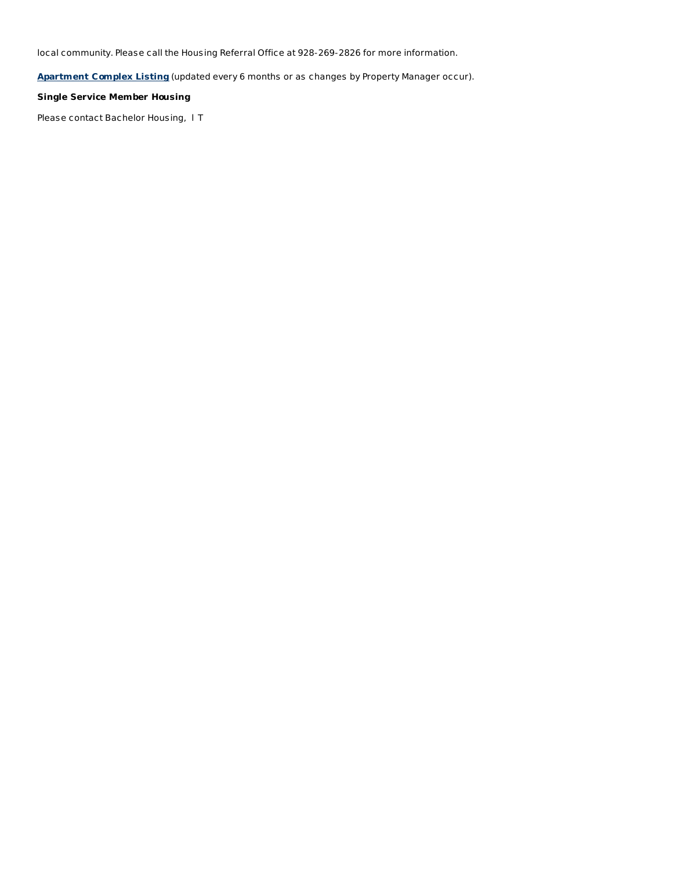local community. Please call the Housing Referral Office at 928-269-2826 for more information.

**[Apartment](http://www.yuma.usmc.mil/services/housing/documents/apartments.html) Complex Listing** (updated every 6 months or as changes by Property Manager occur).

# **Single Service Member Housing**

Please contact Bachelor Housing,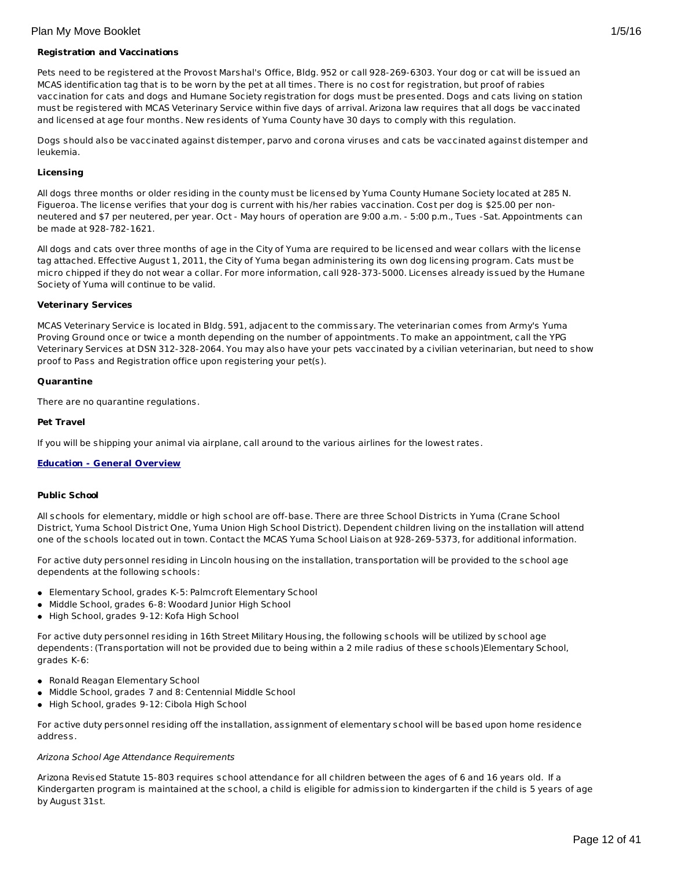Pets need to be registered at the Provost Marshal's Office, Bldg. 952 or call 928-269-6303. Your dog or cat will be issued an MCAS identification tag that is to be worn by the pet at all times. There is no cost for registration, but proof of rabies vaccination for cats and dogs and Humane Society registration for dogs must be presented. Dogs and cats living on station must be registered with MCAS Veterinary Service within five days of arrival. Arizona law requires that all dogs be vaccinated and licensed at age four months. New residents of Yuma County have 30 days to comply with this regulation.

Dogs should also be vaccinated against distemper, parvo and corona viruses and cats be vaccinated against distemper and leukemia.

# **Licensing**

All dogs three months or older residing in the county must be licensed by Yuma County Humane Society located at 285 N. Figueroa. The license verifies that your dog is current with his/her rabies vaccination. Cost per dog is \$25.00 per nonneutered and \$7 per neutered, per year. Oct - May hours of operation are 9:00 a.m. - 5:00 p.m., Tues -Sat. Appointments can be made at 928-782-1621.

All dogs and cats over three months of age in the City of Yuma are required to be licensed and wear collars with the license tag attached. Effective August 1, 2011, the City of Yuma began administering its own dog licensing program. Cats must be micro chipped if they do not wear a collar. For more information, call 928-373-5000. Licenses already issued by the Humane Society of Yuma will continue to be valid.

# **Veterinary Services**

MCAS Veterinary Service is located in Bldg. 591, adjacent to the commissary. The veterinarian comes from Army's Yuma Proving Ground once or twice a month depending on the number of appointments. To make an appointment, call the YPG Veterinary Services at DSN 312-328-2064. You may also have your pets vaccinated by a civilian veterinarian, but need to show proof to Pass and Registration office upon registering your pet(s).

# **Quarantine**

There are no quarantine regulations.

# **Pet Travel**

If you will be shipping your animal via airplane, call around to the various airlines for the lowest rates.

# **Education - General Overview**

# **Public School**

All schools for elementary, middle or high school are off-base. There are three School Districts in Yuma (Crane School District, Yuma School District One, Yuma Union High School District). Dependent children living on the installation will attend one of the schools located out in town. Contact the MCAS Yuma School Liaison at 928-269-5373, for additional information.

For active duty personnel residing in Lincoln housing on the installation, transportation will be provided to the school age dependents at the following schools:

- Elementary School, grades K-5: Palmcroft Elementary School
- Middle School, grades 6-8: Woodard Junior High School
- High School, grades 9-12: Kofa High School

For active duty personnel residing in 16th Street Military Housing, the following schools will be utilized by school age dependents: (Transportation will not be provided due to being within a 2 mile radius of these schools)Elementary School, grades K-6:

- Ronald Reagan Elementary School
- Middle School, grades 7 and 8: Centennial Middle School
- High School, grades 9-12: Cibola High School

For active duty personnel residing off the installation, assignment of elementary school will be based upon home residence address.

#### Arizona School Age Attendance Requirements

Arizona Revised Statute 15-803 requires school attendance for all children between the ages of 6 and 16 years old. If a Kindergarten program is maintained at the school, a child is eligible for admission to kindergarten if the child is 5 years of age by August 31st.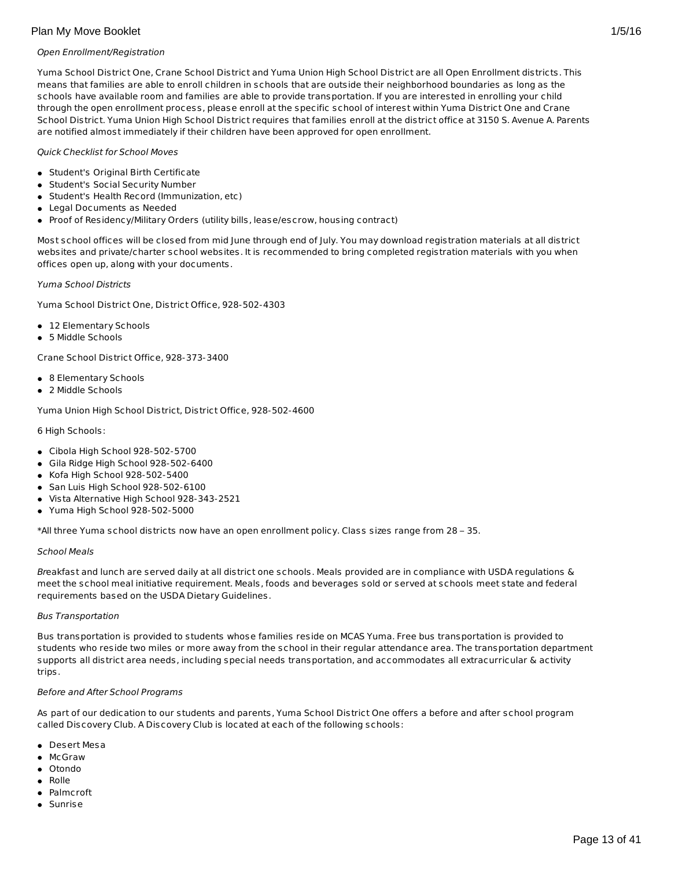## Open Enrollment/Registration

Yuma School District One, Crane School District and Yuma Union High School District are all Open Enrollment districts. This means that families are able to enroll children in schools that are outside their neighborhood boundaries as long as the schools have available room and families are able to provide transportation. If you are interested in enrolling your child through the open enrollment process, please enroll at the specific school of interest within Yuma District One and Crane School District. Yuma Union High School District requires that families enroll at the district office at 3150 S. Avenue A. Parents are notified almost immediately if their children have been approved for open enrollment.

## Quick Checklist for School Moves

- Student's Original Birth Certificate
- Student's Social Security Number
- Student's Health Record (Immunization, etc)
- Legal Documents as Needed
- Proof of Residency/Military Orders (utility bills, lease/escrow, housing contract)

Most school offices will be closed from mid June through end of July. You may download registration materials at all district websites and private/charter school websites. It is recommended to bring completed registration materials with you when offices open up, along with your documents.

#### Yuma School Districts

Yuma School District One, District Office, 928-502-4303

- 12 Elementary Schools
- 5 Middle Schools

Crane School District Office, 928-373-3400

- 8 Elementary Schools
- 2 Middle Schools

Yuma Union High School District, District Office, 928-502-4600

6 High Schools:

- Cibola High School 928-502-5700
- Gila Ridge High School 928-502-6400
- Kofa High School 928-502-5400
- San Luis High School 928-502-6100
- Vista Alternative High School 928-343-2521
- Yuma High School 928-502-5000

\*All three Yuma school districts now have an open enrollment policy. Class sizes range from 28 – 35.

#### School Meals

Breakfast and lunch are served daily at all district one schools. Meals provided are in compliance with USDA regulations & meet the school meal initiative requirement. Meals, foods and beverages sold or served at schools meet state and federal requirements based on the USDA Dietary Guidelines.

#### Bus Transportation

Bus transportation is provided to students whose families reside on MCAS Yuma. Free bus transportation is provided to students who reside two miles or more away from the school in their regular attendance area. The transportation department supports all district area needs, including special needs transportation, and accommodates all extracurricular & activity trips.

#### Before and After School Programs

As part of our dedication to our students and parents, Yuma School District One offers a before and after school program called Discovery Club. A Discovery Club is located at each of the following schools:

- Desert Mesa
- McGraw
- Otondo
- Rolle
- Palmcroft
- Sunrise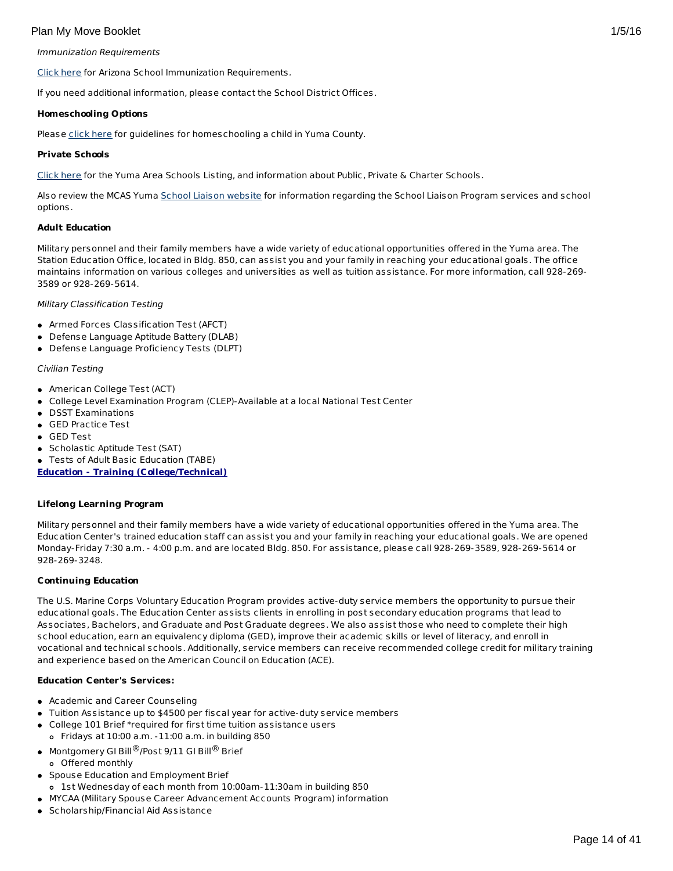### Immunization Requirements

[Click](http://www.azdhs.gov/phs/immun/back2school.htm) here for Arizona School Immunization Requirements.

If you need additional information, please contact the School District Offices.

### **Homeschooling Options**

Please [click](http://www.yumacountyaz.gov/index.aspx?page=331) here for guidelines for homeschooling a child in Yuma County.

### **Private Schools**

[Click](http://www.yuma.usmc-mccs.org/index.cfm/family-life1/school-liaison/yuma-schools/) here for the Yuma Area Schools Listing, and information about Public, Private & Charter Schools.

Also review the MCAS Yuma School Liaison [website](http://www.yuma.usmc-mccs.org/index.cfm/military-family/school-liaison/) for information regarding the School Liaison Program services and school options.

### **Adult Education**

Military personnel and their family members have a wide variety of educational opportunities offered in the Yuma area. The Station Education Office, located in Bldg. 850, can assist you and your family in reaching your educational goals. The office maintains information on various colleges and universities as well as tuition assistance. For more information, call 928-269- 3589 or 928-269-5614.

### Military Classification Testing

- Armed Forces Classification Test (AFCT)
- Defense Language Aptitude Battery (DLAB)
- Defense Language Proficiency Tests (DLPT)

### Civilian Testing

- American College Test (ACT)
- College Level Examination Program (CLEP)-Available at a local National Test Center
- DSST Examinations
- GED Practice Test
- GED Test
- Scholastic Aptitude Test (SAT)

Tests of Adult Basic Education (TABE)

**Education - Training (College/Technical)**

#### **Lifelong Learning Program**

Military personnel and their family members have a wide variety of educational opportunities offered in the Yuma area. The Education Center's trained education staff can assist you and your family in reaching your educational goals. We are opened Monday-Friday 7:30 a.m. - 4:00 p.m. and are located Bldg. 850. For assistance, please call 928-269-3589, 928-269-5614 or 928-269-3248.

# **Continuing Education**

The U.S. Marine Corps Voluntary Education Program provides active-duty service members the opportunity to pursue their educational goals. The Education Center assists clients in enrolling in post secondary education programs that lead to Associates, Bachelors, and Graduate and Post Graduate degrees. We also assist those who need to complete their high school education, earn an equivalency diploma (GED), improve their academic skills or level of literacy, and enroll in vocational and technical schools. Additionally, service members can receive recommended college credit for military training and experience based on the American Council on Education (ACE).

# **Education Center's Services:**

- Academic and Career Counseling
- Tuition Assistance up to \$4500 per fiscal year for active-duty service members
- College 101 Brief \*required for first time tuition assistance users Fridays at 10:00 a.m. -11:00 a.m. in building 850
- $\bullet$  Montgomery GI Bill $^\circledR$ /Post 9/11 GI Bill $^\circledR$  Brief Offered monthly
- **Spouse Education and Employment Brief**
- 1st Wednesday of each month from 10:00am-11:30am in building 850
- MYCAA (Military Spouse Career Advancement Accounts Program) information
- Scholarship/Financial Aid Assistance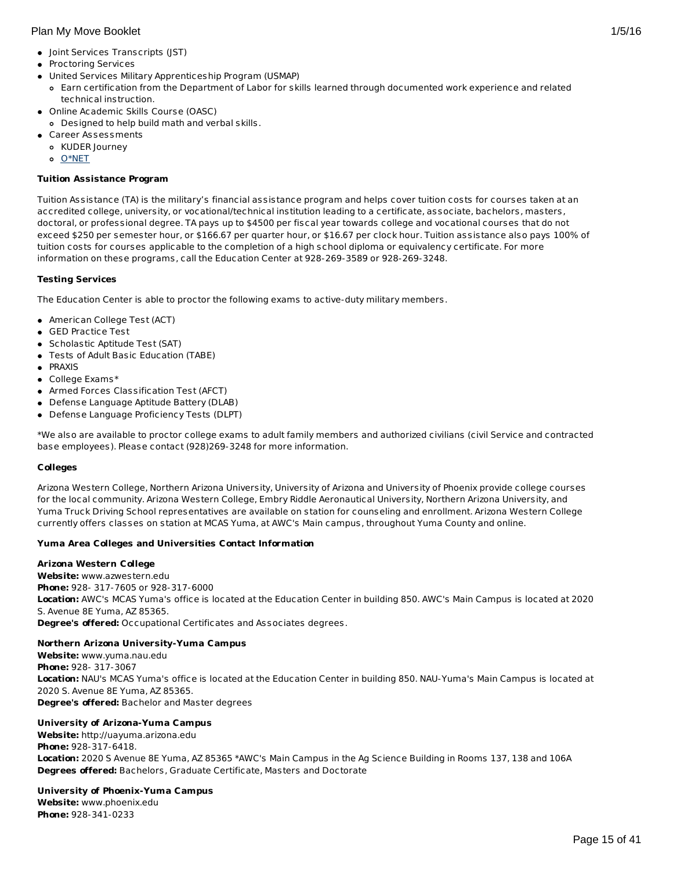- Joint Services Transcripts (JST)
- **•** Proctoring Services
- United Services Military Apprenticeship Program (USMAP)
	- Earn certification from the Department of Labor for skills learned through documented work experience and related technical instruction.
- Online Academic Skills Course (OASC)
- Designed to help build math and verbal skills.
- Career Assessments
	- KUDER Journey
	- o [O\\*NET](http://www.onetonline.org)

# **Tuition Assistance Program**

Tuition Assistance (TA) is the military's financial assistance program and helps cover tuition costs for courses taken at an accredited college, university, or vocational/technical institution leading to a certificate, associate, bachelors, masters, doctoral, or professional degree. TA pays up to \$4500 per fiscal year towards college and vocational courses that do not exceed \$250 per semester hour, or \$166.67 per quarter hour, or \$16.67 per clock hour. Tuition assistance also pays 100% of tuition costs for courses applicable to the completion of a high school diploma or equivalency certificate. For more information on these programs, call the Education Center at 928-269-3589 or 928-269-3248.

# **Testing Services**

The Education Center is able to proctor the following exams to active-duty military members.

- American College Test (ACT)
- GED Practice Test
- Scholastic Aptitude Test (SAT)
- Tests of Adult Basic Education (TABE)
- **PRAXIS**
- College Exams\*
- Armed Forces Classification Test (AFCT)
- Defense Language Aptitude Battery (DLAB)
- Defense Language Proficiency Tests (DLPT)

\*We also are available to proctor college exams to adult family members and authorized civilians (civil Service and contracted base employees). Please contact (928)269-3248 for more information.

# **Colleges**

Arizona Western College, Northern Arizona University, University of Arizona and University of Phoenix provide college courses for the local community. Arizona Western College, Embry Riddle Aeronautical University, Northern Arizona University, and Yuma Truck Driving School representatives are available on station for counseling and enrollment. Arizona Western College currently offers classes on station at MCAS Yuma, at AWC's Main campus, throughout Yuma County and online.

# **Yuma Area Colleges and Universities Contact Information**

# **Arizona Western College**

**Website:** www.azwestern.edu **Phone:** 928- 317-7605 or 928-317-6000 **Location:** AWC's MCAS Yuma's office is located at the Education Center in building 850. AWC's Main Campus is located at 2020 S. Avenue 8E Yuma, AZ 85365. **Degree's offered:** Occupational Certificates and Associates degrees.

# **Northern Arizona University-Yuma Campus**

**Website:** www.yuma.nau.edu **Phone:** 928- 317-3067 **Location:** NAU's MCAS Yuma's office is located at the Education Center in building 850. NAU-Yuma's Main Campus is located at 2020 S. Avenue 8E Yuma, AZ 85365. **Degree's offered:** Bachelor and Master degrees

# **University of Arizona-Yuma Campus**

**Website:** http://uayuma.arizona.edu **Phone:** 928-317-6418. **Location:** 2020 S Avenue 8E Yuma, AZ 85365 \*AWC's Main Campus in the Ag Science Building in Rooms 137, 138 and 106A **Degrees offered:** Bachelors, Graduate Certificate, Masters and Doctorate

# **University of Phoenix-Yuma Campus**

**Website:** www.phoenix.edu **Phone:** 928-341-0233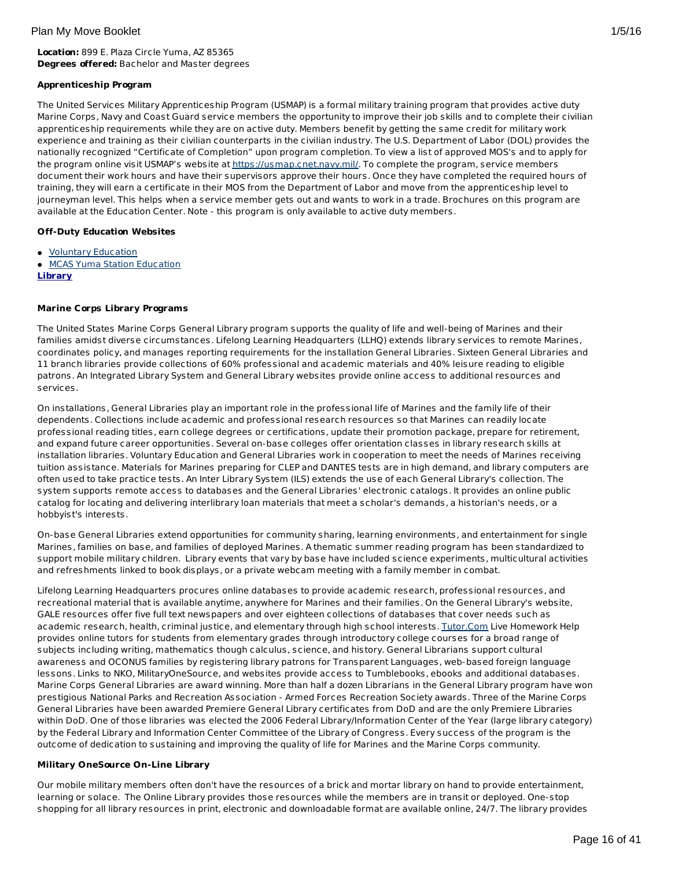# **Location:** 899 E. Plaza Circle Yuma, AZ 85365 **Degrees offered:** Bachelor and Master degrees

# **Apprenticeship Program**

The United Services Military Apprenticeship Program (USMAP) is a formal military training program that provides active duty Marine Corps, Navy and Coast Guard service members the opportunity to improve their job skills and to complete their civilian apprenticeship requirements while they are on active duty. Members benefit by getting the same credit for military work experience and training as their civilian counterparts in the civilian industry. The U.S. Department of Labor (DOL) provides the nationally recognized "Certificate of Completion" upon program completion. To view a list of approved MOS's and to apply for the program online visit USMAP's website at <https://usmap.cnet.navy.mil/>. To complete the program, service members document their work hours and have their supervisors approve their hours. Once they have completed the required hours of training, they will earn a certificate in their MOS from the Department of Labor and move from the apprenticeship level to journeyman level. This helps when a service member gets out and wants to work in a trade. Brochures on this program are available at the Education Center. Note - this program is only available to active duty members.

# **Off-Duty Education Websites**

- Voluntary [Education](http://apps.militaryonesource.mil/MOS/f?p=VOLED:Home:0)
- **MCAS Yuma Station [Education](#page-20-0)**
- **Library**

# **Marine Corps Library Programs**

The United States Marine Corps General Library program supports the quality of life and well-being of Marines and their families amidst diverse circumstances. Lifelong Learning Headquarters (LLHQ) extends library services to remote Marines, coordinates policy, and manages reporting requirements for the installation General Libraries. Sixteen General Libraries and 11 branch libraries provide collections of 60% professional and academic materials and 40% leisure reading to eligible patrons. An Integrated Library System and General Library websites provide online access to additional resources and services.

On installations, General Libraries play an important role in the professional life of Marines and the family life of their dependents. Collections include academic and professional research resources so that Marines can readily locate professional reading titles, earn college degrees or certifications, update their promotion package, prepare for retirement, and expand future career opportunities. Several on-base colleges offer orientation classes in library research skills at installation libraries. Voluntary Education and General Libraries work in cooperation to meet the needs of Marines receiving tuition assistance. Materials for Marines preparing for CLEP and DANTES tests are in high demand, and library computers are often used to take practice tests. An Inter Library System (ILS) extends the use of each General Library's collection. The system supports remote access to databases and the General Libraries' electronic catalogs. It provides an online public catalog for locating and delivering interlibrary loan materials that meet a scholar's demands, a historian's needs, or a hobbyist's interests.

On-base General Libraries extend opportunities for community sharing, learning environments, and entertainment for single Marines, families on base, and families of deployed Marines. A thematic summer reading program has been standardized to support mobile military children. Library events that vary by base have included science experiments, multicultural activities and refreshments linked to book displays, or a private webcam meeting with a family member in combat.

Lifelong Learning Headquarters procures online databases to provide academic research, professional resources, and recreational material that is available anytime, anywhere for Marines and their families. On the General Library's website, GALE resources offer five full text newspapers and over eighteen collections of databases that cover needs such as academic research, health, criminal justice, and elementary through high school interests. [Tutor.Com](http://www.tutor.com/military) Live Homework Help provides online tutors for students from elementary grades through introductory college courses for a broad range of subjects including writing, mathematics though calculus, science, and history. General Librarians support cultural awareness and OCONUS families by registering library patrons for Transparent Languages, web-based foreign language lessons. Links to NKO, MilitaryOneSource, and websites provide access to Tumblebooks, ebooks and additional databases. Marine Corps General Libraries are award winning. More than half a dozen Librarians in the General Library program have won prestigious National Parks and Recreation Association - Armed Forces Recreation Society awards. Three of the Marine Corps General Libraries have been awarded Premiere General Library certificates from DoD and are the only Premiere Libraries within DoD. One of those libraries was elected the 2006 Federal Library/Information Center of the Year (large library category) by the Federal Library and Information Center Committee of the Library of Congress. Every success of the program is the outcome of dedication to sustaining and improving the quality of life for Marines and the Marine Corps community.

# **Military OneSource On-Line Library**

Our mobile military members often don't have the resources of a brick and mortar library on hand to provide entertainment, learning or solace. The Online Library provides those resources while the members are in transit or deployed. One-stop shopping for all library resources in print, electronic and downloadable format are available online, 24/7. The library provides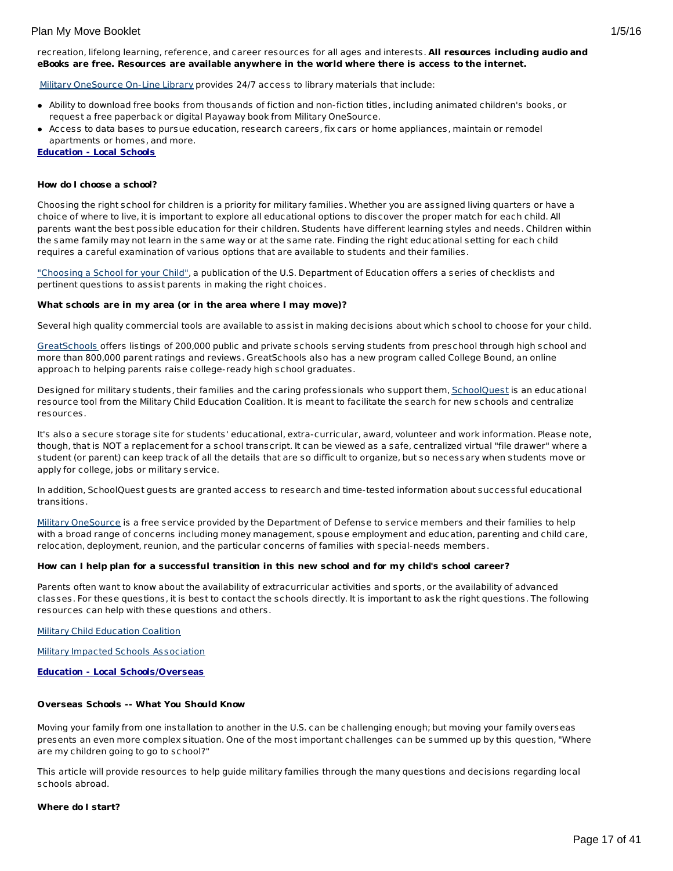recreation, lifelong learning, reference, and career resources for all ages and interests. **All resources including audio and eBooks are free. Resources are available anywhere in the world where there is access to the internet.**

Military [OneSource](http://www.militaryonesource.mil) On-Line Library provides 24/7 access to library materials that include:

- Ability to download free books from thousands of fiction and non-fiction titles, including animated children's books, or request a free paperback or digital Playaway book from Military OneSource.
- Access to data bases to pursue education, research careers, fix cars or home appliances, maintain or remodel apartments or homes, and more.

**Education - Local Schools**

#### **How do I choose a school?**

Choosing the right school for children is a priority for military families. Whether you are assigned living quarters or have a choice of where to live, it is important to explore all educational options to discover the proper match for each child. All parents want the best possible education for their children. Students have different learning styles and needs. Children within the same family may not learn in the same way or at the same rate. Finding the right educational setting for each child requires a careful examination of various options that are available to students and their families.

["Choosing](http://www2.ed.gov/parents/schools/find/choose/index.html) a School for your Child", a publication of the U.S. Department of Education offers a series of checklists and pertinent questions to assist parents in making the right choices.

#### **What schools are in my area (or in the area where I may move)?**

Several high quality commercial tools are available to assist in making decisions about which school to choose for your child.

[GreatSchools](http://www.greatschools.org/) offers listings of 200,000 public and private schools serving students from preschool through high school and more than 800,000 parent ratings and reviews. GreatSchools also has a new program called College Bound, an online approach to helping parents raise college-ready high school graduates.

Designed for military students, their families and the caring professionals who support them, [SchoolQuest](http://www.schoolquest.org/) is an educational resource tool from the Military Child Education Coalition. It is meant to facilitate the search for new schools and centralize resources.

It's also a secure storage site for students' educational, extra-curricular, award, volunteer and work information. Please note, though, that is NOT a replacement for a school transcript. It can be viewed as a safe, centralized virtual "file drawer" where a student (or parent) can keep track of all the details that are so difficult to organize, but so necessary when students move or apply for college, jobs or military service.

In addition, SchoolQuest guests are granted access to research and time-tested information about successful educational transitions.

Military [OneSource](http://www.militaryonesource.mil/) is a free service provided by the Department of Defense to service members and their families to help with a broad range of concerns including money management, spouse employment and education, parenting and child care, relocation, deployment, reunion, and the particular concerns of families with special-needs members.

#### How can I help plan for a successful transition in this new school and for my child's school career?

Parents often want to know about the availability of extracurricular activities and sports, or the availability of advanced classes. For these questions, it is best to contact the schools directly. It is important to ask the right questions. The following resources can help with these questions and others.

Military Child [Education](http://www.militarychild.org/) Coalition

Military Impacted Schools [Association](http://militaryimpactedschoolsassociation.org/)

**Education - Local Schools/Overseas**

#### **Overseas Schools -- What You Should Know**

Moving your family from one installation to another in the U.S. can be challenging enough; but moving your family overseas presents an even more complex situation. One of the most important challenges can be summed up by this question, "Where are my children going to go to school?"

This article will provide resources to help guide military families through the many questions and decisions regarding local schools abroad.

#### **Where do I start?**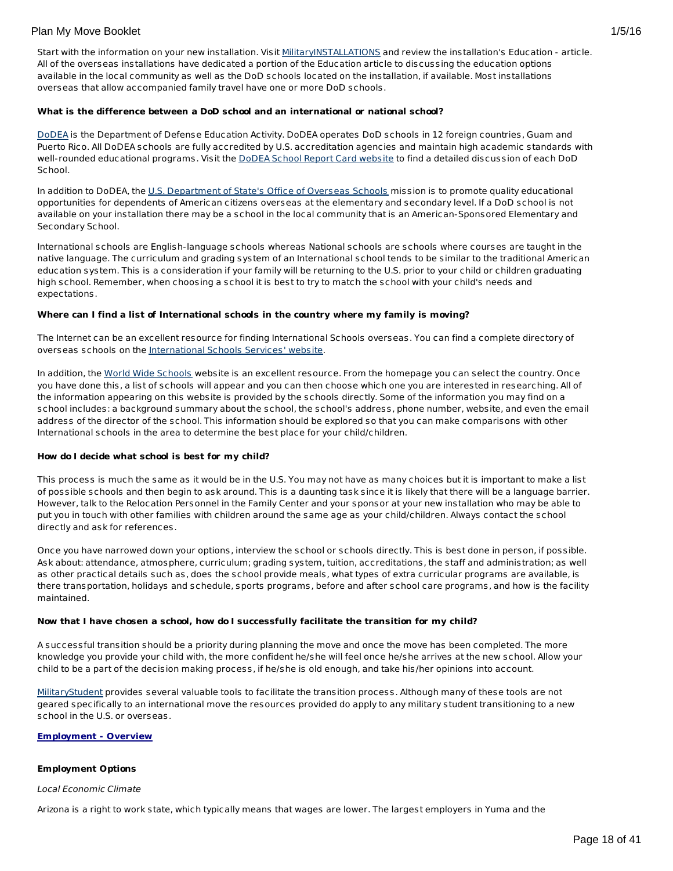Start with the information on your new installation. Visit [MilitaryINSTALLATIONS](http://www.militaryinstallations.dod.mil) and review the installation's Education - article. All of the overseas installations have dedicated a portion of the Education article to discussing the education options available in the local community as well as the DoD schools located on the installation, if available. Most installations overseas that allow accompanied family travel have one or more DoD schools.

#### **What is the difference between a DoD school and an international or national school?**

[DoDEA](http://www.dodea.edu/) is the Department of Defense Education Activity. DoDEA operates DoD schools in 12 foreign countries, Guam and Puerto Rico. All DoDEA schools are fully accredited by U.S. accreditation agencies and maintain high academic standards with well-rounded educational programs. Visit the DoDEA School Report Card [website](https://webapps.dodea.edu/SRC) to find a detailed discussion of each DoD School.

In addition to DoDEA, the U.S. [Department](http://www.state.gov/m/a/os/) of State's Office of Overseas Schools mission is to promote quality educational opportunities for dependents of American citizens overseas at the elementary and secondary level. If a DoD school is not available on your installation there may be a school in the local community that is an American-Sponsored Elementary and Secondary School.

International schools are English-language schools whereas National schools are schools where courses are taught in the native language. The curriculum and grading system of an International school tends to be similar to the traditional American education system. This is a consideration if your family will be returning to the U.S. prior to your child or children graduating high school. Remember, when choosing a school it is best to try to match the school with your child's needs and expectations.

### **Where can I find a list of International schools in the country where my family is moving?**

The Internet can be an excellent resource for finding International Schools overseas. You can find a complete directory of overseas schools on the [International](http://www.iss.edu/) Schools Services' website.

In addition, the World Wide [Schools](http://www.english-schools.org/index.htm) website is an excellent resource. From the homepage you can select the country. Once you have done this, a list of schools will appear and you can then choose which one you are interested in researching. All of the information appearing on this website is provided by the schools directly. Some of the information you may find on a school includes: a background summary about the school, the school's address, phone number, website, and even the email address of the director of the school. This information should be explored so that you can make comparisons with other International schools in the area to determine the best place for your child/children.

#### **How do I decide what school is best for my child?**

This process is much the same as it would be in the U.S. You may not have as many choices but it is important to make a list of possible schools and then begin to ask around. This is a daunting task since it is likely that there will be a language barrier. However, talk to the Relocation Personnel in the Family Center and your sponsor at your new installation who may be able to put you in touch with other families with children around the same age as your child/children. Always contact the school directly and ask for references.

Once you have narrowed down your options, interview the school or schools directly. This is best done in person, if possible. Ask about: attendance, atmosphere, curriculum; grading system, tuition, accreditations, the staff and administration; as well as other practical details such as, does the school provide meals, what types of extra curricular programs are available, is there transportation, holidays and schedule, sports programs, before and after school care programs, and how is the facility maintained.

# **Now that I have chosen a school, how do I successfully facilitate the transition for my child?**

A successful transition should be a priority during planning the move and once the move has been completed. The more knowledge you provide your child with, the more confident he/she will feel once he/she arrives at the new school. Allow your child to be a part of the decision making process, if he/she is old enough, and take his/her opinions into account.

[MilitaryStudent](http://militaryk12partners.dodea.edu/) provides several valuable tools to facilitate the transition process. Although many of these tools are not geared specifically to an international move the resources provided do apply to any military student transitioning to a new school in the U.S. or overseas.

# **Employment - Overview**

# **Employment Options**

#### Local Economic Climate

Arizona is a right to work state, which typically means that wages are lower. The largest employers in Yuma and the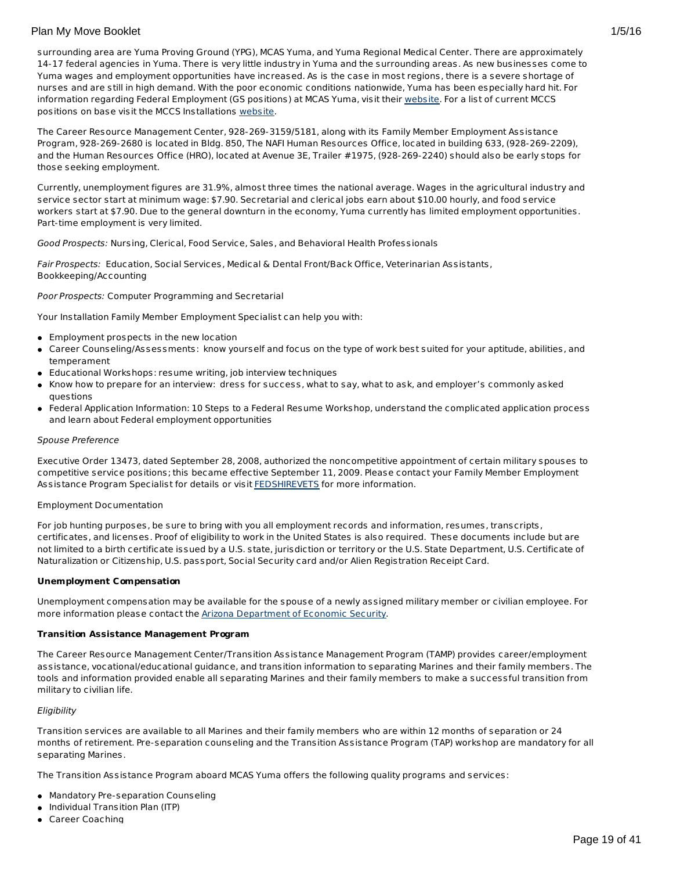surrounding area are Yuma Proving Ground (YPG), MCAS Yuma, and Yuma Regional Medical Center. There are approximately 14-17 federal agencies in Yuma. There is very little industry in Yuma and the surrounding areas. As new businesses come to Yuma wages and employment opportunities have increased. As is the case in most regions, there is a severe shortage of nurses and are still in high demand. With the poor economic conditions nationwide, Yuma has been especially hard hit. For information regarding Federal Employment (GS positions) at MCAS Yuma, visit their [website](http://www.yuma.usmc.mil/information/jobs.html ). For a list of current MCCS positions on base visit the MCCS Installations [website](http://www.usmc-mccs.org/installation/).

The Career Resource Management Center, 928-269-3159/5181, along with its Family Member Employment Assistance Program, 928-269-2680 is located in Bldg. 850, The NAFI Human Resources Office, located in building 633, (928-269-2209), and the Human Resources Office (HRO), located at Avenue 3E, Trailer #1975, (928-269-2240) should also be early stops for those seeking employment.

Currently, unemployment figures are 31.9%, almost three times the national average. Wages in the agricultural industry and service sector start at minimum wage: \$7.90. Secretarial and clerical jobs earn about \$10.00 hourly, and food service workers start at \$7.90. Due to the general downturn in the economy, Yuma currently has limited employment opportunities. Part-time employment is very limited.

Good Prospects: Nursing, Clerical, Food Service, Sales, and Behavioral Health Professionals

Fair Prospects: Education, Social Services, Medical & Dental Front/Back Office, Veterinarian Assistants, Bookkeeping/Accounting

Poor Prospects: Computer Programming and Secretarial

Your Installation Family Member Employment Specialist can help you with:

- Employment prospects in the new location
- Career Counseling/Assessments: know yourself and focus on the type of work best suited for your aptitude, abilities, and temperament
- Educational Workshops: resume writing, job interview techniques
- Know how to prepare for an interview: dress for success, what to say, what to ask, and employer's commonly asked questions
- Federal Application Information: 10 Steps to a Federal Resume Workshop, understand the complicated application process and learn about Federal employment opportunities

#### Spouse Preference

Executive Order 13473, dated September 28, 2008, authorized the noncompetitive appointment of certain military spouses to competitive service positions; this became effective September 11, 2009. Please contact your Family Member Employment Assistance Program Specialist for details or visit [FEDSHIREVETS](http://www.fedshirevets.gov/hire/hrp/qaspouse/index.aspx) for more information.

# Employment Documentation

For job hunting purposes, be sure to bring with you all employment records and information, resumes, transcripts, certificates, and licenses. Proof of eligibility to work in the United States is also required. These documents include but are not limited to a birth certificate issued by a U.S. state, jurisdiction or territory or the U.S. State Department, U.S. Certificate of Naturalization or Citizenship, U.S. passport, Social Security card and/or Alien Registration Receipt Card.

#### **Unemployment Compensation**

Unemployment compensation may be available for the spouse of a newly assigned military member or civilian employee. For more information please contact the **Arizona [Department](http://www.azdes.gov/esa/uibenefits/uibhome.asp) of Economic Security**.

#### **Transition Assistance Management Program**

The Career Resource Management Center/Transition Assistance Management Program (TAMP) provides career/employment assistance, vocational/educational guidance, and transition information to separating Marines and their family members. The tools and information provided enable all separating Marines and their family members to make a successful transition from military to civilian life.

#### **Eligibility**

Transition services are available to all Marines and their family members who are within 12 months of separation or 24 months of retirement. Pre-separation counseling and the Transition Assistance Program (TAP) workshop are mandatory for all separating Marines.

The Transition Assistance Program aboard MCAS Yuma offers the following quality programs and services:

- Mandatory Pre-separation Counseling
- Individual Transition Plan (ITP)
- Career Coaching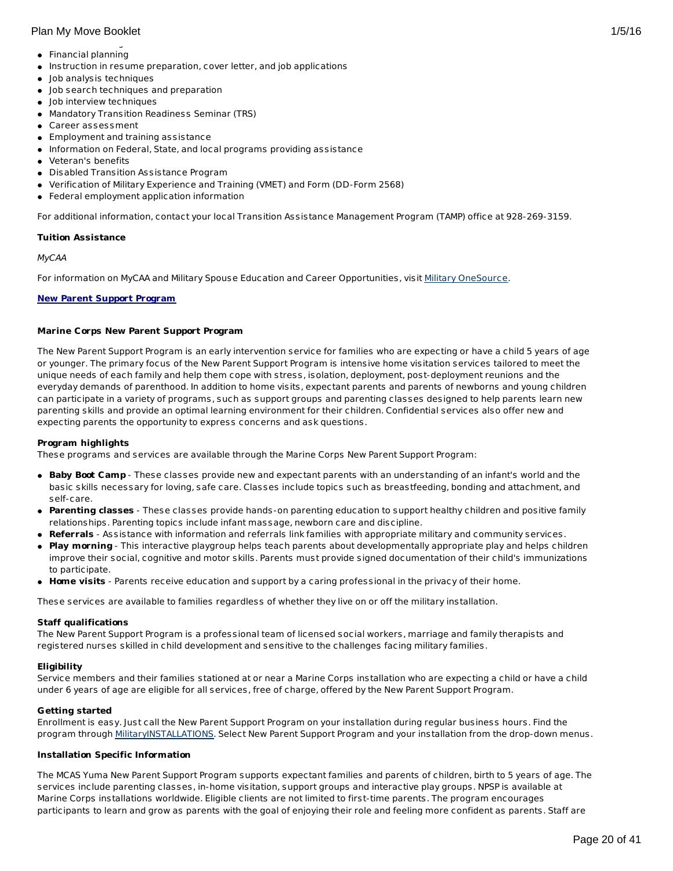- Financial planning
- $\bullet$  Instruction in resume preparation, cover letter, and job applications
- Job analysis techniques
- Job search techniques and preparation
- Job interview techniques
- Mandatory Transition Readiness Seminar (TRS)
- Career assessment
- Employment and training assistance
- $\bullet$  Information on Federal, State, and local programs providing assistance
- Veteran's benefits
- Disabled Transition Assistance Program
- Verification of Military Experience and Training (VMET) and Form (DD-Form 2568)
- Federal employment application information

For additional information, contact your local Transition Assistance Management Program (TAMP) office at 928-269-3159.

### **Tuition Assistance**

### MyCAA

For information on MyCAA and Military Spouse Education and Career Opportunities, visit Military [OneSource](http://www.militaryonesource.mil/MOS/f?p=MOS:TOPIC:0::::SV,UT,LG,CID,TID:ArmyActive,Member,EN,23.50.40.0.0.0.0.0.0,23.50.40.10.0.0.0.0.0).

# **New Parent Support Program**

### **Marine Corps New Parent Support Program**

The New Parent Support Program is an early intervention service for families who are expecting or have a child 5 years of age or younger. The primary focus of the New Parent Support Program is intensive home visitation services tailored to meet the unique needs of each family and help them cope with stress, isolation, deployment, post-deployment reunions and the everyday demands of parenthood. In addition to home visits, expectant parents and parents of newborns and young children can participate in a variety of programs, such as support groups and parenting classes designed to help parents learn new parenting skills and provide an optimal learning environment for their children. Confidential services also offer new and expecting parents the opportunity to express concerns and ask questions.

#### **Program highlights**

These programs and services are available through the Marine Corps New Parent Support Program:

- **Baby Boot Camp** These classes provide new and expectant parents with an understanding of an infant's world and the basic skills necessary for loving, safe care. Classes include topics such as breastfeeding, bonding and attachment, and self-care.
- **Parenting classes** These classes provide hands-on parenting education to support healthy children and positive family relationships. Parenting topics include infant massage, newborn care and discipline.
- **Referrals** Assistance with information and referrals link families with appropriate military and community services.
- **Play morning** This interactive playgroup helps teach parents about developmentally appropriate play and helps children improve their social, cognitive and motor skills. Parents must provide signed documentation of their child's immunizations to participate.
- **Home visits** Parents receive education and support by a caring professional in the privacy of their home.

These services are available to families regardless of whether they live on or off the military installation.

#### **Staff qualifications**

The New Parent Support Program is a professional team of licensed social workers, marriage and family therapists and registered nurses skilled in child development and sensitive to the challenges facing military families.

# **Eligibility**

Service members and their families stationed at or near a Marine Corps installation who are expecting a child or have a child under 6 years of age are eligible for all services, free of charge, offered by the New Parent Support Program.

# **Getting started**

Enrollment is easy. Just call the New Parent Support Program on your installation during regular business hours. Find the program through [MilitaryINSTALLATIONS](http://www.militaryinstallations.dod.mil/). Select New Parent Support Program and your installation from the drop-down menus.

# **Installation Specific Information**

The MCAS Yuma New Parent Support Program supports expectant families and parents of children, birth to 5 years of age. The services include parenting classes, in-home visitation, support groups and interactive play groups. NPSP is available at Marine Corps installations worldwide. Eligible clients are not limited to first-time parents. The program encourages participants to learn and grow as parents with the goal of enjoying their role and feeling more confident as parents. Staff are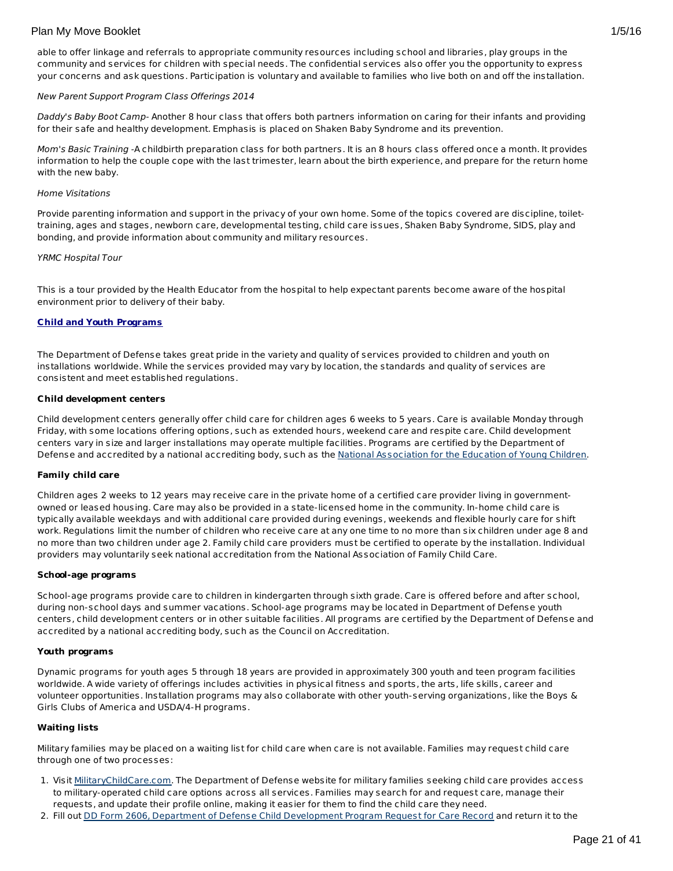<span id="page-20-0"></span>able to offer linkage and referrals to appropriate community resources including school and libraries, play groups in the community and services for children with special needs. The confidential services also offer you the opportunity to express your concerns and ask questions. Participation is voluntary and available to families who live both on and off the installation.

#### New Parent Support Program Class Offerings 2014

Daddy's Baby Boot Camp- Another 8 hour class that offers both partners information on caring for their infants and providing for their safe and healthy development. Emphasis is placed on Shaken Baby Syndrome and its prevention.

Mom's Basic Training -A childbirth preparation class for both partners. It is an 8 hours class offered once a month. It provides information to help the couple cope with the last trimester, learn about the birth experience, and prepare for the return home with the new baby.

#### Home Visitations

Provide parenting information and support in the privacy of your own home. Some of the topics covered are discipline, toilettraining, ages and stages, newborn care, developmental testing, child care issues, Shaken Baby Syndrome, SIDS, play and bonding, and provide information about community and military resources.

#### YRMC Hospital Tour

This is a tour provided by the Health Educator from the hospital to help expectant parents become aware of the hospital environment prior to delivery of their baby.

#### **Child and Youth Programs**

The Department of Defense takes great pride in the variety and quality of services provided to children and youth on installations worldwide. While the services provided may vary by location, the standards and quality of services are consistent and meet established regulations.

#### **Child development centers**

Child development centers generally offer child care for children ages 6 weeks to 5 years. Care is available Monday through Friday, with some locations offering options, such as extended hours, weekend care and respite care. Child development centers vary in size and larger installations may operate multiple facilities. Programs are certified by the Department of Defense and accredited by a national accrediting body, such as the National [Association](http://www.naeyc.org/) for the Education of Young Children.

#### **Family child care**

Children ages 2 weeks to 12 years may receive care in the private home of a certified care provider living in governmentowned or leased housing. Care may also be provided in a state-licensed home in the community. In-home child care is typically available weekdays and with additional care provided during evenings, weekends and flexible hourly care for shift work. Regulations limit the number of children who receive care at any one time to no more than six children under age 8 and no more than two children under age 2. Family child care providers must be certified to operate by the installation. Individual providers may voluntarily seek national accreditation from the National Association of Family Child Care.

#### **School-age programs**

School-age programs provide care to children in kindergarten through sixth grade. Care is offered before and after school, during non-school days and summer vacations. School-age programs may be located in Department of Defense youth centers, child development centers or in other suitable facilities. All programs are certified by the Department of Defense and accredited by a national accrediting body, such as the Council on Accreditation.

#### **Youth programs**

Dynamic programs for youth ages 5 through 18 years are provided in approximately 300 youth and teen program facilities worldwide. A wide variety of offerings includes activities in physical fitness and sports, the arts, life skills, career and volunteer opportunities. Installation programs may also collaborate with other youth-serving organizations, like the Boys & Girls Clubs of America and USDA/4-H programs.

#### **Waiting lists**

Military families may be placed on a waiting list for child care when care is not available. Families may request child care through one of two processes:

- 1. Visit [MilitaryChildCare.com](https://militarychildcare.cnic.navy.mil/mcc-consumer/home/viewhome.action). The Department of Defense website for military families seeking child care provides access to military-operated child care options across all services. Families may search for and request care, manage their requests, and update their profile online, making it easier for them to find the child care they need.
- 2. Fill out DD Form 2606, Department of Defense Child [Development](http://www.dtic.mil/whs/directives/forms/eforms/dd2606.pdf) Program Request for Care Record and return it to the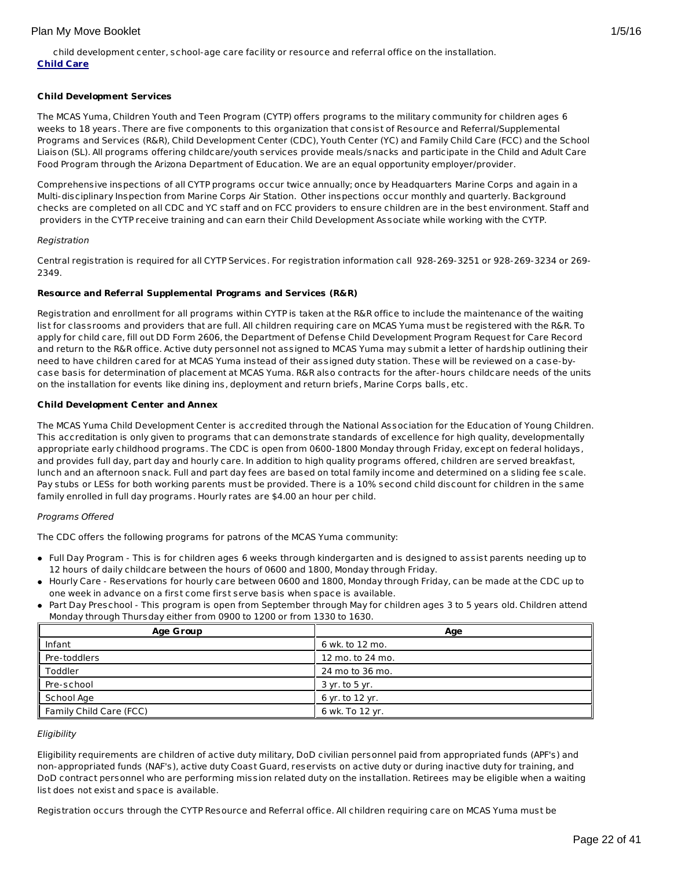child development center, school-age care facility or resource and referral office on the installation. **Child Care**

# **Child Development Services**

The MCAS Yuma, Children Youth and Teen Program (CYTP) offers programs to the military community for children ages 6 weeks to 18 years. There are five components to this organization that consist of Resource and Referral/Supplemental Programs and Services (R&R), Child Development Center (CDC), Youth Center (YC) and Family Child Care (FCC) and the School Liaison (SL). All programs offering childcare/youth services provide meals/snacks and participate in the Child and Adult Care Food Program through the Arizona Department of Education. We are an equal opportunity employer/provider.

Comprehensive inspections of all CYTP programs occur twice annually; once by Headquarters Marine Corps and again in a Multi-disciplinary Inspection from Marine Corps Air Station. Other inspections occur monthly and quarterly. Background checks are completed on all CDC and YC staff and on FCC providers to ensure children are in the best environment. Staff and providers in the CYTP receive training and can earn their Child Development Associate while working with the CYTP.

#### Registration

Central registration is required for all CYTP Services. For registration information call 928-269-3251 or 928-269-3234 or 269- 2349.

### **Resource and Referral Supplemental Programs and Services (R&R)**

Registration and enrollment for all programs within CYTP is taken at the R&R office to include the maintenance of the waiting list for classrooms and providers that are full. All children requiring care on MCAS Yuma must be registered with the R&R. To apply for child care, fill out DD Form 2606, the Department of Defense Child Development Program Request for Care Record and return to the R&R office. Active duty personnel not assigned to MCAS Yuma may submit a letter of hardship outlining their need to have children cared for at MCAS Yuma instead of their assigned duty station. These will be reviewed on a case-bycase basis for determination of placement at MCAS Yuma. R&R also contracts for the after-hours childcare needs of the units on the installation for events like dining ins, deployment and return briefs, Marine Corps balls, etc.

### **Child Development Center and Annex**

The MCAS Yuma Child Development Center is accredited through the National Association for the Education of Young Children. This accreditation is only given to programs that can demonstrate standards of excellence for high quality, developmentally appropriate early childhood programs. The CDC is open from 0600-1800 Monday through Friday, except on federal holidays, and provides full day, part day and hourly care. In addition to high quality programs offered, children are served breakfast, lunch and an afternoon snack. Full and part day fees are based on total family income and determined on a sliding fee scale. Pay stubs or LESs for both working parents must be provided. There is a 10% second child discount for children in the same family enrolled in full day programs. Hourly rates are \$4.00 an hour per child.

#### Programs Offered

The CDC offers the following programs for patrons of the MCAS Yuma community:

- Full Day Program This is for children ages 6 weeks through kindergarten and is designed to assist parents needing up to 12 hours of daily childcare between the hours of 0600 and 1800, Monday through Friday.
- Hourly Care Reservations for hourly care between 0600 and 1800, Monday through Friday, can be made at the CDC up to one week in advance on a first come first serve basis when space is available.
- Part Day Preschool This program is open from September through May for children ages 3 to 5 years old. Children attend Monday through Thursday either from 0900 to 1200 or from 1330 to 1630.

| <b>Age Group</b>        | Age              |
|-------------------------|------------------|
| Infant                  | 6 wk. to 12 mo.  |
| Pre-toddlers            | 12 mo. to 24 mo. |
| Toddler                 | 24 mo to 36 mo.  |
| Pre-school              | 3 yr. to 5 yr.   |
| School Age              | 6 yr. to 12 yr.  |
| Family Child Care (FCC) | 6 wk. To 12 yr.  |

#### **Eligibility**

Eligibility requirements are children of active duty military, DoD civilian personnel paid from appropriated funds (APF's) and non-appropriated funds (NAF's), active duty Coast Guard, reservists on active duty or during inactive duty for training, and DoD contract personnel who are performing mission related duty on the installation. Retirees may be eligible when a waiting list does not exist and space is available.

Registration occurs through the CYTP Resource and Referral office. All children requiring care on MCAS Yuma must be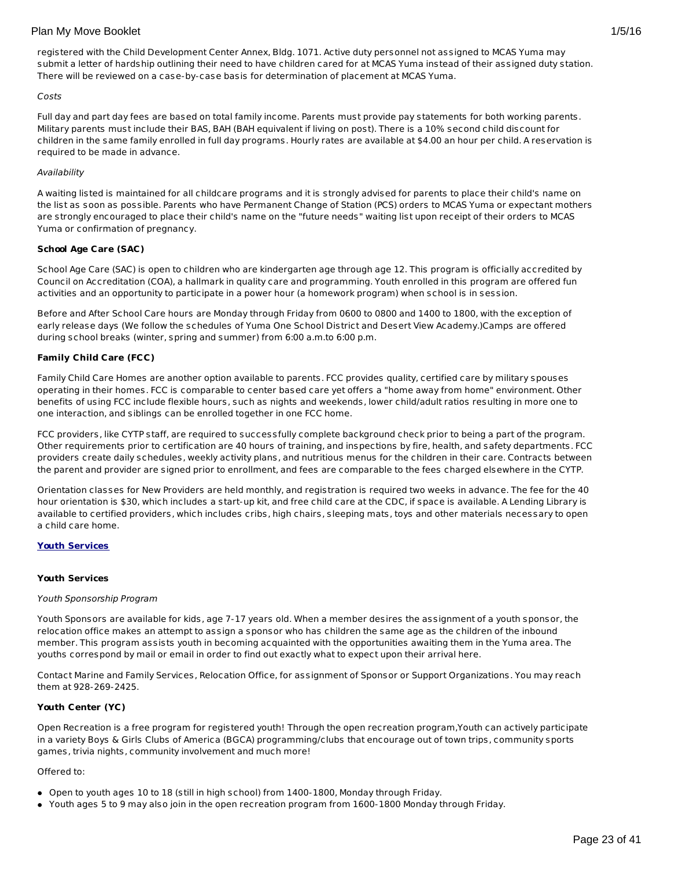registered with the Child Development Center Annex, Bldg. 1071. Active duty personnel not assigned to MCAS Yuma may submit a letter of hardship outlining their need to have children cared for at MCAS Yuma instead of their assigned duty station. There will be reviewed on a case-by-case basis for determination of placement at MCAS Yuma.

#### Costs

Full day and part day fees are based on total family income. Parents must provide pay statements for both working parents. Military parents must include their BAS, BAH (BAH equivalent if living on post). There is a 10% second child discount for children in the same family enrolled in full day programs. Hourly rates are available at \$4.00 an hour per child. A reservation is required to be made in advance.

#### Availability

A waiting listed is maintained for all childcare programs and it is strongly advised for parents to place their child's name on the list as soon as possible. Parents who have Permanent Change of Station (PCS) orders to MCAS Yuma or expectant mothers are strongly encouraged to place their child's name on the "future needs" waiting list upon receipt of their orders to MCAS Yuma or confirmation of pregnancy.

#### **School Age Care (SAC)**

School Age Care (SAC) is open to children who are kindergarten age through age 12. This program is officially accredited by Council on Accreditation (COA), a hallmark in quality care and programming. Youth enrolled in this program are offered fun activities and an opportunity to participate in a power hour (a homework program) when school is in session.

Before and After School Care hours are Monday through Friday from 0600 to 0800 and 1400 to 1800, with the exception of early release days (We follow the schedules of Yuma One School District and Desert View Academy.)Camps are offered during school breaks (winter, spring and summer) from 6:00 a.m.to 6:00 p.m.

#### **Family Child Care (FCC)**

Family Child Care Homes are another option available to parents. FCC provides quality, certified care by military spouses operating in their homes. FCC is comparable to center based care yet offers a "home away from home" environment. Other benefits of using FCC include flexible hours, such as nights and weekends, lower child/adult ratios resulting in more one to one interaction, and siblings can be enrolled together in one FCC home.

FCC providers, like CYTP staff, are required to successfully complete background check prior to being a part of the program. Other requirements prior to certification are 40 hours of training, and inspections by fire, health, and safety departments. FCC providers create daily schedules, weekly activity plans, and nutritious menus for the children in their care. Contracts between the parent and provider are signed prior to enrollment, and fees are comparable to the fees charged elsewhere in the CYTP.

Orientation classes for New Providers are held monthly, and registration is required two weeks in advance. The fee for the 40 hour orientation is \$30, which includes a start-up kit, and free child care at the CDC, if space is available. A Lending Library is available to certified providers, which includes cribs, high chairs, sleeping mats, toys and other materials necessary to open a child care home.

#### **Youth Services**

#### **Youth Services**

#### Youth Sponsorship Program

Youth Sponsors are available for kids, age 7-17 years old. When a member desires the assignment of a youth sponsor, the relocation office makes an attempt to assign a sponsor who has children the same age as the children of the inbound member. This program assists youth in becoming acquainted with the opportunities awaiting them in the Yuma area. The youths correspond by mail or email in order to find out exactly what to expect upon their arrival here.

Contact Marine and Family Services, Relocation Office, for assignment of Sponsor or Support Organizations. You may reach them at 928-269-2425.

# **Youth Center (YC)**

Open Recreation is a free program for registered youth! Through the open recreation program,Youth can actively participate in a variety Boys & Girls Clubs of America (BGCA) programming/clubs that encourage out of town trips, community sports games, trivia nights, community involvement and much more!

#### Offered to:

- Open to youth ages 10 to 18 (still in high school) from 1400-1800, Monday through Friday.
- Youth ages 5 to 9 may also join in the open recreation program from 1600-1800 Monday through Friday.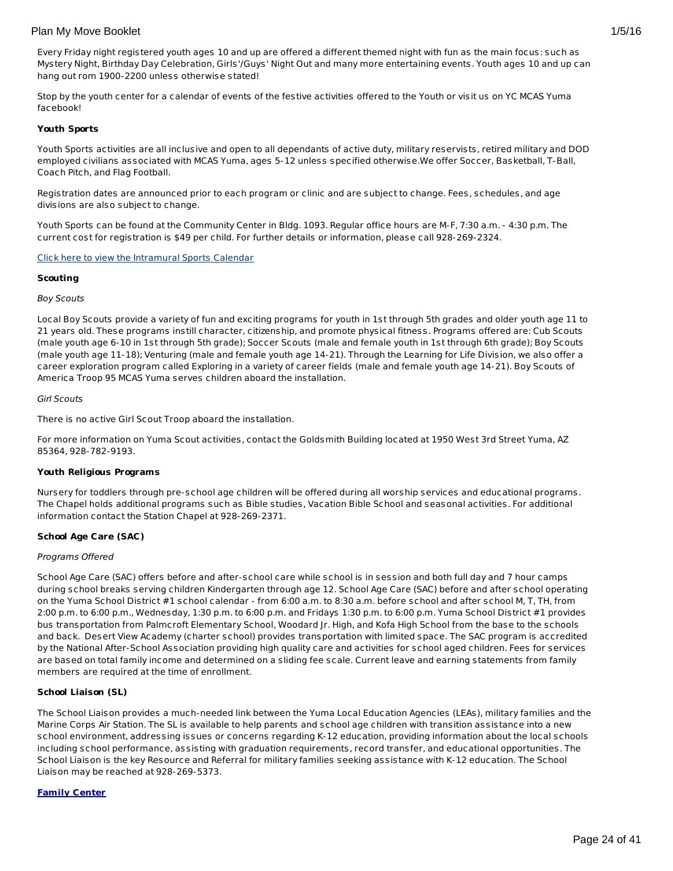Every Friday night registered youth ages 10 and up are offered a different themed night with fun as the main focus: such as Mystery Night, Birthday Day Celebration, Girls'/Guys' Night Out and many more entertaining events. Youth ages 10 and up can hang out rom 1900-2200 unless otherwise stated!

Stop by the youth center for a calendar of events of the festive activities offered to the Youth or visit us on YC MCAS Yuma facebook!

#### **Youth Sports**

Youth Sports activities are all inclusive and open to all dependants of active duty, military reservists, retired military and DOD employed civilians associated with MCAS Yuma, ages 5-12 unless specified otherwise.We offer Soccer, Basketball, T-Ball, Coach Pitch, and Flag Football.

Registration dates are announced prior to each program or clinic and are subject to change. Fees, schedules, and age divisions are also subject to change.

Youth Sports can be found at the Community Center in Bldg. 1093. Regular office hours are M-F, 7:30 a.m. - 4:30 p.m. The current cost for registration is \$49 per child. For further details or information, please call 928-269-2324.

Click here to view the [Intramural](http://www.mccsyuma.org/MCCS YUMA(themed)/assets/File/2012 Youth Sports ch1 Calendar-william.pdf) Sports Calendar

#### **Scouting**

#### Boy Scouts

Local Boy Scouts provide a variety of fun and exciting programs for youth in 1st through 5th grades and older youth age 11 to 21 years old. These programs instill character, citizenship, and promote physical fitness. Programs offered are: Cub Scouts (male youth age 6-10 in 1st through 5th grade); Soccer Scouts (male and female youth in 1st through 6th grade); Boy Scouts (male youth age 11-18); Venturing (male and female youth age 14-21). Through the Learning for Life Division, we also offer a career exploration program called Exploring in a variety of career fields (male and female youth age 14-21). Boy Scouts of America Troop 95 MCAS Yuma serves children aboard the installation.

#### Girl Scouts

There is no active Girl Scout Troop aboard the installation.

For more information on Yuma Scout activities, contact the Goldsmith Building located at 1950 West 3rd Street Yuma, AZ 85364, 928-782-9193.

#### **Youth Religious Programs**

Nursery for toddlers through pre-school age children will be offered during all worship services and educational programs. The Chapel holds additional programs such as Bible studies, Vacation Bible School and seasonal activities. For additional information contact the Station Chapel at 928-269-2371.

#### **School Age Care (SAC)**

#### Programs Offered

School Age Care (SAC) offers before and after-school care while school is in session and both full day and 7 hour camps during school breaks serving children Kindergarten through age 12. School Age Care (SAC) before and after school operating on the Yuma School District #1 school calendar - from 6:00 a.m. to 8:30 a.m. before school and after school M, T, TH, from 2:00 p.m. to 6:00 p.m., Wednesday, 1:30 p.m. to 6:00 p.m. and Fridays 1:30 p.m. to 6:00 p.m. Yuma School District #1 provides bus transportation from Palmcroft Elementary School, Woodard Jr. High, and Kofa High School from the base to the schools and back. Desert View Academy (charter school) provides transportation with limited space. The SAC program is accredited by the National After-School Association providing high quality care and activities for school aged children. Fees for services are based on total family income and determined on a sliding fee scale. Current leave and earning statements from family members are required at the time of enrollment.

#### **School Liaison (SL)**

The School Liaison provides a much-needed link between the Yuma Local Education Agencies (LEAs), military families and the Marine Corps Air Station. The SL is available to help parents and school age children with transition assistance into a new school environment, addressing issues or concerns regarding K-12 education, providing information about the local schools including school performance, assisting with graduation requirements, record transfer, and educational opportunities. The School Liaison is the key Resource and Referral for military families seeking assistance with K-12 education. The School Liaison may be reached at 928-269-5373.

#### **Family Center**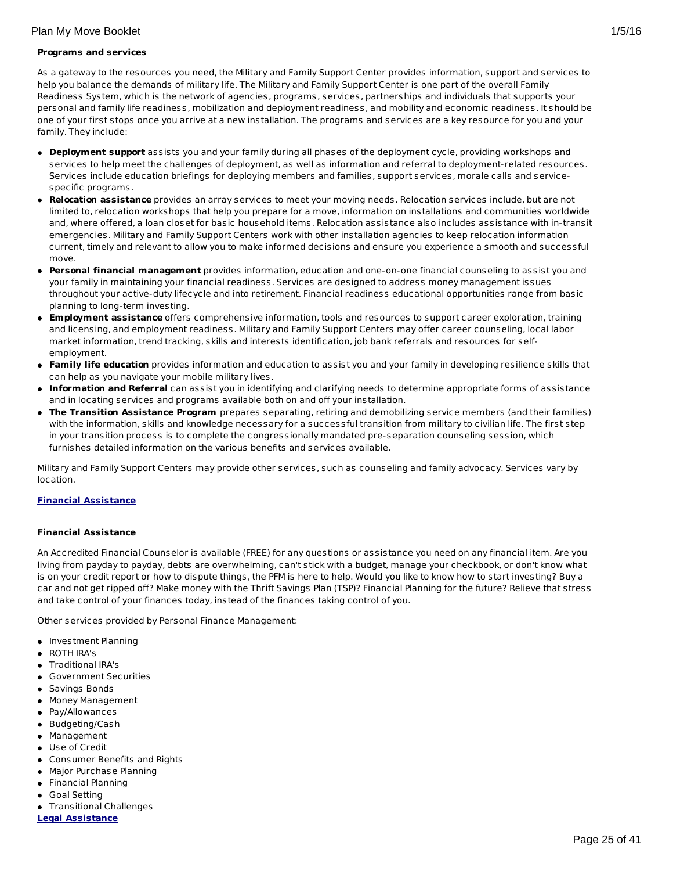# **Programs and services**

As a gateway to the resources you need, the Military and Family Support Center provides information, support and services to help you balance the demands of military life. The Military and Family Support Center is one part of the overall Family Readiness System, which is the network of agencies, programs, services, partnerships and individuals that supports your personal and family life readiness, mobilization and deployment readiness, and mobility and economic readiness. It should be one of your first stops once you arrive at a new installation. The programs and services are a key resource for you and your family. They include:

- **Deployment support** assists you and your family during all phases of the deployment cycle, providing workshops and services to help meet the challenges of deployment, as well as information and referral to deployment-related resources. Services include education briefings for deploying members and families, support services, morale calls and servicespecific programs.
- **Relocation assistance** provides an array services to meet your moving needs. Relocation services include, but are not limited to, relocation workshops that help you prepare for a move, information on installations and communities worldwide and, where offered, a loan closet for basic household items. Relocation assistance also includes assistance with in-transit emergencies. Military and Family Support Centers work with other installation agencies to keep relocation information current, timely and relevant to allow you to make informed decisions and ensure you experience a smooth and successful move.
- **Personal financial management** provides information, education and one-on-one financial counseling to assist you and your family in maintaining your financial readiness. Services are designed to address money management issues throughout your active-duty lifecycle and into retirement. Financial readiness educational opportunities range from basic planning to long-term investing.
- **Employment assistance** offers comprehensive information, tools and resources to support career exploration, training and licensing, and employment readiness. Military and Family Support Centers may offer career counseling, local labor market information, trend tracking, skills and interests identification, job bank referrals and resources for selfemployment.
- **Family life education** provides information and education to assist you and your family in developing resilience skills that can help as you navigate your mobile military lives.
- **Information and Referral** can assist you in identifying and clarifying needs to determine appropriate forms of assistance and in locating services and programs available both on and off your installation.
- **The Transition Assistance Program** prepares separating, retiring and demobilizing service members (and their families) with the information, skills and knowledge necessary for a successful transition from military to civilian life. The first step in your transition process is to complete the congressionally mandated pre-separation counseling session, which furnishes detailed information on the various benefits and services available.

Military and Family Support Centers may provide other services, such as counseling and family advocacy. Services vary by location.

# **Financial Assistance**

# **Financial Assistance**

An Accredited Financial Counselor is available (FREE) for any questions or assistance you need on any financial item. Are you living from payday to payday, debts are overwhelming, can't stick with a budget, manage your checkbook, or don't know what is on your credit report or how to dispute things, the PFM is here to help. Would you like to know how to start investing? Buy a car and not get ripped off? Make money with the Thrift Savings Plan (TSP)? Financial Planning for the future? Relieve that stress and take control of your finances today, instead of the finances taking control of you.

Other services provided by Personal Finance Management:

- **Investment Planning**
- ROTH IRA's
- Traditional IRA's
- Government Securities
- **Savings Bonds**
- Money Management
- Pay/Allowances
- Budgeting/Cash
- Management
- Use of Credit
- Consumer Benefits and Rights
- Major Purchase Planning
- Financial Planning
- **Goal Setting**
- **•** Transitional Challenges
- **Legal Assistance**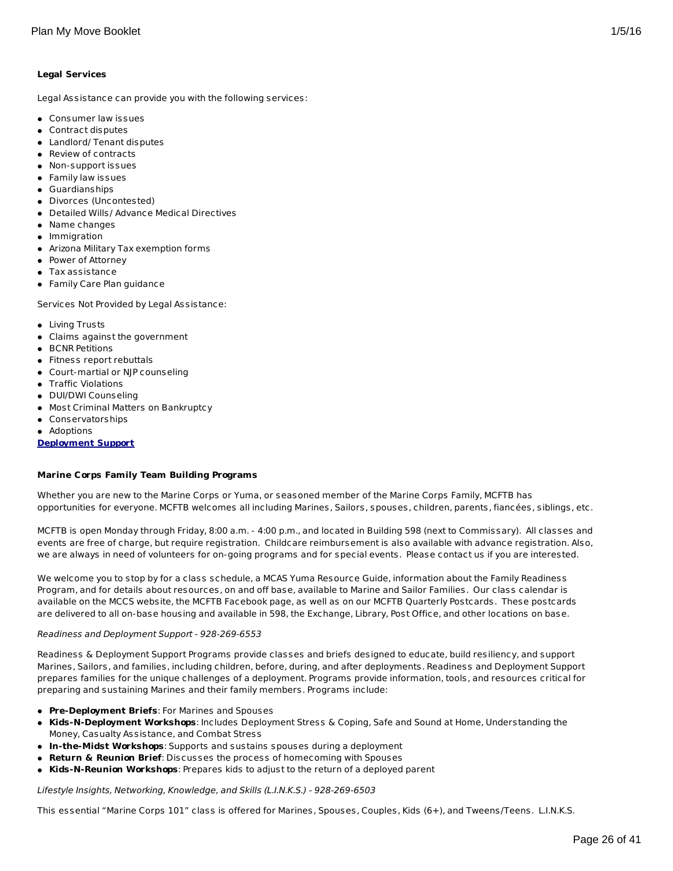Legal Assistance can provide you with the following services:

- Consumer law issues
- Contract disputes
- Landlord/ Tenant disputes
- Review of contracts
- Non-support issues
- Family law issues
- Guardianships
- Divorces (Uncontested)
- Detailed Wills/ Advance Medical Directives
- Name changes
- Immigration
- Arizona Military Tax exemption forms
- Power of Attorney
- Tax assistance
- Family Care Plan guidance

Services Not Provided by Legal Assistance:

- Living Trusts
- Claims against the government
- **BCNR Petitions**
- Fitness report rebuttals
- Court-martial or NJP counseling
- Traffic Violations
- DUI/DWI Counseling
- Most Criminal Matters on Bankruptcy
- Conservatorships
- Adoptions

# **Deployment Support**

# **Marine Corps Family Team Building Programs**

Whether you are new to the Marine Corps or Yuma, or seasoned member of the Marine Corps Family, MCFTB has opportunities for everyone. MCFTB welcomes all including Marines, Sailors, spouses, children, parents, fiancées, siblings, etc.

MCFTB is open Monday through Friday, 8:00 a.m. - 4:00 p.m., and located in Building 598 (next to Commissary). All classes and events are free of charge, but require registration. Childcare reimbursement is also available with advance registration. Also, we are always in need of volunteers for on-going programs and for special events. Please contact us if you are interested.

We welcome you to stop by for a class schedule, a MCAS Yuma Resource Guide, information about the Family Readiness Program, and for details about resources, on and off base, available to Marine and Sailor Families. Our class calendar is available on the MCCS website, the MCFTB Facebook page, as well as on our MCFTB Quarterly Postcards. These postcards are delivered to all on-base housing and available in 598, the Exchange, Library, Post Office, and other locations on base.

#### Readiness and Deployment Support - 928-269-6553

Readiness & Deployment Support Programs provide classes and briefs designed to educate, build resiliency, and support Marines, Sailors, and families, including children, before, during, and after deployments. Readiness and Deployment Support prepares families for the unique challenges of a deployment. Programs provide information, tools, and resources critical for preparing and sustaining Marines and their family members. Programs include:

- **Pre-Deployment Briefs**: For Marines and Spouses
- **Kids-N-Deployment Workshops**: Includes Deployment Stress & Coping, Safe and Sound at Home, Understanding the Money, Casualty Assistance, and Combat Stress
- **In-the-Midst Workshops**: Supports and sustains spouses during a deployment
- **Return & Reunion Brief**: Discusses the process of homecoming with Spouses
- **Kids-N-Reunion Workshops**: Prepares kids to adjust to the return of a deployed parent

Lifestyle Insights, Networking, Knowledge, and Skills (L.I.N.K.S.) - 928-269-6503

This essential "Marine Corps 101" class is offered for Marines, Spouses, Couples, Kids (6+), and Tweens/Teens. L.I.N.K.S.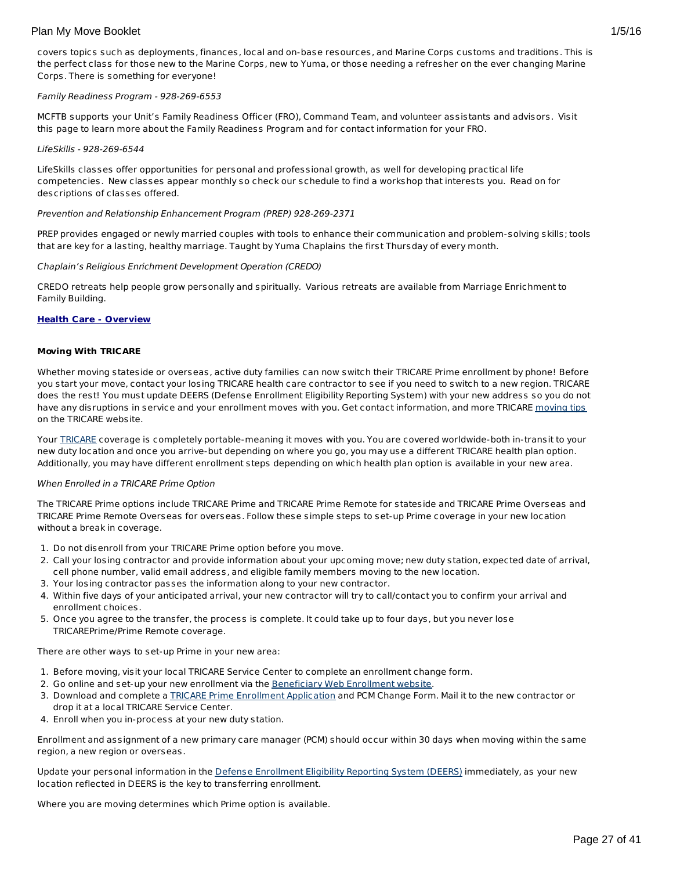covers topics such as deployments, finances, local and on-base resources, and Marine Corps customs and traditions. This is the perfect class for those new to the Marine Corps, new to Yuma, or those needing a refresher on the ever changing Marine Corps. There is something for everyone!

#### Family Readiness Program - 928-269-6553

MCFTB supports your Unit's Family Readiness Officer (FRO), Command Team, and volunteer assistants and advisors. Visit this page to learn more about the Family Readiness Program and for contact information for your FRO.

#### LifeSkills - 928-269-6544

LifeSkills classes offer opportunities for personal and professional growth, as well for developing practical life competencies. New classes appear monthly so check our schedule to find a workshop that interests you. Read on for descriptions of classes offered.

#### Prevention and Relationship Enhancement Program (PREP) 928-269-2371

PREP provides engaged or newly married couples with tools to enhance their communication and problem-solving skills; tools that are key for a lasting, healthy marriage. Taught by Yuma Chaplains the first Thursday of every month.

#### Chaplain's Religious Enrichment Development Operation (CREDO)

CREDO retreats help people grow personally and spiritually. Various retreats are available from Marriage Enrichment to Family Building.

# **Health Care - Overview**

#### **Moving With TRICARE**

Whether moving stateside or overseas, active duty families can now switch their TRICARE Prime enrollment by phone! Before you start your move, contact your losing TRICARE health care contractor to see if you need to switch to a new region. TRICARE does the rest! You must update DEERS (Defense Enrollment Eligibility Reporting System) with your new address so you do not have any disruptions in service and your enrollment moves with you. Get contact information, and more TRICARE [moving](http://www.tricare.mil/moving) tips on the TRICARE website.

Your [TRICARE](http://www.tricare.mil/) coverage is completely portable-meaning it moves with you. You are covered worldwide-both in-transit to your new duty location and once you arrive-but depending on where you go, you may use a different TRICARE health plan option. Additionally, you may have different enrollment steps depending on which health plan option is available in your new area.

#### When Enrolled in a TRICARE Prime Option

The TRICARE Prime options include TRICARE Prime and TRICARE Prime Remote for stateside and TRICARE Prime Overseas and TRICARE Prime Remote Overseas for overseas. Follow these simple steps to set-up Prime coverage in your new location without a break in coverage.

- 1. Do not disenroll from your TRICARE Prime option before you move.
- 2. Call your losing contractor and provide information about your upcoming move; new duty station, expected date of arrival, cell phone number, valid email address, and eligible family members moving to the new location.
- 3. Your losing contractor passes the information along to your new contractor.
- 4. Within five days of your anticipated arrival, your new contractor will try to call/contact you to confirm your arrival and enrollment choices.
- 5. Once you agree to the transfer, the process is complete. It could take up to four days, but you never lose TRICAREPrime/Prime Remote coverage.

There are other ways to set-up Prime in your new area:

- 1. Before moving, visit your local TRICARE Service Center to complete an enrollment change form.
- 2. Go online and set-up your new enrollment via the [Beneficiary](https://www.dmdc.osd.mil/appj/bwe/indexAction.do;jsessionid=7962ecfc6b86dfb33476ab70607f4835a6bef5c6f4af875ca0a4ac0a6b3b2fe3) Web Enrollment website.
- 3. Download and complete a TRICARE Prime Enrollment [Application](http://www.tricare.mil/Forms/Enrollment/Prime.aspx) and PCM Change Form. Mail it to the new contractor or drop it at a local TRICARE Service Center.
- 4. Enroll when you in-process at your new duty station.

Enrollment and assignment of a new primary care manager (PCM) should occur within 30 days when moving within the same region, a new region or overseas.

Update your personal information in the Defense [Enrollment](https://www.dmdc.osd.mil/self_service/rapids/unauthenticated;jsessionid=5DgBRmXRqGc3NBSmDVTbTrDzTH3Pcz9QSnKjGsXnGSYnw3n5gGHL!-250999068?execution=e1s1) Eligibility Reporting System (DEERS) immediately, as your new location reflected in DEERS is the key to transferring enrollment.

Where you are moving determines which Prime option is available.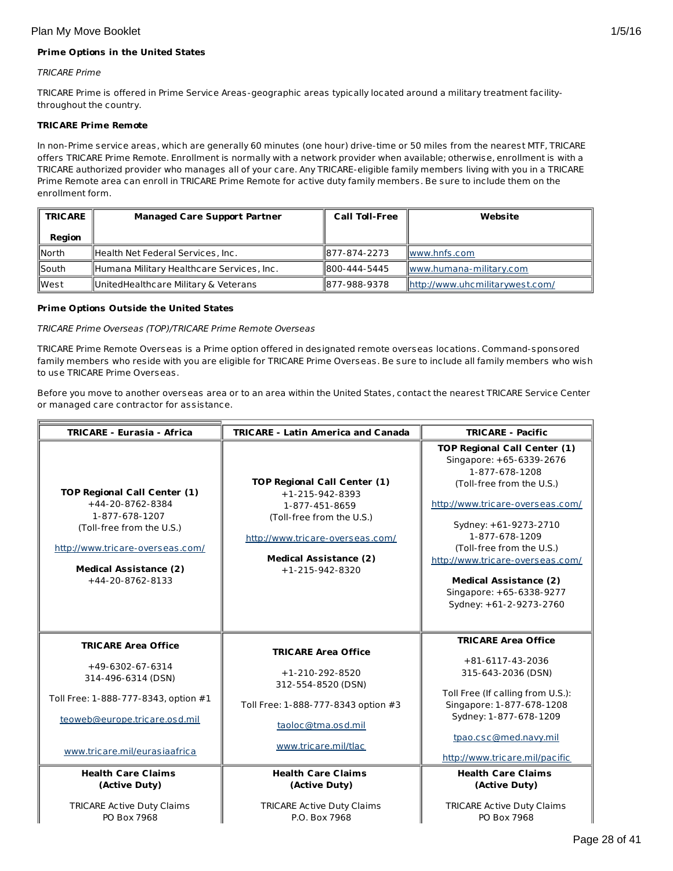# **Prime Options in the United States**

# TRICARE Prime

 $\overline{r}$ 

TRICARE Prime is offered in Prime Service Areas-geographic areas typically located around a military treatment facilitythroughout the country.

# **TRICARE Prime Remote**

In non-Prime service areas, which are generally 60 minutes (one hour) drive-time or 50 miles from the nearest MTF, TRICARE offers TRICARE Prime Remote. Enrollment is normally with a network provider when available; otherwise, enrollment is with a TRICARE authorized provider who manages all of your care. Any TRICARE-eligible family members living with you in a TRICARE Prime Remote area can enroll in TRICARE Prime Remote for active duty family members. Be sure to include them on the enrollment form.

| <b>TRICARE</b>   | <b>Managed Care Support Partner</b>       | <b>Call Toll-Free</b> | Website                         |
|------------------|-------------------------------------------|-----------------------|---------------------------------|
| Region           |                                           |                       |                                 |
| $\mathsf{North}$ | Health Net Federal Services, Inc.         | 1877-874-2273         | llwww.hnfs.com                  |
| $\sf{Isouth}$    | Humana Military Healthcare Services, Inc. | 1800-444-5445         | www.humana-military.com         |
| llWest           | UnitedHealthcare Military & Veterans      | 1877-988-9378         | http://www.uhcmilitarywest.com/ |

### **Prime Options Outside the United States**

### TRICARE Prime Overseas (TOP)/TRICARE Prime Remote Overseas

TRICARE Prime Remote Overseas is a Prime option offered in designated remote overseas locations. Command-sponsored family members who reside with you are eligible for TRICARE Prime Overseas. Be sure to include all family members who wish to use TRICARE Prime Overseas.

Before you move to another overseas area or to an area within the United States, contact the nearest TRICARE Service Center or managed care contractor for assistance.

| <b>TRICARE - Eurasia - Africa</b>                                                                                                                                                               | <b>TRICARE - Latin America and Canada</b>                                                                                                                                                               | <b>TRICARE - Pacific</b>                                                                                                                                                                                                                                                                                                                               |
|-------------------------------------------------------------------------------------------------------------------------------------------------------------------------------------------------|---------------------------------------------------------------------------------------------------------------------------------------------------------------------------------------------------------|--------------------------------------------------------------------------------------------------------------------------------------------------------------------------------------------------------------------------------------------------------------------------------------------------------------------------------------------------------|
| <b>TOP Regional Call Center (1)</b><br>+44-20-8762-8384<br>1-877-678-1207<br>(Toll-free from the U.S.)<br>http://www.tricare-overseas.com/<br><b>Medical Assistance (2)</b><br>+44-20-8762-8133 | <b>TOP Regional Call Center (1)</b><br>$+1 - 215 - 942 - 8393$<br>1-877-451-8659<br>(Toll-free from the U.S.)<br>http://www.tricare-overseas.com/<br><b>Medical Assistance (2)</b><br>$+1-215-942-8320$ | <b>TOP Regional Call Center (1)</b><br>Singapore: +65-6339-2676<br>1-877-678-1208<br>(Toll-free from the U.S.)<br>http://www.tricare-overseas.com/<br>Sydney: +61-9273-2710<br>1-877-678-1209<br>(Toll-free from the U.S.)<br>http://www.tricare-overseas.com/<br><b>Medical Assistance (2)</b><br>Singapore: +65-6338-9277<br>Sydney: +61-2-9273-2760 |
|                                                                                                                                                                                                 |                                                                                                                                                                                                         | <b>TRICARE Area Office</b>                                                                                                                                                                                                                                                                                                                             |
| <b>TRICARE Area Office</b>                                                                                                                                                                      | <b>TRICARE Area Office</b>                                                                                                                                                                              | $+81-6117-43-2036$                                                                                                                                                                                                                                                                                                                                     |
| +49-6302-67-6314<br>314-496-6314 (DSN)                                                                                                                                                          | $+1-210-292-8520$<br>312-554-8520 (DSN)                                                                                                                                                                 | 315-643-2036 (DSN)                                                                                                                                                                                                                                                                                                                                     |
| Toll Free: 1-888-777-8343, option #1                                                                                                                                                            | Toll Free: 1-888-777-8343 option #3                                                                                                                                                                     | Toll Free (If calling from U.S.):<br>Singapore: 1-877-678-1208                                                                                                                                                                                                                                                                                         |
| teoweb@europe.tricare.osd.mil                                                                                                                                                                   | taoloc@tma.osd.mil                                                                                                                                                                                      | Sydney: 1-877-678-1209                                                                                                                                                                                                                                                                                                                                 |
| www.tricare.mil/eurasiaafrica                                                                                                                                                                   | www.tricare.mil/tlac                                                                                                                                                                                    | tpao.csc@med.navy.mil<br>http://www.tricare.mil/pacific                                                                                                                                                                                                                                                                                                |
| <b>Health Care Claims</b>                                                                                                                                                                       | <b>Health Care Claims</b>                                                                                                                                                                               | <b>Health Care Claims</b>                                                                                                                                                                                                                                                                                                                              |
| (Active Duty)                                                                                                                                                                                   | (Active Duty)                                                                                                                                                                                           | (Active Duty)                                                                                                                                                                                                                                                                                                                                          |
| <b>TRICARE Active Duty Claims</b><br>PO Box 7968                                                                                                                                                | <b>TRICARE Active Duty Claims</b><br>P.O. Box 7968                                                                                                                                                      | <b>TRICARE Active Duty Claims</b><br>PO Box 7968                                                                                                                                                                                                                                                                                                       |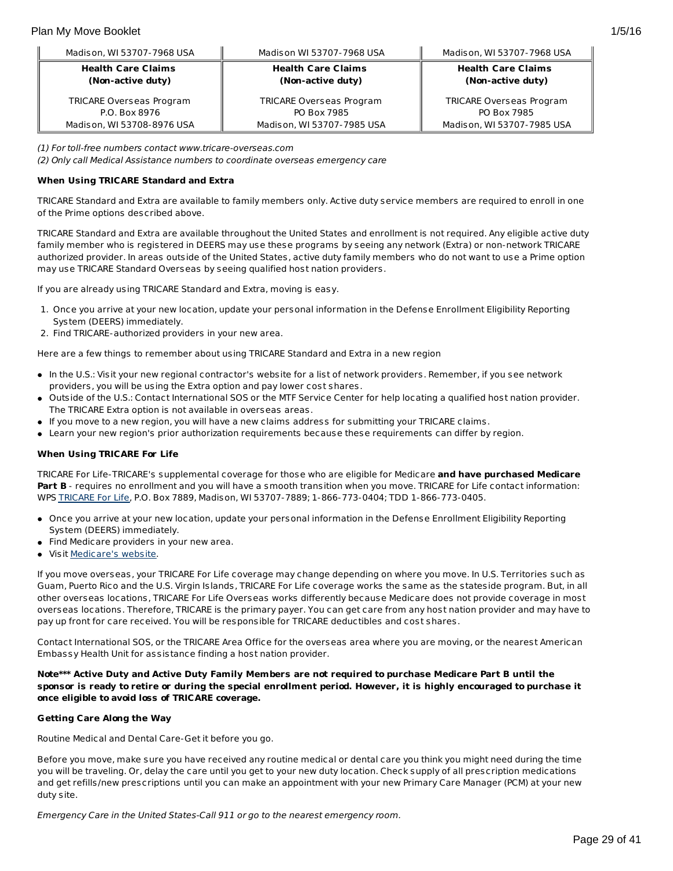| Madison, WI 53707-7968 USA | Madison WI 53707-7968 USA  | Madison, WI 53707-7968 USA      |
|----------------------------|----------------------------|---------------------------------|
| <b>Health Care Claims</b>  | <b>Health Care Claims</b>  | <b>Health Care Claims</b>       |
| (Non-active duty)          | (Non-active duty)          | (Non-active duty)               |
| TRICARE Overseas Program   | TRICARE Overseas Program   | <b>TRICARE Overseas Program</b> |
| P.O. Box 8976              | PO Box 7985                | PO Box 7985                     |
| Madison, WI 53708-8976 USA | Madison, WI 53707-7985 USA | Madison, WI 53707-7985 USA      |

(1) For toll-free numbers contact www.tricare-overseas.com

(2) Only call Medical Assistance numbers to coordinate overseas emergency care

#### **When Using TRICARE Standard and Extra**

TRICARE Standard and Extra are available to family members only. Active duty service members are required to enroll in one of the Prime options described above.

TRICARE Standard and Extra are available throughout the United States and enrollment is not required. Any eligible active duty family member who is registered in DEERS may use these programs by seeing any network (Extra) or non-network TRICARE authorized provider. In areas outside of the United States, active duty family members who do not want to use a Prime option may use TRICARE Standard Overseas by seeing qualified host nation providers.

If you are already using TRICARE Standard and Extra, moving is easy.

- 1. Once you arrive at your new location, update your personal information in the Defense Enrollment Eligibility Reporting System (DEERS) immediately.
- 2. Find TRICARE-authorized providers in your new area.

Here are a few things to remember about using TRICARE Standard and Extra in a new region

- In the U.S.: Visit your new regional contractor's website for a list of network providers. Remember, if you see network providers, you will be using the Extra option and pay lower cost shares.
- Outside of the U.S.: Contact International SOS or the MTF Service Center for help locating a qualified host nation provider. The TRICARE Extra option is not available in overseas areas.
- If you move to a new region, you will have a new claims address for submitting your TRICARE claims.
- Learn your new region's prior authorization requirements because these requirements can differ by region.

# **When Using TRICARE For Life**

TRICARE For Life-TRICARE's supplemental coverage for those who are eligible for Medicare **and have purchased Medicare** Part B - requires no enrollment and you will have a smooth transition when you move. TRICARE for Life contact information: WPS [TRICARE](https://www.tricare4u.com/apps-portal/tricareapps-app/static/) For Life, P.O. Box 7889, Madison, WI 53707-7889; 1-866-773-0404; TDD 1-866-773-0405.

- Once you arrive at your new location, update your personal information in the Defense Enrollment Eligibility Reporting System (DEERS) immediately.
- Find Medicare providers in your new area.
- **Visit [Medicare's](http://www.medicare.gov/) website.**

If you move overseas, your TRICARE For Life coverage may change depending on where you move. In U.S. Territories such as Guam, Puerto Rico and the U.S. Virgin Islands, TRICARE For Life coverage works the same as the stateside program. But, in all other overseas locations, TRICARE For Life Overseas works differently because Medicare does not provide coverage in most overseas locations. Therefore, TRICARE is the primary payer. You can get care from any host nation provider and may have to pay up front for care received. You will be responsible for TRICARE deductibles and cost shares.

Contact International SOS, or the TRICARE Area Office for the overseas area where you are moving, or the nearest American Embassy Health Unit for assistance finding a host nation provider.

Note\*\*\* Active Duty and Active Duty Family Members are not required to purchase Medicare Part B until the sponsor is ready to retire or during the special enrollment period. However, it is highly encouraged to purchase it **once eligible to avoid loss of TRICARE coverage.**

#### **Getting Care Along the Way**

Routine Medical and Dental Care-Get it before you go.

Before you move, make sure you have received any routine medical or dental care you think you might need during the time you will be traveling. Or, delay the care until you get to your new duty location. Check supply of all prescription medications and get refills/new prescriptions until you can make an appointment with your new Primary Care Manager (PCM) at your new duty site.

Emergency Care in the United States-Call 911 or go to the nearest emergency room.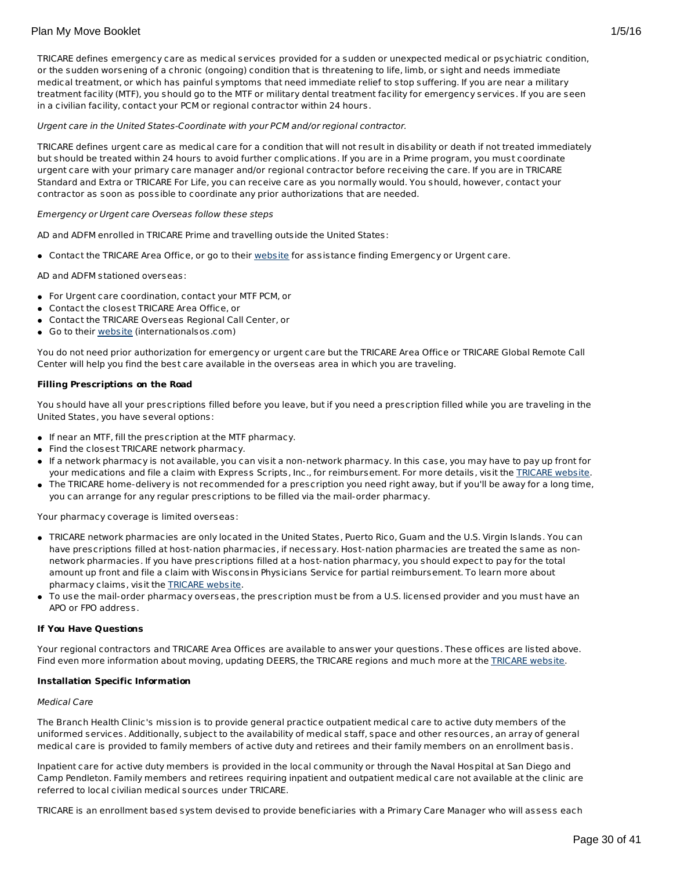TRICARE defines emergency care as medical services provided for a sudden or unexpected medical or psychiatric condition, or the sudden worsening of a chronic (ongoing) condition that is threatening to life, limb, or sight and needs immediate medical treatment, or which has painful symptoms that need immediate relief to stop suffering. If you are near a military treatment facility (MTF), you should go to the MTF or military dental treatment facility for emergency services. If you are seen in a civilian facility, contact your PCM or regional contractor within 24 hours.

Urgent care in the United States-Coordinate with your PCM and/or regional contractor.

TRICARE defines urgent care as medical care for a condition that will not result in disability or death if not treated immediately but should be treated within 24 hours to avoid further complications. If you are in a Prime program, you must coordinate urgent care with your primary care manager and/or regional contractor before receiving the care. If you are in TRICARE Standard and Extra or TRICARE For Life, you can receive care as you normally would. You should, however, contact your contractor as soon as possible to coordinate any prior authorizations that are needed.

### Emergency or Urgent care Overseas follow these steps

AD and ADFM enrolled in TRICARE Prime and travelling outside the United States:

• Contact the TRICARE Area Office, or go to their [website](http://www.internationalsos.com/en/) for assistance finding Emergency or Urgent care.

AD and ADFM stationed overseas:

- For Urgent care coordination, contact your MTF PCM, or
- Contact the closest TRICARE Area Office, or
- Contact the TRICARE Overseas Regional Call Center, or
- Go to their [website](http://www.internationalsos.com/en/) (internationalsos.com)

You do not need prior authorization for emergency or urgent care but the TRICARE Area Office or TRICARE Global Remote Call Center will help you find the best care available in the overseas area in which you are traveling.

### **Filling Prescriptions on the Road**

You should have all your prescriptions filled before you leave, but if you need a prescription filled while you are traveling in the United States, you have several options:

- If near an MTF, fill the prescription at the MTF pharmacy.
- Find the closest TRICARE network pharmacy.
- If a network pharmacy is not available, you can visit a non-network pharmacy. In this case, you may have to pay up front for your medications and file a claim with Express Scripts, Inc., for reimbursement. For more details, visit the [TRICARE](http://www.tricare.mil/) website.
- The TRICARE home-delivery is not recommended for a prescription you need right away, but if you'll be away for a long time, you can arrange for any regular prescriptions to be filled via the mail-order pharmacy.

Your pharmacy coverage is limited overseas:

- TRICARE network pharmacies are only located in the United States, Puerto Rico, Guam and the U.S. Virgin Islands. You can have prescriptions filled at host-nation pharmacies, if necessary. Host-nation pharmacies are treated the same as nonnetwork pharmacies. If you have prescriptions filled at a host-nation pharmacy, you should expect to pay for the total amount up front and file a claim with Wisconsin Physicians Service for partial reimbursement. To learn more about pharmacy claims, visit the **[TRICARE](http://www.tricare.mil/)** website.
- To use the mail-order pharmacy overseas, the prescription must be from a U.S. licensed provider and you must have an APO or FPO address.

### **If You Have Questions**

Your regional contractors and TRICARE Area Offices are available to answer your questions. These offices are listed above. Find even more information about moving, updating DEERS, the [TRICARE](http://www.tricare.mil/) regions and much more at the TRICARE website.

#### **Installation Specific Information**

#### Medical Care

The Branch Health Clinic's mission is to provide general practice outpatient medical care to active duty members of the uniformed services. Additionally, subject to the availability of medical staff, space and other resources, an array of general medical care is provided to family members of active duty and retirees and their family members on an enrollment basis.

Inpatient care for active duty members is provided in the local community or through the Naval Hospital at San Diego and Camp Pendleton. Family members and retirees requiring inpatient and outpatient medical care not available at the clinic are referred to local civilian medical sources under TRICARE.

TRICARE is an enrollment based system devised to provide beneficiaries with a Primary Care Manager who will assess each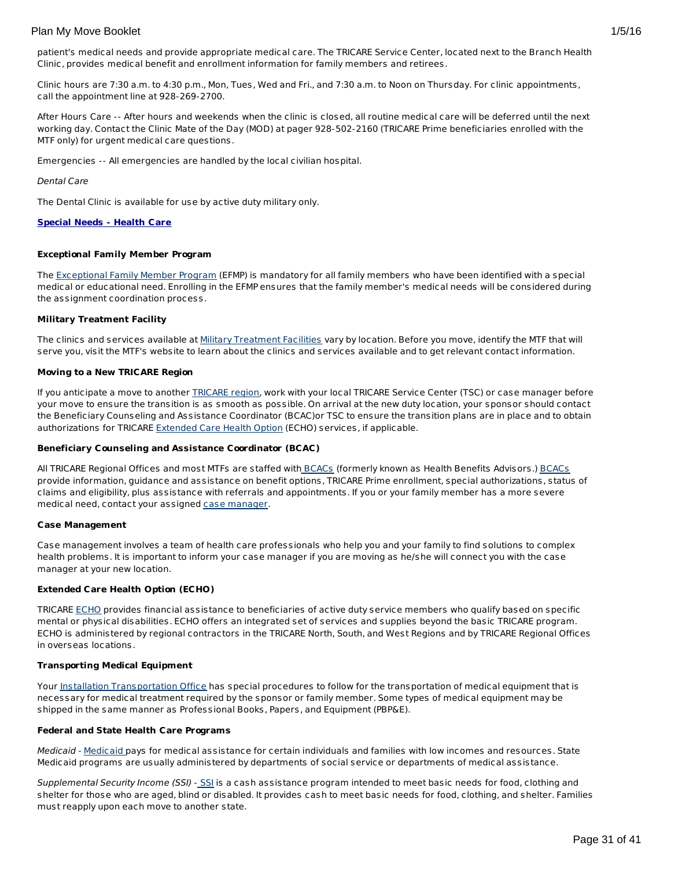Clinic hours are 7:30 a.m. to 4:30 p.m., Mon, Tues, Wed and Fri., and 7:30 a.m. to Noon on Thursday. For clinic appointments, call the appointment line at 928-269-2700.

After Hours Care -- After hours and weekends when the clinic is closed, all routine medical care will be deferred until the next working day. Contact the Clinic Mate of the Day (MOD) at pager 928-502-2160 (TRICARE Prime beneficiaries enrolled with the MTF only) for urgent medical care questions.

Emergencies -- All emergencies are handled by the local civilian hospital.

Dental Care

The Dental Clinic is available for use by active duty military only.

### **Special Needs - Health Care**

### **Exceptional Family Member Program**

The [Exceptional](http://www.militaryhomefront.dod.mil/MOS/f?p=MHF:HOME1:0::::SID:20.40.500.570.0.0.0.0.0) Family Member Program (EFMP) is mandatory for all family members who have been identified with a special medical or educational need. Enrolling in the EFMP ensures that the family member's medical needs will be considered during the assignment coordination process.

### **Military Treatment Facility**

The clinics and services available at Military [Treatment](http://tricare.mil/mtf/main1.aspx) Facilities vary by location. Before you move, identify the MTF that will serve you, visit the MTF's website to learn about the clinics and services available and to get relevant contact information.

### **Moving to a New TRICARE Region**

If you anticipate a move to another **[TRICARE](http://www.tricare.mil/mhshome.aspx) region**, work with your local TRICARE Service Center (TSC) or case manager before your move to ensure the transition is as smooth as possible. On arrival at the new duty location, your sponsor should contact the Beneficiary Counseling and Assistance Coordinator (BCAC)or TSC to ensure the transition plans are in place and to obtain authorizations for TRICARE [Extended](http://tricare.mil/mybenefit/ProfileFilter.do?puri=%2Fhome%2Foverview%2FSpecialPrograms%2FECHO) Care Health Option (ECHO) services, if applicable.

#### **Beneficiary Counseling and Assistance Coordinator (BCAC)**

All TRICARE Regional Offices and most MTFs are staffed with **[BCACs](http://www.tricare.mil/bcacdcao/)** (formerly known as Health Benefits Advisors.) BCACs provide information, guidance and assistance on benefit options, TRICARE Prime enrollment, special authorizations, status of claims and eligibility, plus assistance with referrals and appointments. If you or your family member has a more severe medical need, contact your assigned case [manager](http://www.militaryhomefront.dod.mil/tf/efmp).

#### **Case Management**

Case management involves a team of health care professionals who help you and your family to find solutions to complex health problems. It is important to inform your case manager if you are moving as he/she will connect you with the case manager at your new location.

# **Extended Care Health Option (ECHO)**

TRICARE [ECHO](http://tricare.mil/mybenefit/ProfileFilter.do?puri=%2Fhome%2Foverview%2FSpecialPrograms%2FECHO) provides financial assistance to beneficiaries of active duty service members who qualify based on specific mental or physical disabilities. ECHO offers an integrated set of services and supplies beyond the basic TRICARE program. ECHO is administered by regional contractors in the TRICARE North, South, and West Regions and by TRICARE Regional Offices in overseas locations.

# **Transporting Medical Equipment**

Your Installation [Transportation](http://www.militaryinstallations.dod.mil/) Office has special procedures to follow for the transportation of medical equipment that is necessary for medical treatment required by the sponsor or family member. Some types of medical equipment may be shipped in the same manner as Professional Books, Papers, and Equipment (PBP&E).

# **Federal and State Health Care Programs**

[Medicaid](http://www.militaryhomefront.dod.mil/tf/efmp/resources) - Medicaid pays for medical assistance for certain individuals and families with low incomes and resources. State Medicaid programs are usually administered by departments of social service or departments of medical assistance.

Supplemental Security Income ([SSI](http://www.socialsecurity.gov/pgm/ssi.htm)) - SSI is a cash assistance program intended to meet basic needs for food, clothing and shelter for those who are aged, blind or disabled. It provides cash to meet basic needs for food, clothing, and shelter. Families must reapply upon each move to another state.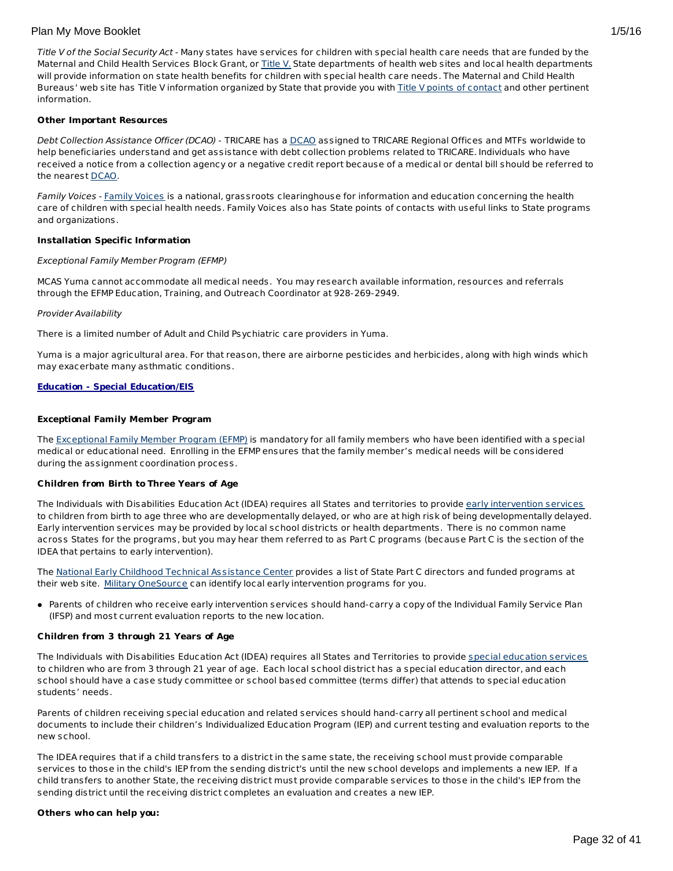Title V of the Social Security Act - Many states have services for children with special health care needs that are funded by the Maternal and Child Health Services Block Grant, or [Title](http://www.socialsecurity.gov/OP_Home/ssact/title05/0500.htm) V. State departments of health web sites and local health departments will provide information on state health benefits for children with special health care needs. The Maternal and Child Health Bureaus' web site has Title V information organized by State that provide you with Title V points of [contact](https://perfdata.hrsa.gov/mchb/TVISReports/ContactInfo/StateContactSearch.aspx) and other pertinent information.

### **Other Important Resources**

Debt Collection Assistance Officer ([DCAO](http://www.tricare.mil/bcacdcao/)) - TRICARE has a DCAO assigned to TRICARE Regional Offices and MTFs worldwide to help beneficiaries understand and get assistance with debt collection problems related to TRICARE. Individuals who have received a notice from a collection agency or a negative credit report because of a medical or dental bill should be referred to the nearest [DCAO](http://www.tricare.mil/bcacdcao/).

Family Voices - Family [Voices](http://www.familyvoices.org) is a national, grassroots clearinghouse for information and education concerning the health care of children with special health needs. Family Voices also has State points of contacts with useful links to State programs and organizations.

#### **Installation Specific Information**

#### Exceptional Family Member Program (EFMP)

MCAS Yuma cannot accommodate all medical needs. You may research available information, resources and referrals through the EFMP Education, Training, and Outreach Coordinator at 928-269-2949.

#### Provider Availability

There is a limited number of Adult and Child Psychiatric care providers in Yuma.

Yuma is a major agricultural area. For that reason, there are airborne pesticides and herbicides, along with high winds which may exacerbate many asthmatic conditions.

#### **Education - Special Education/EIS**

#### **Exceptional Family Member Program**

The [Exceptional](http://www.militaryhomefront.dod.mil/tf/efmp) Family Member Program (EFMP) is mandatory for all family members who have been identified with a special medical or educational need. Enrolling in the EFMP ensures that the family member's medical needs will be considered during the assignment coordination process.

#### **Children from Birth to Three Years of Age**

The Individuals with Disabilities Education Act (IDEA) requires all States and territories to provide early [intervention](http://www.militaryhomefront.dod.mil/tf/efmp) services to children from birth to age three who are developmentally delayed, or who are at high risk of being developmentally delayed. Early intervention services may be provided by local school districts or health departments. There is no common name across States for the programs, but you may hear them referred to as Part C programs (because Part C is the section of the IDEA that pertains to early intervention).

The National Early Childhood Technical [Assistance](http://www.nectac.org/) Center provides a list of State Part C directors and funded programs at their web site. Military [OneSource](http://www.militaryonesource.mil/) can identify local early intervention programs for you.

Parents of children who receive early intervention services should hand-carry a copy of the Individual Family Service Plan (IFSP) and most current evaluation reports to the new location.

#### **Children from 3 through 21 Years of Age**

The Individuals with Disabilities Education Act (IDEA) requires all States and Territories to provide special [education](http://www.militaryhomefront.dod.mil/tf/efmp) services to children who are from 3 through 21 year of age. Each local school district has a special education director, and each school should have a case study committee or school based committee (terms differ) that attends to special education students' needs.

Parents of children receiving special education and related services should hand-carry all pertinent school and medical documents to include their children's Individualized Education Program (IEP) and current testing and evaluation reports to the new school.

The IDEA requires that if a child transfers to a district in the same state, the receiving school must provide comparable services to those in the child's IEP from the sending district's until the new school develops and implements a new IEP. If a child transfers to another State, the receiving district must provide comparable services to those in the child's IEP from the sending district until the receiving district completes an evaluation and creates a new IEP.

#### **Others who can help you:**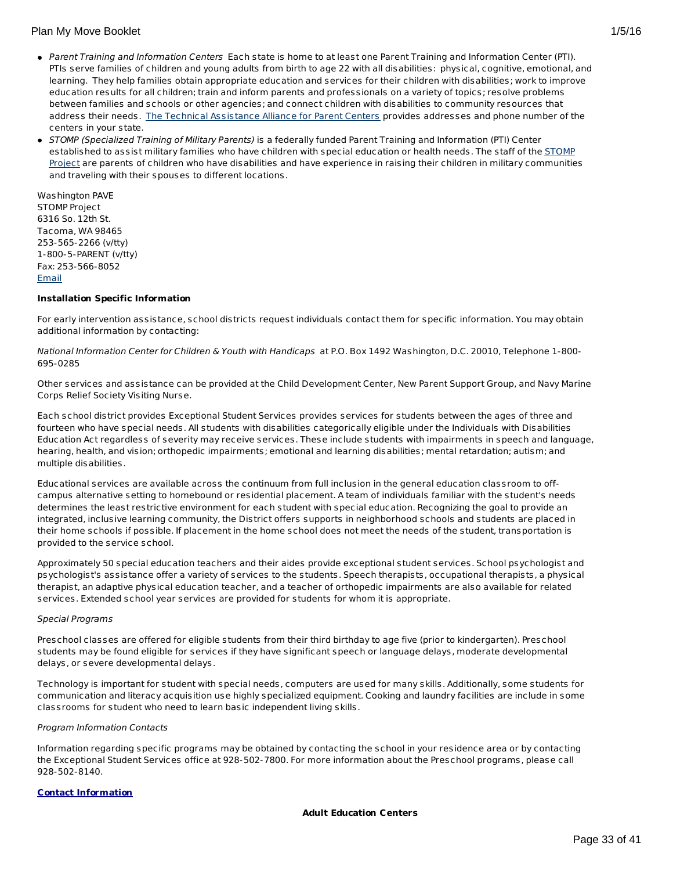- Parent Training and Information Centers Each state is home to at least one Parent Training and Information Center (PTI). PTIs serve families of children and young adults from birth to age 22 with all disabilities: physical, cognitive, emotional, and learning. They help families obtain appropriate education and services for their children with disabilities; work to improve education results for all children; train and inform parents and professionals on a variety of topics; resolve problems between families and schools or other agencies; and connect children with disabilities to community resources that address their needs. The Technical [Assistance](http://www.taalliance.org) Alliance for Parent Centers provides addresses and phone number of the centers in your state.
- STOMP (Specialized Training of Military Parents) is a federally funded Parent Training and Information (PTI) Center [established](http://www.stompproject.org/) to assist military families who have children with special education or health needs. The staff of the STOMP Project are parents of children who have disabilities and have experience in raising their children in military communities and traveling with their spouses to different locations.

Washington PAVE STOMP Project 6316 So. 12th St. Tacoma, WA 98465 253-565-2266 (v/tty) 1-800-5-PARENT (v/tty) Fax: 253-566-8052 [Email](http://apps.militaryonesource.mil/MOS/f?p=108:5:0::NO::P5_APP_NAME,P5_MSG_TYPE,P5_EID:STOMP Project,Consultant,1000001266)

# **Installation Specific Information**

For early intervention assistance, school districts request individuals contact them for specific information. You may obtain additional information by contacting:

# National Information Center for Children & Youth with Handicaps at P.O. Box 1492 Washington, D.C. 20010, Telephone 1-800- 695-0285

Other services and assistance can be provided at the Child Development Center, New Parent Support Group, and Navy Marine Corps Relief Society Visiting Nurse.

Each school district provides Exceptional Student Services provides services for students between the ages of three and fourteen who have special needs. All students with disabilities categorically eligible under the Individuals with Disabilities Education Act regardless of severity may receive services. These include students with impairments in speech and language, hearing, health, and vision; orthopedic impairments; emotional and learning disabilities; mental retardation; autism; and multiple disabilities.

Educational services are available across the continuum from full inclusion in the general education classroom to offcampus alternative setting to homebound or residential placement. A team of individuals familiar with the student's needs determines the least restrictive environment for each student with special education. Recognizing the goal to provide an integrated, inclusive learning community, the District offers supports in neighborhood schools and students are placed in their home schools if possible. If placement in the home school does not meet the needs of the student, transportation is provided to the service school.

Approximately 50 special education teachers and their aides provide exceptional student services. School psychologist and psychologist's assistance offer a variety of services to the students. Speech therapists, occupational therapists, a physical therapist, an adaptive physical education teacher, and a teacher of orthopedic impairments are also available for related services. Extended school year services are provided for students for whom it is appropriate.

# Special Programs

Preschool classes are offered for eligible students from their third birthday to age five (prior to kindergarten). Preschool students may be found eligible for services if they have significant speech or language delays, moderate developmental delays, or severe developmental delays.

Technology is important for student with special needs, computers are used for many skills. Additionally, some students for communication and literacy acquisition use highly specialized equipment. Cooking and laundry facilities are include in some classrooms for student who need to learn basic independent living skills.

# Program Information Contacts

Information regarding specific programs may be obtained by contacting the school in your residence area or by contacting the Exceptional Student Services office at 928-502-7800. For more information about the Preschool programs, please call 928-502-8140.

# **Contact Information**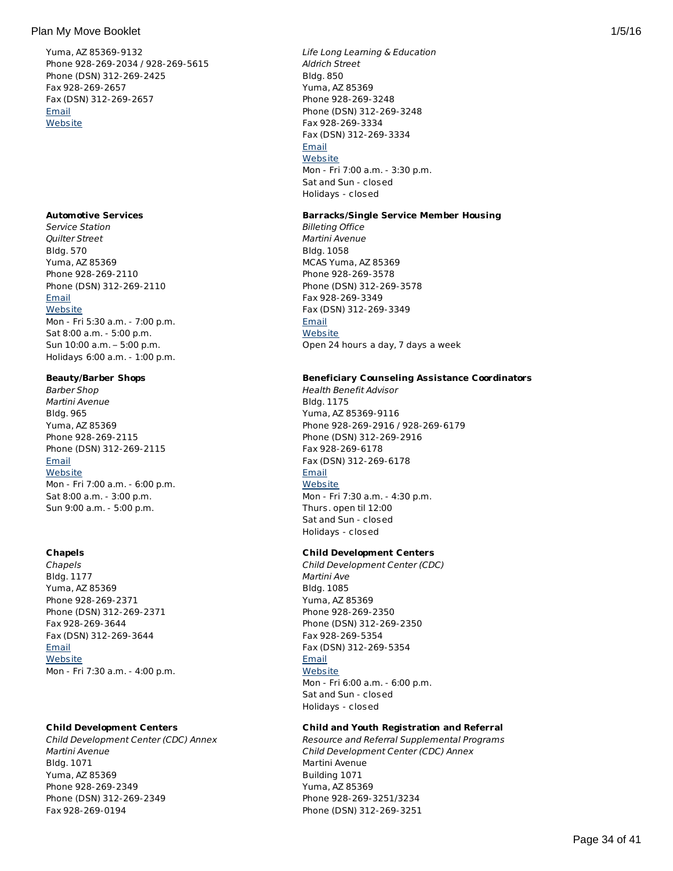Yuma, AZ 85369-9132 Phone 928-269-2034 / 928-269-5615 Phone (DSN) 312-269-2425 Fax 928-269-2657 Fax (DSN) 312-269-2657 [Email](http://apps.militaryonesource.mil/MOS/f?p=AMS:5:0::::P5_APP_NAME,P5_MSG_TYPE,P5_EID:Plan My Move,Installation Address,87454) **[Website](http://www.yuma.usmc-mccs.org/)** 

### **Automotive Services**

Service Station Quilter Street Bldg. 570 Yuma, AZ 85369 Phone 928-269-2110 Phone (DSN) 312-269-2110 [Email](http://apps.militaryonesource.mil/MOS/f?p=AMS:5:0::::P5_APP_NAME,P5_MSG_TYPE,P5_EID:Plan My Move,Service Station,113376) **[Website](http://www.mccsyuma.org/)** Mon - Fri 5:30 a.m. - 7:00 p.m. Sat 8:00 a.m. - 5:00 p.m. Sun 10:00 a.m. – 5:00 p.m. Holidays 6:00 a.m. - 1:00 p.m.

### **Beauty/Barber Shops**

Barber Shop Martini Avenue Bldg. 965 Yuma, AZ 85369 Phone 928-269-2115 Phone (DSN) 312-269-2115 **[Email](http://apps.militaryonesource.mil/MOS/f?p=AMS:5:0::::P5_APP_NAME,P5_MSG_TYPE,P5_EID:Plan My Move,Barber Shop,113321) [Website](http://www.mccsyuma.org/2009web.mccs/2010MCCShtml/services_food-court.html)** Mon - Fri 7:00 a.m. - 6:00 p.m. Sat 8:00 a.m. - 3:00 p.m. Sun 9:00 a.m. - 5:00 p.m.

# **Chapels**

Chapels Bldg. 1177 Yuma, AZ 85369 Phone 928-269-2371 Phone (DSN) 312-269-2371 Fax 928-269-3644 Fax (DSN) 312-269-3644 [Email](http://apps.militaryonesource.mil/MOS/f?p=AMS:5:0::::P5_APP_NAME,P5_MSG_TYPE,P5_EID:Plan My Move,Chapels,113446) **[Website](http://www.yuma.usmc.mil/services/chapel/index.html)** Mon - Fri 7:30 a.m. - 4:00 p.m.

# **Child Development Centers**

Child Development Center (CDC) Annex Martini Avenue Bldg. 1071 Yuma, AZ 85369 Phone 928-269-2349 Phone (DSN) 312-269-2349 Fax 928-269-0194

Life Long Learning & Education Aldrich Street Bldg. 850 Yuma, AZ 85369 Phone 928-269-3248 Phone (DSN) 312-269-3248 Fax 928-269-3334 Fax (DSN) 312-269-3334 [Email](http://apps.militaryonesource.mil/MOS/f?p=AMS:5:0::::P5_APP_NAME,P5_MSG_TYPE,P5_EID:Plan My Move,Life Long Learning   Education,113346) **[Website](http://www.mccsyuma.org/)** Mon - Fri 7:00 a.m. - 3:30 p.m. Sat and Sun - closed Holidays - closed

# **Barracks/Single Service Member Housing**

Billeting Office Martini Avenue Bldg. 1058 MCAS Yuma, AZ 85369 Phone 928-269-3578 Phone (DSN) 312-269-3578 Fax 928-269-3349 Fax (DSN) 312-269-3349 **[Email](http://apps.militaryonesource.mil/MOS/f?p=AMS:5:0::::P5_APP_NAME,P5_MSG_TYPE,P5_EID:Plan My Move,Billeting Office,113626) [Website](http://www.yuma.usmc.mil/services/installationslogistics/billeting.html)** Open 24 hours a day, 7 days a week

# **Beneficiary Counseling Assistance Coordinators**

Health Benefit Advisor Bldg. 1175 Yuma, AZ 85369-9116 Phone 928-269-2916 / 928-269-6179 Phone (DSN) 312-269-2916 Fax 928-269-6178 Fax (DSN) 312-269-6178 [Email](http://apps.militaryonesource.mil/MOS/f?p=AMS:5:0::::P5_APP_NAME,P5_MSG_TYPE,P5_EID:Plan My Move,Health Benefit Advisor,113558) **[Website](https://cpen.med.navy.mil/nhcp.cfm?xid=wap&f=bmc&p=x7214954E546CA0EFDF67D73E491D8E52)** Mon - Fri 7:30 a.m. - 4:30 p.m. Thurs. open til 12:00 Sat and Sun - closed Holidays - closed

# **Child Development Centers**

Child Development Center (CDC) Martini Ave Bldg. 1085 Yuma, AZ 85369 Phone 928-269-2350 Phone (DSN) 312-269-2350 Fax 928-269-5354 Fax (DSN) 312-269-5354 [Email](http://apps.militaryonesource.mil/MOS/f?p=AMS:5:0::::P5_APP_NAME,P5_MSG_TYPE,P5_EID:Plan My Move,Child Development Center (CDC),113327) **[Website](http://www.mccsyuma.org/2009web.mccs/2010MCCShtml/cytp_cdc.html)** Mon - Fri 6:00 a.m. - 6:00 p.m. Sat and Sun - closed Holidays - closed

# **Child and Youth Registration and Referral**

Resource and Referral Supplemental Programs Child Development Center (CDC) Annex Martini Avenue Building 1071 Yuma, AZ 85369 Phone 928-269-3251/3234 Phone (DSN) 312-269-3251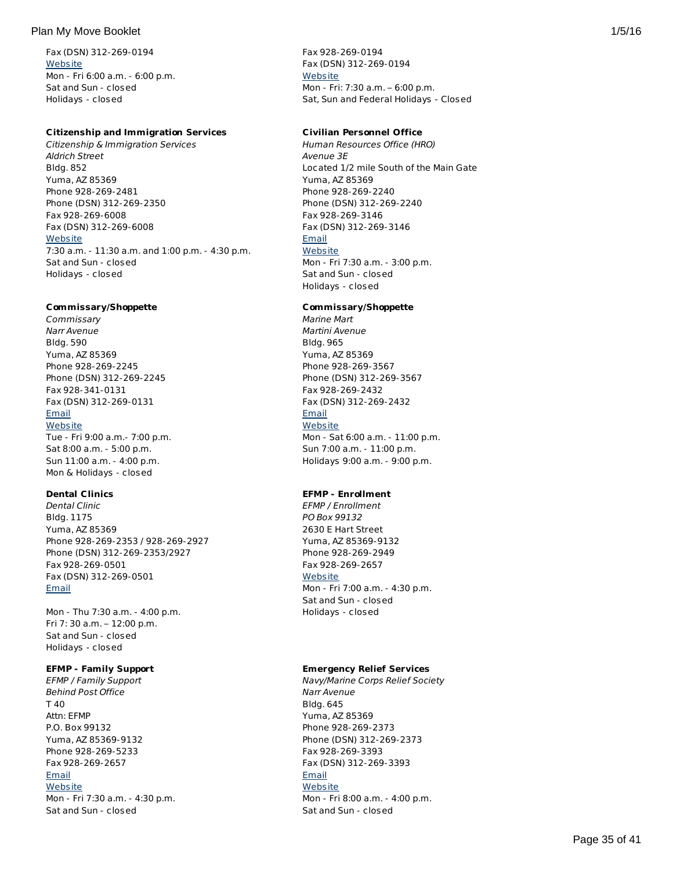Fax (DSN) 312-269-0194 **[Website](http://www.mccsyuma.org/2009web.mccs/2010MCCShtml/cytp_cdc.html)** Mon - Fri 6:00 a.m. - 6:00 p.m. Sat and Sun - closed Holidays - closed

#### **Citizenship and Immigration Services**

Citizenship & Immigration Services Aldrich Street Bldg. 852 Yuma, AZ 85369 Phone 928-269-2481 Phone (DSN) 312-269-2350 Fax 928-269-6008 Fax (DSN) 312-269-6008 **[Website](http://www.yuma.usmc.mil/services/legal/index.html)** 7:30 a.m. - 11:30 a.m. and 1:00 p.m. - 4:30 p.m. Sat and Sun - closed Holidays - closed

#### **Commissary/Shoppette**

**Commissary** Narr Avenue Bldg. 590 Yuma, AZ 85369 Phone 928-269-2245 Phone (DSN) 312-269-2245 Fax 928-341-0131 Fax (DSN) 312-269-0131 [Email](http://apps.militaryonesource.mil/MOS/f?p=AMS:5:0::::P5_APP_NAME,P5_MSG_TYPE,P5_EID:Plan My Move,Commissary,113371) **[Website](http://www.commissaries.com/stores/html/store.cfm?dodaac=HQCKM5)** Tue - Fri 9:00 a.m.- 7:00 p.m.

Sat 8:00 a.m. - 5:00 p.m. Sun 11:00 a.m. - 4:00 p.m. Mon & Holidays - closed

# **Dental Clinics**

Dental Clinic Bldg. 1175 Yuma, AZ 85369 Phone 928-269-2353 / 928-269-2927 Phone (DSN) 312-269-2353/2927 Fax 928-269-0501 Fax (DSN) 312-269-0501 [Email](http://apps.militaryonesource.mil/MOS/f?p=AMS:5:0::::P5_APP_NAME,P5_MSG_TYPE,P5_EID:Plan My Move,Dental Clinic,113565)

Mon - Thu 7:30 a.m. - 4:00 p.m. Fri 7: 30 a.m. – 12:00 p.m. Sat and Sun - closed Holidays - closed

### **EFMP - Family Support**

EFMP / Family Support Behind Post Office T 40 Attn: EFMP P.O. Box 99132 Yuma, AZ 85369-9132 Phone 928-269-5233 Fax 928-269-2657 [Email](http://apps.militaryonesource.mil/MOS/f?p=AMS:5:0::::P5_APP_NAME,P5_MSG_TYPE,P5_EID:Plan My Move,EFMP / Family Support,1000007495) **[Website](http://www.mccsyuma.org/index.cfm/military-family/efmp/)** Mon - Fri 7:30 a.m. - 4:30 p.m. Sat and Sun - closed

Fax 928-269-0194 Fax (DSN) 312-269-0194 **[Website](http://www.mccsyuma.org/2009web.mccs/2010MCCShtml/cytp_resource.html)** Mon - Fri: 7:30 a.m. – 6:00 p.m. Sat, Sun and Federal Holidays - Closed

#### **Civilian Personnel Office**

Human Resources Office (HRO) Avenue 3E Located 1/2 mile South of the Main Gate Yuma, AZ 85369 Phone 928-269-2240 Phone (DSN) 312-269-2240 Fax 928-269-3146 Fax (DSN) 312-269-3146 [Email](http://apps.militaryonesource.mil/MOS/f?p=AMS:5:0::::P5_APP_NAME,P5_MSG_TYPE,P5_EID:Plan My Move,Human Resources Office (HRO),113511) **[Website](https://chart.donhr.navy.mil/)** Mon - Fri 7:30 a.m. - 3:00 p.m.

Sat and Sun - closed Holidays - closed

# **Commissary/Shoppette**

Marine Mart Martini Avenue Bldg. 965 Yuma, AZ 85369 Phone 928-269-3567 Phone (DSN) 312-269-3567 Fax 928-269-2432 Fax (DSN) 312-269-2432 [Email](http://apps.militaryonesource.mil/MOS/f?p=AMS:5:0::::P5_APP_NAME,P5_MSG_TYPE,P5_EID:Plan My Move,Marine Mart,113316) **[Website](http://www.yuma.usmc-mccs.org/index.cfm/shopping-services/)** Mon - Sat 6:00 a.m. - 11:00 p.m. Sun 7:00 a.m. - 11:00 p.m. Holidays 9:00 a.m. - 9:00 p.m.

#### **EFMP - Enrollment**

EFMP / Enrollment PO Box 99132 2630 E Hart Street Yuma, AZ 85369-9132 Phone 928-269-2949 Fax 928-269-2657 **[Website](http://www.mccsyuma.org/index.cfm/military-family/efmp/)** Mon - Fri 7:00 a.m. - 4:30 p.m. Sat and Sun - closed Holidays - closed

### **Emergency Relief Services**

Navy/Marine Corps Relief Society Narr Avenue Bldg. 645 Yuma, AZ 85369 Phone 928-269-2373 Phone (DSN) 312-269-2373 Fax 928-269-3393 Fax (DSN) 312-269-3393 [Email](http://apps.militaryonesource.mil/MOS/f?p=AMS:5:0::::P5_APP_NAME,P5_MSG_TYPE,P5_EID:Plan My Move,Navy/Marine Corps Relief Society,113348) **[Website](http://www.nmcrs.org/loc-us.html)** Mon - Fri 8:00 a.m. - 4:00 p.m. Sat and Sun - closed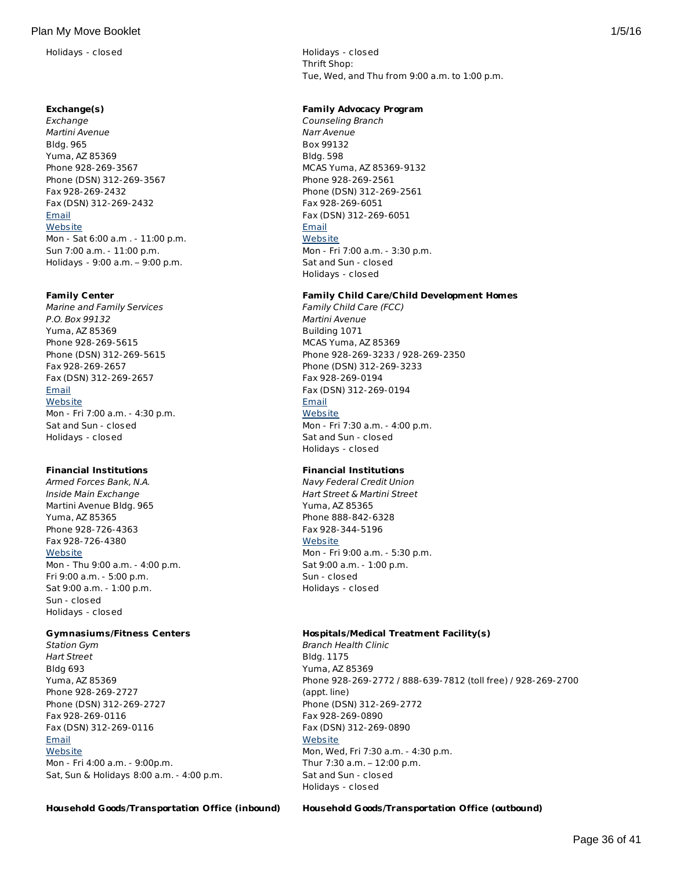Holidays - closed Holidays - closed

#### **Exchange(s)**

Exchange Martini Avenue Bldg. 965 Yuma, AZ 85369 Phone 928-269-3567 Phone (DSN) 312-269-3567 Fax 928-269-2432 Fax (DSN) 312-269-2432 [Email](http://apps.militaryonesource.mil/MOS/f?p=AMS:5:0::::P5_APP_NAME,P5_MSG_TYPE,P5_EID:Plan My Move,Exchange,113336) **[Website](http://www.yuma.usmc-mccs.org/index.cfm/shopping-services/)** Mon - Sat 6:00 a.m . - 11:00 p.m. Sun 7:00 a.m. - 11:00 p.m. Holidays - 9:00 a.m. – 9:00 p.m.

#### **Family Center**

Marine and Family Services P.O. Box 99132 Yuma, AZ 85369 Phone 928-269-5615 Phone (DSN) 312-269-5615 Fax 928-269-2657 Fax (DSN) 312-269-2657 **[Email](http://apps.militaryonesource.mil/MOS/f?p=AMS:5:0::::P5_APP_NAME,P5_MSG_TYPE,P5_EID:Plan My Move,Marine and Family Services,113351) [Website](http://www.yuma.usmc-mccs.org)** Mon - Fri 7:00 a.m. - 4:30 p.m. Sat and Sun - closed

#### **Financial Institutions**

Holidays - closed

Armed Forces Bank, N.A. Inside Main Exchange Martini Avenue Bldg. 965 Yuma, AZ 85365 Phone 928-726-4363 Fax 928-726-4380 **[Website](http://www.afbank.com/locations/search_results.cfm?StateCode=AZ)** Mon - Thu 9:00 a.m. - 4:00 p.m. Fri 9:00 a.m. - 5:00 p.m. Sat 9:00 a.m. - 1:00 p.m. Sun - closed Holidays - closed

#### **Gymnasiums/Fitness Centers**

Station Gym Hart Street Bldg 693 Yuma, AZ 85369 Phone 928-269-2727 Phone (DSN) 312-269-2727 Fax 928-269-0116 Fax (DSN) 312-269-0116 **[Email](http://apps.militaryonesource.mil/MOS/f?p=AMS:5:0::::P5_APP_NAME,P5_MSG_TYPE,P5_EID:Plan My Move,Station Gym,113661) [Website](http://www.mccsyuma.org/index.cfm/semper-fit/fitness/main-station-gym/)** Mon - Fri 4:00 a.m. - 9:00p.m. Sat, Sun & Holidays 8:00 a.m. - 4:00 p.m. Thrift Shop: Tue, Wed, and Thu from 9:00 a.m. to 1:00 p.m.

#### **Family Advocacy Program**

Counseling Branch Narr Avenue Box 99132 Bldg. 598 MCAS Yuma, AZ 85369-9132 Phone 928-269-2561 Phone (DSN) 312-269-2561 Fax 928-269-6051 Fax (DSN) 312-269-6051 [Email](http://apps.militaryonesource.mil/MOS/f?p=AMS:5:0::::P5_APP_NAME,P5_MSG_TYPE,P5_EID:Plan My Move,Counseling Branch,113651) **[Website](http://www.mccsyuma.org/index.cfm/military-family/counseling-services/)** Mon - Fri 7:00 a.m. - 3:30 p.m. Sat and Sun - closed Holidays - closed

#### **Family Child Care/Child Development Homes**

Family Child Care (FCC) Martini Avenue Building 1071 MCAS Yuma, AZ 85369 Phone 928-269-3233 / 928-269-2350 Phone (DSN) 312-269-3233 Fax 928-269-0194 Fax (DSN) 312-269-0194 [Email](http://apps.militaryonesource.mil/MOS/f?p=AMS:5:0::::P5_APP_NAME,P5_MSG_TYPE,P5_EID:Plan My Move,Family Child Care (FCC),113534) **[Website](http://www.mccsyuma.org/index.cfm/military-family/child-youth-teen-programs/family-child-care/)** Mon - Fri 7:30 a.m. - 4:00 p.m. Sat and Sun - closed Holidays - closed

# **Financial Institutions**

Navy Federal Credit Union Hart Street & Martini Street Yuma, AZ 85365 Phone 888-842-6328 Fax 928-344-5196 **[Website](http://www.navyfcu.org)** Mon - Fri 9:00 a.m. - 5:30 p.m. Sat 9:00 a.m. - 1:00 p.m. Sun - closed Holidays - closed

# **Hospitals/Medical Treatment Facility(s)**

Branch Health Clinic Bldg. 1175 Yuma, AZ 85369 Phone 928-269-2772 / 888-639-7812 (toll free) / 928-269-2700 (appt. line) Phone (DSN) 312-269-2772 Fax 928-269-0890 Fax (DSN) 312-269-0890 **[Website](https://cpen.med.navy.mil/nhcp.cfm?xid=wap&f=bmc&p=x7214954E546CA0EFDF67D73E491D8E52)** Mon, Wed, Fri 7:30 a.m. - 4:30 p.m. Thur 7:30 a.m. – 12:00 p.m. Sat and Sun - closed Holidays - closed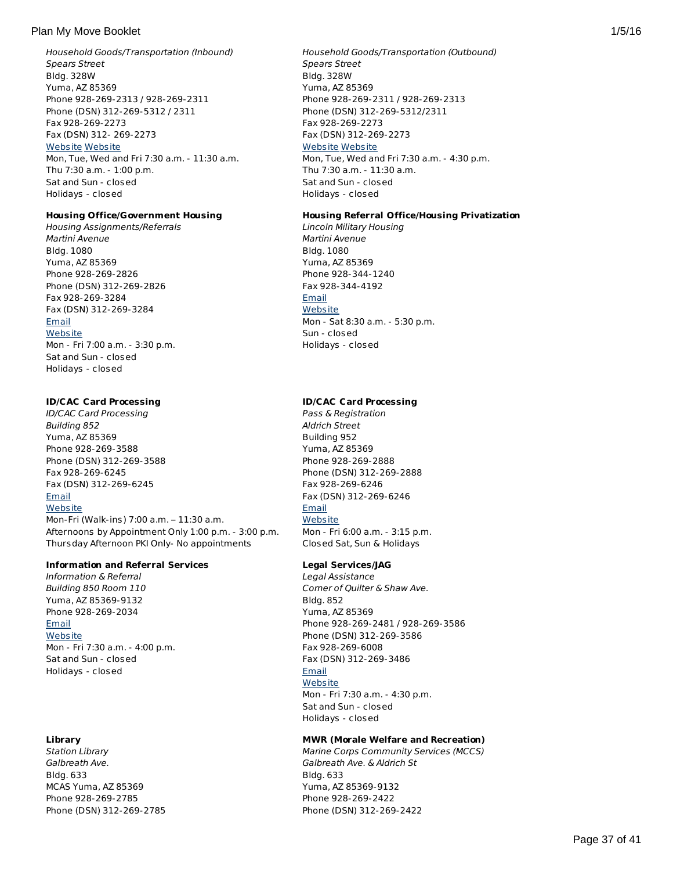Household Goods/Transportation (Inbound) Spears Street Bldg. 328W Yuma, AZ 85369 Phone 928-269-2313 / 928-269-2311 Phone (DSN) 312-269-5312 / 2311 Fax 928-269-2273 Fax (DSN) 312- 269-2273 [Website](http://192.156.9.102/information/tmo.html) [Website](http://www.yuma.usmc.mil/services/installationslogistics/tmo.html) Mon, Tue, Wed and Fri 7:30 a.m. - 11:30 a.m. Thu 7:30 a.m. - 1:00 p.m. Sat and Sun - closed Holidays - closed

# **Housing Office/Government Housing**

Housing Assignments/Referrals Martini Avenue Bldg. 1080 Yuma, AZ 85369 Phone 928-269-2826 Phone (DSN) 312-269-2826 Fax 928-269-3284 Fax (DSN) 312-269-3284 **[Email](http://apps.militaryonesource.mil/MOS/f?p=AMS:5:0::::P5_APP_NAME,P5_MSG_TYPE,P5_EID:Plan My Move,Housing Assignments/Referrals,113587) [Website](http://www.housing.navy.mil/onestop/housingoffices.aspx?bid=716&tab=mil)** Mon - Fri 7:00 a.m. - 3:30 p.m. Sat and Sun - closed Holidays - closed

### **ID/CAC Card Processing**

ID/CAC Card Processing Building 852 Yuma, AZ 85369 Phone 928-269-3588 Phone (DSN) 312-269-3588 Fax 928-269-6245 Fax (DSN) 312-269-6245 [Email](http://apps.militaryonesource.mil/MOS/f?p=AMS:5:0::::P5_APP_NAME,P5_MSG_TYPE,P5_EID:Plan My Move,ID/CAC Card Processing,1000005969)

# **[Website](http://www.yuma.usmc.mil/services/pmo/index.html)**

Mon-Fri (Walk-ins) 7:00 a.m. – 11:30 a.m. Afternoons by Appointment Only 1:00 p.m. - 3:00 p.m. Thursday Afternoon PKI Only- No appointments

#### **Information and Referral Services**

Information & Referral Building 850 Room 110 Yuma, AZ 85369-9132 Phone 928-269-2034 [Email](http://apps.militaryonesource.mil/MOS/f?p=AMS:5:0::::P5_APP_NAME,P5_MSG_TYPE,P5_EID:Plan My Move,Information   Referral,1000008764) **[Website](http://www.yuma.usmc-mccs.org)** Mon - Fri 7:30 a.m. - 4:00 p.m. Sat and Sun - closed Holidays - closed

# **Library**

Station Library Galbreath Ave. Bldg. 633 MCAS Yuma, AZ 85369 Phone 928-269-2785 Phone (DSN) 312-269-2785

## Household Goods/Transportation (Outbound) Spears Street Bldg. 328W Yuma, AZ 85369 Phone 928-269-2311 / 928-269-2313 Phone (DSN) 312-269-5312/2311 Fax 928-269-2273 Fax (DSN) 312-269-2273 [Website](http://192.156.9.102/information/tmo.html) [Website](http://www.yuma.usmc.mil/services/installationslogistics/tmo.html) Mon, Tue, Wed and Fri 7:30 a.m. - 4:30 p.m. Thu 7:30 a.m. - 11:30 a.m. Sat and Sun - closed Holidays - closed

### **Housing Referral Office/Housing Privatization**

Lincoln Military Housing Martini Avenue Bldg. 1080 Yuma, AZ 85369 Phone 928-344-1240 Fax 928-344-4192 [Email](http://apps.militaryonesource.mil/MOS/f?p=AMS:5:0::::P5_APP_NAME,P5_MSG_TYPE,P5_EID:Plan My Move,Lincoln Military Housing ,113585) **[Website](http://www.lincolnmilitary.com/lmh/installations/yuma/)** Mon - Sat 8:30 a.m. - 5:30 p.m. Sun - closed Holidays - closed

# **ID/CAC Card Processing**

Pass & Registration Aldrich Street Building 952 Yuma, AZ 85369 Phone 928-269-2888 Phone (DSN) 312-269-2888 Fax 928-269-6246 Fax (DSN) 312-269-6246 [Email](http://apps.militaryonesource.mil/MOS/f?p=AMS:5:0::::P5_APP_NAME,P5_MSG_TYPE,P5_EID:Plan My Move,Pass   Registration,113350) **[Website](http://www.yuma.usmc.mil/services/pmo/index.html)** Mon - Fri 6:00 a.m. - 3:15 p.m. Closed Sat, Sun & Holidays

**Legal Services/JAG**

# Legal Assistance

Corner of Quilter & Shaw Ave. Bldg. 852 Yuma, AZ 85369 Phone 928-269-2481 / 928-269-3586 Phone (DSN) 312-269-3586 Fax 928-269-6008 Fax (DSN) 312-269-3486 [Email](http://apps.militaryonesource.mil/MOS/f?p=AMS:5:0::::P5_APP_NAME,P5_MSG_TYPE,P5_EID:Plan My Move,Legal Assistance,113673) **[Website](http://www.yuma.usmc.mil/services/legal/index.html)** 

Mon - Fri 7:30 a.m. - 4:30 p.m. Sat and Sun - closed Holidays - closed

# **MWR (Morale Welfare and Recreation)**

Marine Corps Community Services (MCCS) Galbreath Ave. & Aldrich St Bldg. 633 Yuma, AZ 85369-9132 Phone 928-269-2422 Phone (DSN) 312-269-2422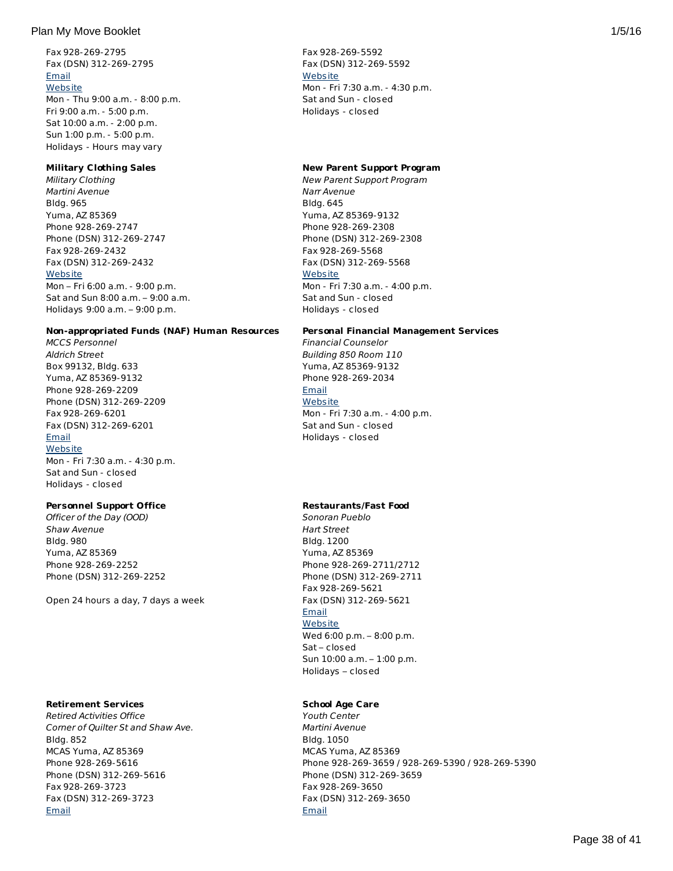Fax 928-269-2795 Fax (DSN) 312-269-2795 [Email](http://apps.militaryonesource.mil/MOS/f?p=AMS:5:0::::P5_APP_NAME,P5_MSG_TYPE,P5_EID:Plan My Move,Station Library,113659) **[Website](http://www.yuma.usmc-mccs.org/index.cfm/military-family/library/)** Mon - Thu 9:00 a.m. - 8:00 p.m. Fri 9:00 a.m. - 5:00 p.m. Sat 10:00 a.m. - 2:00 p.m. Sun 1:00 p.m. - 5:00 p.m. Holidays - Hours may vary

#### **Military Clothing Sales**

Military Clothing Martini Avenue Bldg. 965 Yuma, AZ 85369 Phone 928-269-2747 Phone (DSN) 312-269-2747 Fax 928-269-2432 Fax (DSN) 312-269-2432 **[Website](http://www.mccsyuma.org/2009web.mccs/2010MCCShtml/store-mainXchange_new.html)** Mon – Fri 6:00 a.m. - 9:00 p.m. Sat and Sun 8:00 a.m. – 9:00 a.m. Holidays 9:00 a.m. – 9:00 p.m.

#### **Non-appropriated Funds (NAF) Human Resources**

MCCS Personnel Aldrich Street Box 99132, Bldg. 633 Yuma, AZ 85369-9132 Phone 928-269-2209 Phone (DSN) 312-269-2209 Fax 928-269-6201 Fax (DSN) 312-269-6201 [Email](http://apps.militaryonesource.mil/MOS/f?p=AMS:5:0::::P5_APP_NAME,P5_MSG_TYPE,P5_EID:Plan My Move,MCCS Personnel,113512) **[Website](http://www.mccsyuma.org/2009web.mccs/2010MCCShtml/hr.html)** Mon - Fri 7:30 a.m. - 4:30 p.m. Sat and Sun - closed Holidays - closed

# **Personnel Support Office**

Officer of the Day (OOD) Shaw Avenue Bldg. 980 Yuma, AZ 85369 Phone 928-269-2252 Phone (DSN) 312-269-2252

Open 24 hours a day, 7 days a week

#### **Retirement Services**

Retired Activities Office Corner of Quilter St and Shaw Ave. Bldg. 852 MCAS Yuma, AZ 85369 Phone 928-269-5616 Phone (DSN) 312-269-5616 Fax 928-269-3723 Fax (DSN) 312-269-3723 [Email](http://apps.militaryonesource.mil/MOS/f?p=AMS:5:0::::P5_APP_NAME,P5_MSG_TYPE,P5_EID:Plan My Move,Retired Activities Office,113415)

Fax 928-269-5592 Fax (DSN) 312-269-5592 **[Website](http://www.yuma.usmc-mccs.org/)** Mon - Fri 7:30 a.m. - 4:30 p.m. Sat and Sun - closed Holidays - closed

#### **New Parent Support Program**

New Parent Support Program Narr Avenue Bldg. 645 Yuma, AZ 85369-9132 Phone 928-269-2308 Phone (DSN) 312-269-2308 Fax 928-269-5568 Fax (DSN) 312-269-5568 **[Website](http://www.yuma.usmc-mccs.org/index.cfm/military-family/counseling-services/)** Mon - Fri 7:30 a.m. - 4:00 p.m. Sat and Sun - closed Holidays - closed

#### **Personal Financial Management Services**

Financial Counselor Building 850 Room 110 Yuma, AZ 85369-9132 Phone 928-269-2034 **[Email](http://apps.militaryonesource.mil/MOS/f?p=AMS:5:0::::P5_APP_NAME,P5_MSG_TYPE,P5_EID:Plan My Move,Financial Counselor,176018) [Website](http://www.mccsyuma.org/2009web.mccs/2010MCCShtml/mfs_personal-finance.html)** Mon - Fri 7:30 a.m. - 4:00 p.m. Sat and Sun - closed Holidays - closed

# **Restaurants/Fast Food**

Sonoran Pueblo Hart Street Bldg. 1200 Yuma, AZ 85369 Phone 928-269-2711/2712 Phone (DSN) 312-269-2711 Fax 928-269-5621 Fax (DSN) 312-269-5621 **[Email](http://apps.militaryonesource.mil/MOS/f?p=AMS:5:0::::P5_APP_NAME,P5_MSG_TYPE,P5_EID:Plan My Move,Sonoran Pueblo,113660) [Website](http://www.mccsyuma.org/index.cfm/food/sonoran-pueblo/)** Wed 6:00 p.m. – 8:00 p.m. Sat – closed Sun 10:00 a.m. – 1:00 p.m. Holidays – closed

#### **School Age Care**

Youth Center Martini Avenue Bldg. 1050 MCAS Yuma, AZ 85369 Phone 928-269-3659 / 928-269-5390 / 928-269-5390 Phone (DSN) 312-269-3659 Fax 928-269-3650 Fax (DSN) 312-269-3650 [Email](http://apps.militaryonesource.mil/MOS/f?p=AMS:5:0::::P5_APP_NAME,P5_MSG_TYPE,P5_EID:Plan My Move,Youth Center,113694)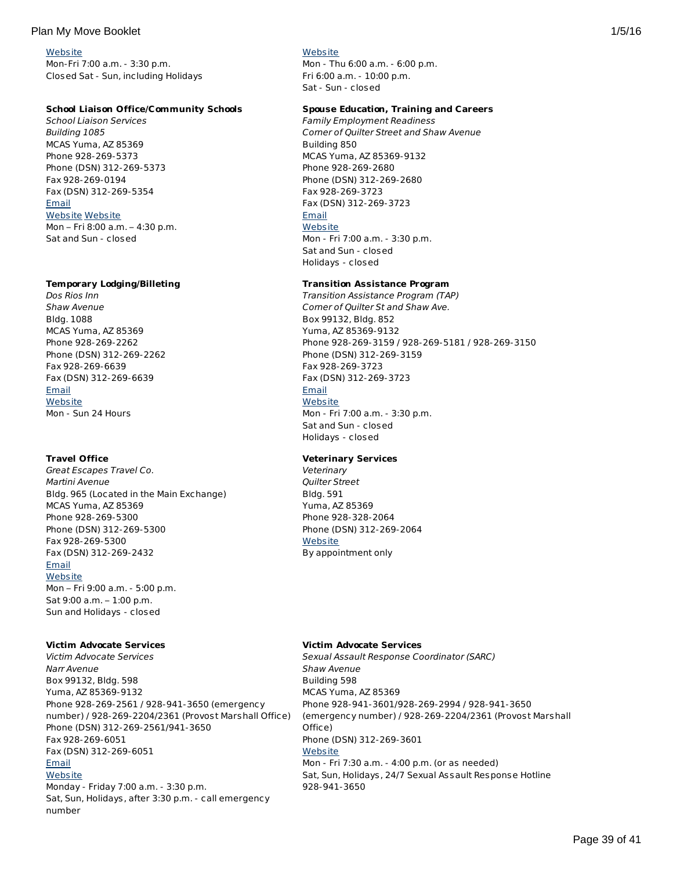#### **[Website](http://www.mccsyuma.org/index.cfm/military-family/transition-assistance/)**

Mon-Fri 7:00 a.m. - 3:30 p.m. Closed Sat - Sun, including Holidays

# **School Liaison Office/Community Schools**

School Liaison Services Building 1085 MCAS Yuma, AZ 85369 Phone 928-269-5373 Phone (DSN) 312-269-5373 Fax 928-269-0194 Fax (DSN) 312-269-5354 [Email](http://apps.militaryonesource.mil/MOS/f?p=AMS:5:0::::P5_APP_NAME,P5_MSG_TYPE,P5_EID:Plan My Move,School Liaison Services,1000003075) [Website](http://www.mccsyuma.org/2009web.mccs/2010MCCShtml/school-liaison_new.html) [Website](http://www.dodea.edu/Partnership/schoolLiaisonOfficers.cfm)

Mon – Fri 8:00 a.m. – 4:30 p.m. Sat and Sun - closed

#### **Temporary Lodging/Billeting**

Dos Rios Inn Shaw Avenue Bldg. 1088 MCAS Yuma, AZ 85369 Phone 928-269-2262 Phone (DSN) 312-269-2262 Fax 928-269-6639 Fax (DSN) 312-269-6639 **[Email](http://apps.militaryonesource.mil/MOS/f?p=AMS:5:0::::P5_APP_NAME,P5_MSG_TYPE,P5_EID:Plan My Move,Dos Rios Inn,113627) [Website](http://www.mccsyuma.org/2009web.mccs/2010MCCShtml/hospitality_dos-rios-inn.html)** Mon - Sun 24 Hours

# **Travel Office**

Great Escapes Travel Co. Martini Avenue Bldg. 965 (Located in the Main Exchange) MCAS Yuma, AZ 85369 Phone 928-269-5300 Phone (DSN) 312-269-5300 Fax 928-269-5300 Fax (DSN) 312-269-2432 **[Email](http://apps.militaryonesource.mil/MOS/f?p=AMS:5:0::::P5_APP_NAME,P5_MSG_TYPE,P5_EID:Plan My Move,Great Escapes Travel Co.,1000008765) [Website](http://greatescapestravelco.com/)** 

Mon – Fri 9:00 a.m. - 5:00 p.m. Sat 9:00 a.m. – 1:00 p.m. Sun and Holidays - closed

# **Victim Advocate Services**

Victim Advocate Services Narr Avenue Box 99132, Bldg. 598 Yuma, AZ 85369-9132 Phone 928-269-2561 / 928-941-3650 (emergency number) / 928-269-2204/2361 (Provost Marshall Office) Phone (DSN) 312-269-2561/941-3650 Fax 928-269-6051 Fax (DSN) 312-269-6051 [Email](http://apps.militaryonesource.mil/MOS/f?p=AMS:5:0::::P5_APP_NAME,P5_MSG_TYPE,P5_EID:Plan My Move,Victim Advocate Services,200161) **[Website](http://www.mccsyuma.org/2009web.mccs/2010MCCShtml/mfs_csb.html)** Monday - Friday 7:00 a.m. - 3:30 p.m.

Sat, Sun, Holidays, after 3:30 p.m. - call emergency number

# **[Website](http://www.mccsyuma.org/2009web.mccs/2010MCCShtml/cytp_yc.html)**

Mon - Thu 6:00 a.m. - 6:00 p.m. Fri 6:00 a.m. - 10:00 p.m. Sat - Sun - closed

### **Spouse Education, Training and Careers**

Family Employment Readiness Corner of Quilter Street and Shaw Avenue Building 850 MCAS Yuma, AZ 85369-9132 Phone 928-269-2680 Phone (DSN) 312-269-2680 Fax 928-269-3723 Fax (DSN) 312-269-3723 [Email](http://apps.militaryonesource.mil/MOS/f?p=AMS:5:0::::P5_APP_NAME,P5_MSG_TYPE,P5_EID:Plan My Move,Family Employment Readiness,113515) **[Website](http://www.mccsyuma.org/2009web.mccs/2010MCCShtml/mfs_fmeap.html)** Mon - Fri 7:00 a.m. - 3:30 p.m. Sat and Sun - closed Holidays - closed

### **Transition Assistance Program**

Transition Assistance Program (TAP) Corner of Quilter St and Shaw Ave. Box 99132, Bldg. 852 Yuma, AZ 85369-9132 Phone 928-269-3159 / 928-269-5181 / 928-269-3150 Phone (DSN) 312-269-3159 Fax 928-269-3723 Fax (DSN) 312-269-3723 **[Email](http://apps.militaryonesource.mil/MOS/f?p=AMS:5:0::::P5_APP_NAME,P5_MSG_TYPE,P5_EID:Plan My Move,Transition Assistance Program (TAP),184052) [Website](http://www.mccsyuma.org/2009web.mccs/2010MCCShtml/mfs_tamp.html)** Mon - Fri 7:00 a.m. - 3:30 p.m. Sat and Sun - closed Holidays - closed

# **Veterinary Services**

**Veterinary** Quilter Street Bldg. 591 Yuma, AZ 85369 Phone 928-328-2064 Phone (DSN) 312-269-2064 **[Website](http://www.yumamwr.com/menu-veterinary.htm)** By appointment only

#### **Victim Advocate Services**

Sexual Assault Response Coordinator (SARC) Shaw Avenue Building 598 MCAS Yuma, AZ 85369 Phone 928-941-3601/928-269-2994 / 928-941-3650 (emergency number) / 928-269-2204/2361 (Provost Marshall Office) Phone (DSN) 312-269-3601 **[Website](http://www.mccsyuma.org/2009web.mccs/2010MCCShtml/mfs_csb.html)** Mon - Fri 7:30 a.m. - 4:00 p.m. (or as needed) Sat, Sun, Holidays, 24/7 Sexual Assault Response Hotline 928-941-3650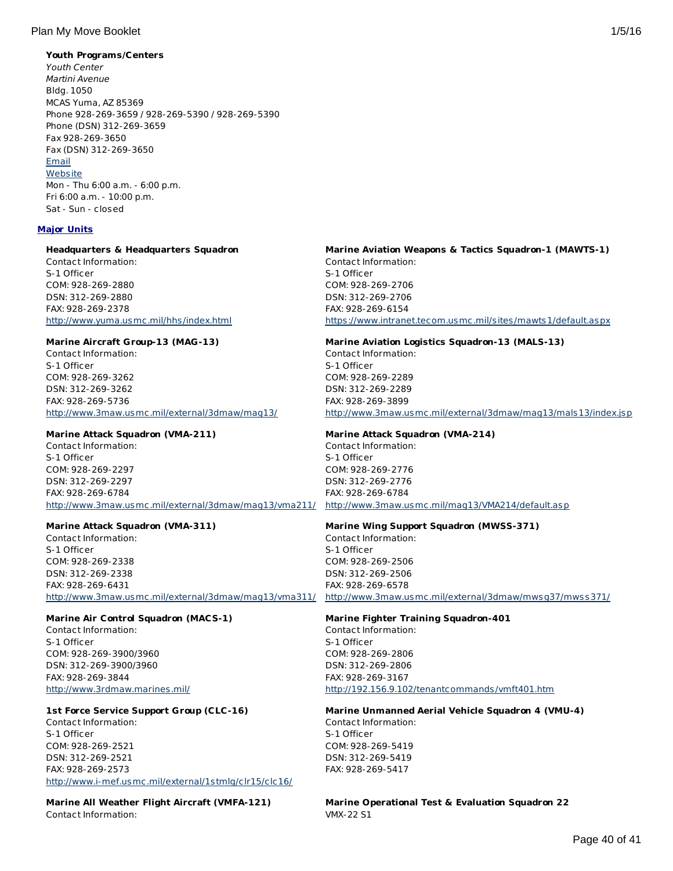## **Youth Programs/Centers**

Youth Center Martini Avenue Bldg. 1050 MCAS Yuma, AZ 85369 Phone 928-269-3659 / 928-269-5390 / 928-269-5390 Phone (DSN) 312-269-3659 Fax 928-269-3650 Fax (DSN) 312-269-3650 [Email](http://apps.militaryonesource.mil/MOS/f?p=AMS:5:0::::P5_APP_NAME,P5_MSG_TYPE,P5_EID:Plan My Move,Youth Center,113694) **[Website](http://www.mccsyuma.org/2009web.mccs/2010MCCShtml/cytp_yc.html)** Mon - Thu 6:00 a.m. - 6:00 p.m. Fri 6:00 a.m. - 10:00 p.m. Sat - Sun - closed

### **Major Units**

### **Headquarters & Headquarters Squadron**

Contact Information: S-1 Officer COM: 928-269-2880 DSN: 312-269-2880 FAX: 928-269-2378 <http://www.yuma.usmc.mil/hhs/index.html>

#### **Marine Aircraft Group-13 (MAG-13)**

Contact Information: S-1 Officer COM: 928-269-3262 DSN: 312-269-3262 FAX: 928-269-5736 <http://www.3maw.usmc.mil/external/3dmaw/mag13/>

# **Marine Attack Squadron (VMA-211)**

Contact Information: S-1 Officer COM: 928-269-2297 DSN: 312-269-2297 FAX: 928-269-6784 <http://www.3maw.usmc.mil/external/3dmaw/mag13/vma211/> <http://www.3maw.usmc.mil/mag13/VMA214/default.asp>

# **Marine Attack Squadron (VMA-311)**

Contact Information: S-1 Officer COM: 928-269-2338 DSN: 312-269-2338 FAX: 928-269-6431

#### **Marine Air Control Squadron (MACS-1)**

Contact Information: S-1 Officer COM: 928-269-3900/3960 DSN: 312-269-3900/3960 FAX: 928-269-3844 <http://www.3rdmaw.marines.mil/>

# **1st Force Service Support Group (CLC-16)**

Contact Information: S-1 Officer COM: 928-269-2521 DSN: 312-269-2521 FAX: 928-269-2573 <http://www.i-mef.usmc.mil/external/1stmlg/clr15/clc16/>

**Marine All Weather Flight Aircraft (VMFA-121)** Contact Information:

# **Marine Aviation Weapons & Tactics Squadron-1 (MAWTS-1)** Contact Information: S-1 Officer COM: 928-269-2706 DSN: 312-269-2706 FAX: 928-269-6154

<https://www.intranet.tecom.usmc.mil/sites/mawts1/default.aspx>

#### **Marine Aviation Logistics Squadron-13 (MALS-13)** Contact Information:

S-1 Officer COM: 928-269-2289 DSN: 312-269-2289 FAX: 928-269-3899 <http://www.3maw.usmc.mil/external/3dmaw/mag13/mals13/index.jsp>

## **Marine Attack Squadron (VMA-214)**

Contact Information: S-1 Officer COM: 928-269-2776 DSN: 312-269-2776 FAX: 928-269-6784

# **Marine Wing Support Squadron (MWSS-371)**

<http://www.3maw.usmc.mil/external/3dmaw/mag13/vma311/> <http://www.3maw.usmc.mil/external/3dmaw/mwsg37/mwss371/> Contact Information: S-1 Officer COM: 928-269-2506 DSN: 312-269-2506 FAX: 928-269-6578

# **Marine Fighter Training Squadron-401**

Contact Information: S-1 Officer COM: 928-269-2806 DSN: 312-269-2806 FAX: 928-269-3167 <http://192.156.9.102/tenantcommands/vmft401.htm>

# **Marine Unmanned Aerial Vehicle Squadron 4 (VMU-4)** Contact Information:

S-1 Officer COM: 928-269-5419 DSN: 312-269-5419 FAX: 928-269-5417

**Marine Operational Test & Evaluation Squadron 22** VMX-22 S1